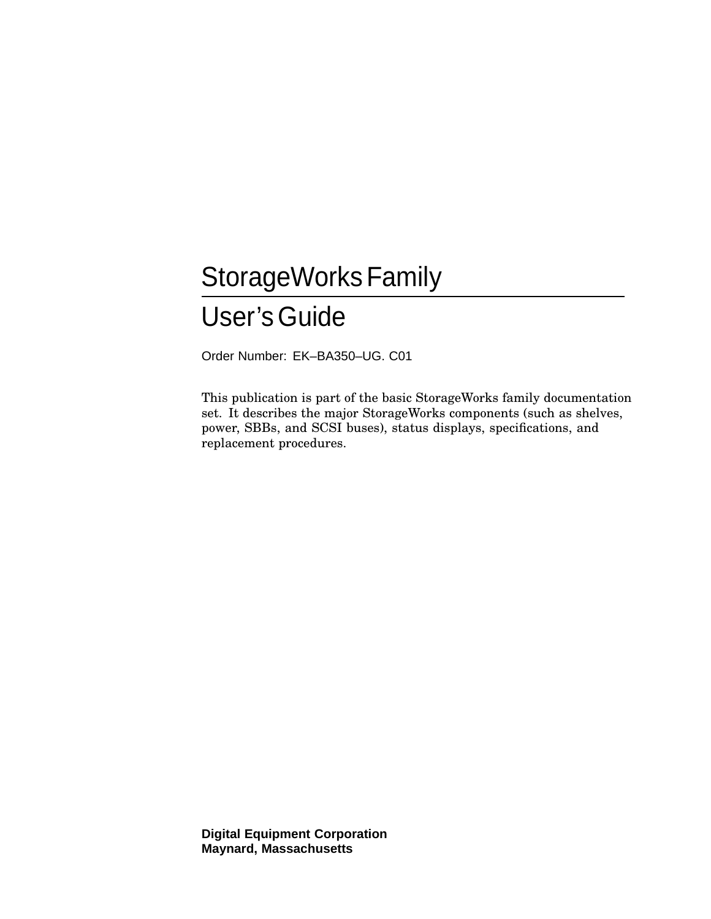# StorageWorks Family User'sGuide

Order Number: EK–BA350–UG. C01

This publication is part of the basic StorageWorks family documentation set. It describes the major StorageWorks components (such as shelves, power, SBBs, and SCSI buses), status displays, specifications, and replacement procedures.

**Digital Equipment Corporation Maynard, Massachusetts**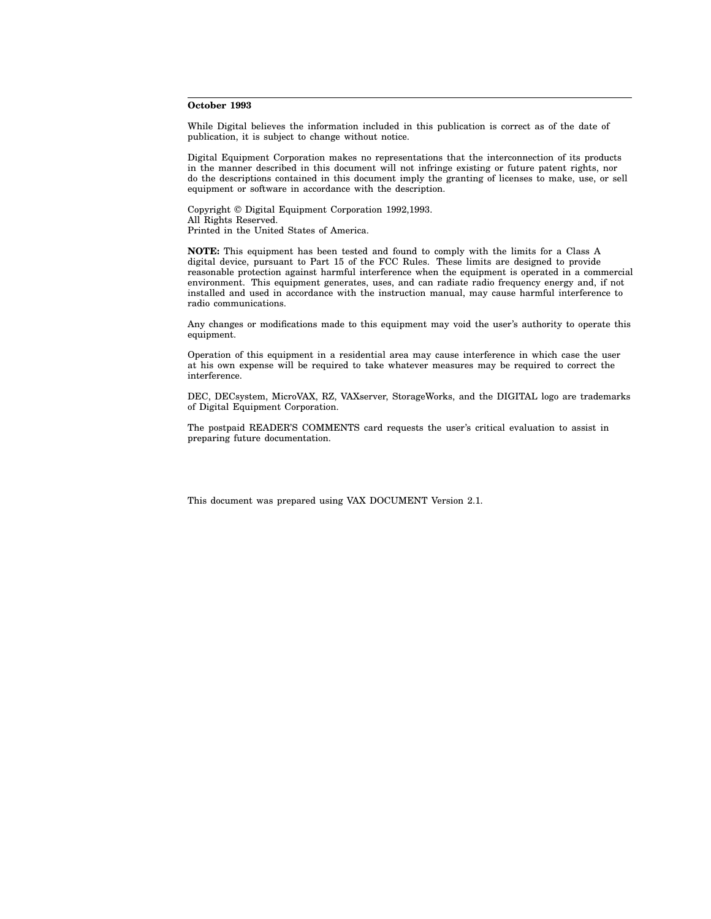#### **October 1993**

While Digital believes the information included in this publication is correct as of the date of publication, it is subject to change without notice.

Digital Equipment Corporation makes no representations that the interconnection of its products in the manner described in this document will not infringe existing or future patent rights, nor do the descriptions contained in this document imply the granting of licenses to make, use, or sell equipment or software in accordance with the description.

Copyright © Digital Equipment Corporation 1992,1993. All Rights Reserved. Printed in the United States of America.

**NOTE:** This equipment has been tested and found to comply with the limits for a Class A digital device, pursuant to Part 15 of the FCC Rules. These limits are designed to provide reasonable protection against harmful interference when the equipment is operated in a commercial environment. This equipment generates, uses, and can radiate radio frequency energy and, if not installed and used in accordance with the instruction manual, may cause harmful interference to radio communications.

Any changes or modifications made to this equipment may void the user's authority to operate this equipment.

Operation of this equipment in a residential area may cause interference in which case the user at his own expense will be required to take whatever measures may be required to correct the interference.

DEC, DECsystem, MicroVAX, RZ, VAXserver, StorageWorks, and the DIGITAL logo are trademarks of Digital Equipment Corporation.

The postpaid READER'S COMMENTS card requests the user's critical evaluation to assist in preparing future documentation.

This document was prepared using VAX DOCUMENT Version 2.1.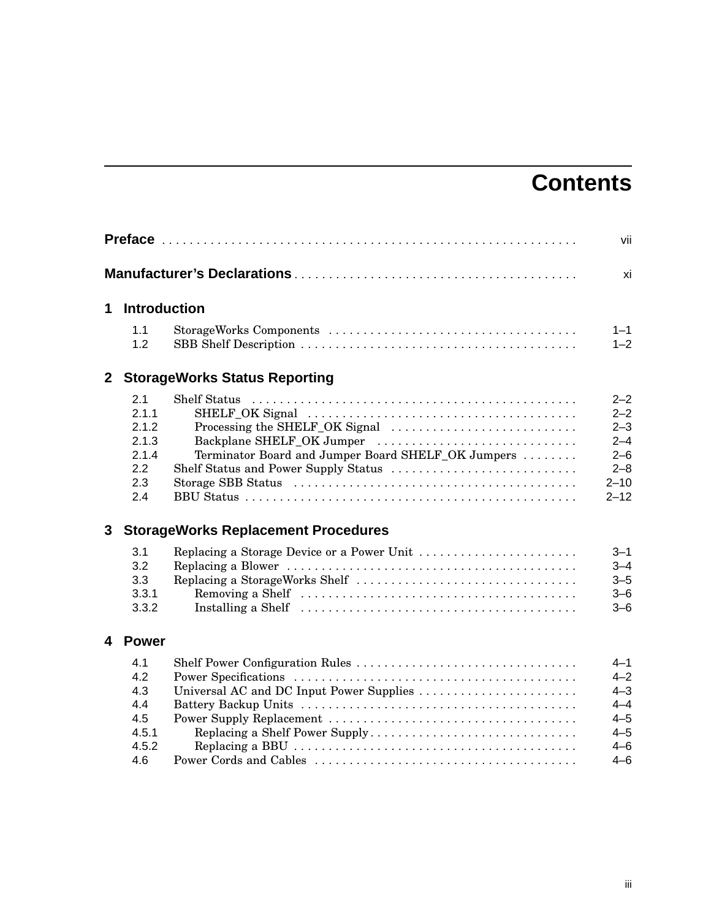# **Contents**

|                |                                                              |                                                                                                        | vii                                                                                    |
|----------------|--------------------------------------------------------------|--------------------------------------------------------------------------------------------------------|----------------------------------------------------------------------------------------|
|                |                                                              |                                                                                                        | xi                                                                                     |
| 1              | <b>Introduction</b>                                          |                                                                                                        |                                                                                        |
|                | 1.1<br>1.2                                                   |                                                                                                        | $1 - 1$<br>$1 - 2$                                                                     |
| 2 <sup>7</sup> |                                                              | <b>StorageWorks Status Reporting</b>                                                                   |                                                                                        |
|                | 2.1<br>2.1.1<br>2.1.2<br>2.1.3<br>2.1.4<br>2.2<br>2.3<br>2.4 | <b>Shelf Status</b><br>Backplane SHELF_OK Jumper<br>Terminator Board and Jumper Board SHELF_OK Jumpers | $2 - 2$<br>$2 - 2$<br>$2 - 3$<br>$2 - 4$<br>$2 - 6$<br>$2 - 8$<br>$2 - 10$<br>$2 - 12$ |
| 3              |                                                              | <b>StorageWorks Replacement Procedures</b>                                                             |                                                                                        |
|                | 3.1<br>3.2<br>3.3<br>3.3.1<br>3.3.2                          | Replacing a Storage Device or a Power Unit                                                             | $3 - 1$<br>$3 - 4$<br>$3 - 5$<br>$3 - 6$<br>$3 - 6$                                    |
| 4              | <b>Power</b>                                                 |                                                                                                        |                                                                                        |
|                | 4.1<br>4.2<br>4.3<br>4.4<br>4.5<br>4.5.1<br>4.5.2<br>4.6     | Universal AC and DC Input Power Supplies<br>Replacing a Shelf Power Supply                             | $4 - 1$<br>$4 - 2$<br>$4 - 3$<br>$4 - 4$<br>$4 - 5$<br>$4 - 5$<br>$4 - 6$<br>$4 - 6$   |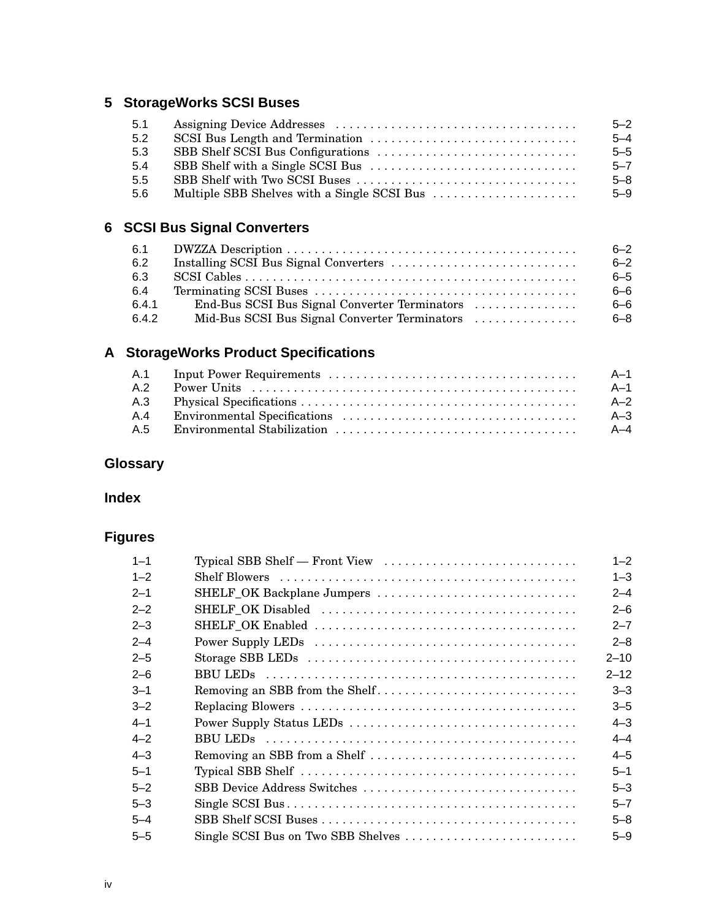## **5 StorageWorks SCSI Buses**

| 5.1 | $5 - 2$ |
|-----|---------|
| 5.2 | $5 - 4$ |
| 5.3 | $5 - 5$ |
| 5.4 | $5 - 7$ |
| 5.5 | $5 - 8$ |
| 5.6 | $5 - 9$ |

## **6 SCSI Bus Signal Converters**

| 6.1   |                                               | $6 - 2$ |
|-------|-----------------------------------------------|---------|
| 6.2   |                                               | $6 - 2$ |
| 6.3   |                                               | $6 - 5$ |
| 6.4   |                                               | $6 - 6$ |
| 6.4.1 | End-Bus SCSI Bus Signal Converter Terminators | $6 - 6$ |
| 6.4.2 | Mid-Bus SCSI Bus Signal Converter Terminators | $6 - 8$ |

## **A StorageWorks Product Specifications**

|     | – A–1 |
|-----|-------|
| A.2 | - A-1 |
|     | $A-2$ |
| A.4 | $A-3$ |
| A 5 | $A-4$ |

## **Glossary**

## **Index**

## **Figures**

| $1 - 1$ | Typical SBB Shelf — Front View     | $1 - 2$  |
|---------|------------------------------------|----------|
| $1 - 2$ |                                    | $1 - 3$  |
| $2 - 1$ | SHELF_OK Backplane Jumpers         | $2 - 4$  |
| $2 - 2$ |                                    | $2 - 6$  |
| $2 - 3$ |                                    | $2 - 7$  |
| $2 - 4$ |                                    | $2 - 8$  |
| $2 - 5$ |                                    | $2 - 10$ |
| $2 - 6$ |                                    | $2 - 12$ |
| $3 - 1$ | Removing an SBB from the Shelf     | $3 - 3$  |
| $3 - 2$ |                                    | $3 - 5$  |
| $4 - 1$ | Power Supply Status LEDs           | $4 - 3$  |
| $4 - 2$ |                                    | $4 - 4$  |
| $4 - 3$ | Removing an SBB from a Shelf       | $4 - 5$  |
| $5 - 1$ |                                    | $5 - 1$  |
| $5 - 2$ | SBB Device Address Switches        | $5 - 3$  |
| $5 - 3$ |                                    | $5 - 7$  |
| $5 - 4$ |                                    | $5 - 8$  |
| $5 - 5$ | Single SCSI Bus on Two SBB Shelves | $5 - 9$  |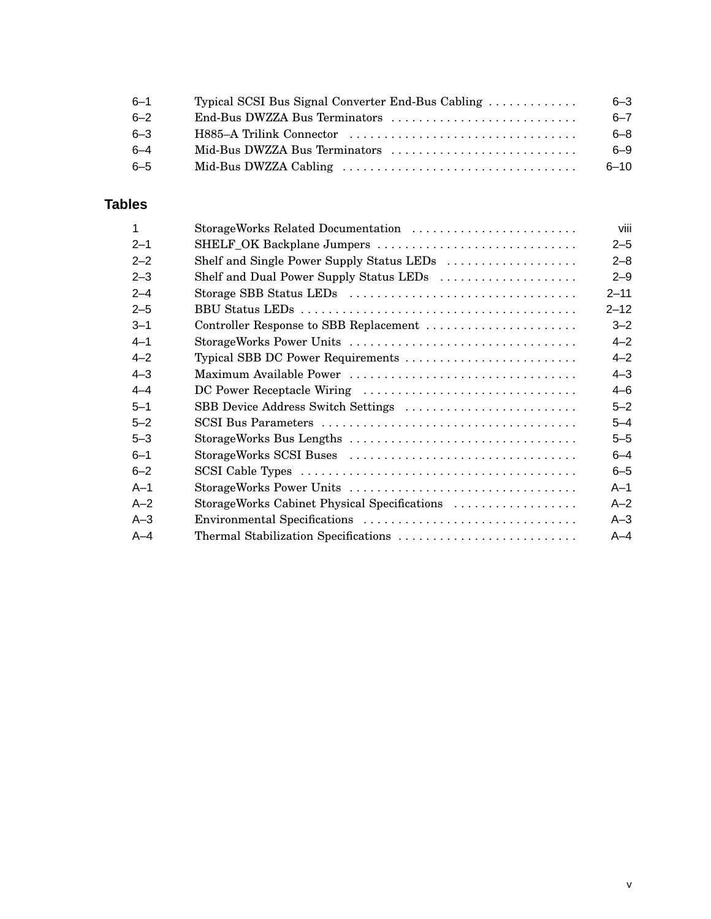| $6 - 1$ | Typical SCSI Bus Signal Converter End-Bus Cabling | $6 - 3$  |
|---------|---------------------------------------------------|----------|
| $6 - 2$ |                                                   | $6 - 7$  |
| $6 - 3$ |                                                   | $6 - 8$  |
| $6 - 4$ | Mid-Bus DWZZA Bus Terminators                     | 6-9      |
| $6 - 5$ |                                                   | $6 - 10$ |

## **Tables**

| 1       | StorageWorks Related Documentation           | viii     |
|---------|----------------------------------------------|----------|
| $2 - 1$ | SHELF_OK Backplane Jumpers                   | $2 - 5$  |
| $2 - 2$ | Shelf and Single Power Supply Status LEDs    | $2 - 8$  |
| $2 - 3$ | Shelf and Dual Power Supply Status LEDs      | $2 - 9$  |
| $2 - 4$ |                                              | $2 - 11$ |
| $2 - 5$ |                                              | $2 - 12$ |
| $3 - 1$ | Controller Response to SBB Replacement       | $3 - 2$  |
| $4 - 1$ |                                              | $4 - 2$  |
| $4 - 2$ | Typical SBB DC Power Requirements            | $4 - 2$  |
| $4 - 3$ |                                              | $4 - 3$  |
| $4 - 4$ | DC Power Receptacle Wiring                   | $4 - 6$  |
| $5 - 1$ | SBB Device Address Switch Settings           | $5 - 2$  |
| $5 - 2$ |                                              | $5 - 4$  |
| $5 - 3$ |                                              | $5 - 5$  |
| $6 - 1$ |                                              | $6 - 4$  |
| $6 - 2$ |                                              | $6 - 5$  |
| $A-1$   |                                              | $A-1$    |
| $A-2$   | StorageWorks Cabinet Physical Specifications | $A - 2$  |
| $A-3$   | Environmental Specifications                 | $A-3$    |
| $A-4$   | Thermal Stabilization Specifications         | $A - 4$  |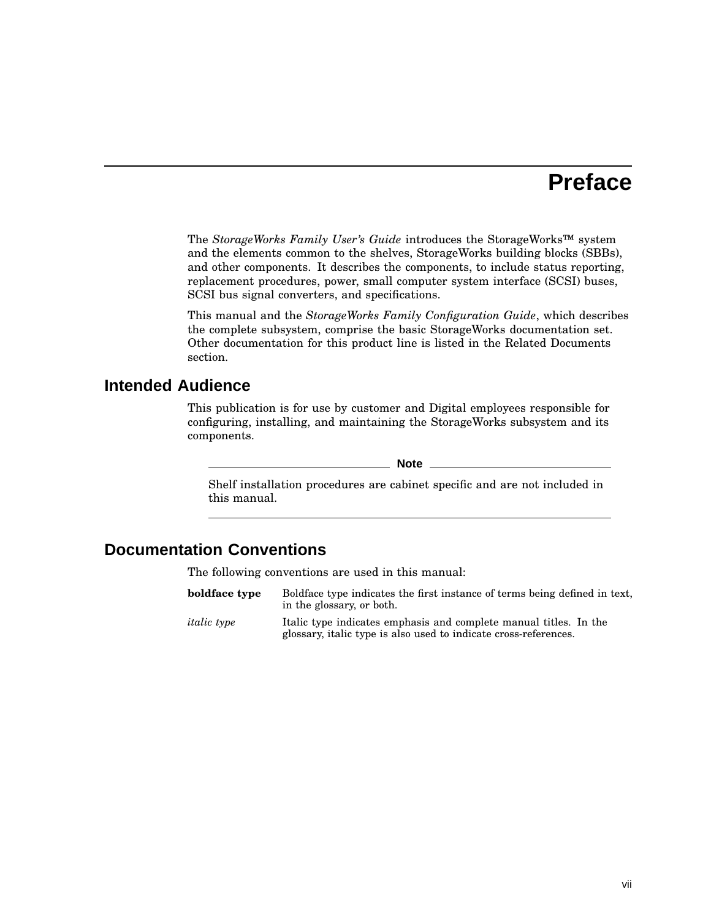## **Preface**

The *StorageWorks Family User's Guide* introduces the StorageWorks™ system and the elements common to the shelves, StorageWorks building blocks (SBBs), and other components. It describes the components, to include status reporting, replacement procedures, power, small computer system interface (SCSI) buses, SCSI bus signal converters, and specifications.

This manual and the *StorageWorks Family Configuration Guide*, which describes the complete subsystem, comprise the basic StorageWorks documentation set. Other documentation for this product line is listed in the Related Documents section.

## **Intended Audience**

This publication is for use by customer and Digital employees responsible for configuring, installing, and maintaining the StorageWorks subsystem and its components.

**Note** —

Shelf installation procedures are cabinet specific and are not included in this manual.

## **Documentation Conventions**

The following conventions are used in this manual:

| boldface type      | Boldface type indicates the first instance of terms being defined in text,<br>in the glossary, or both.                               |
|--------------------|---------------------------------------------------------------------------------------------------------------------------------------|
| <i>italic</i> type | Italic type indicates emphasis and complete manual titles. In the<br>glossary, italic type is also used to indicate cross-references. |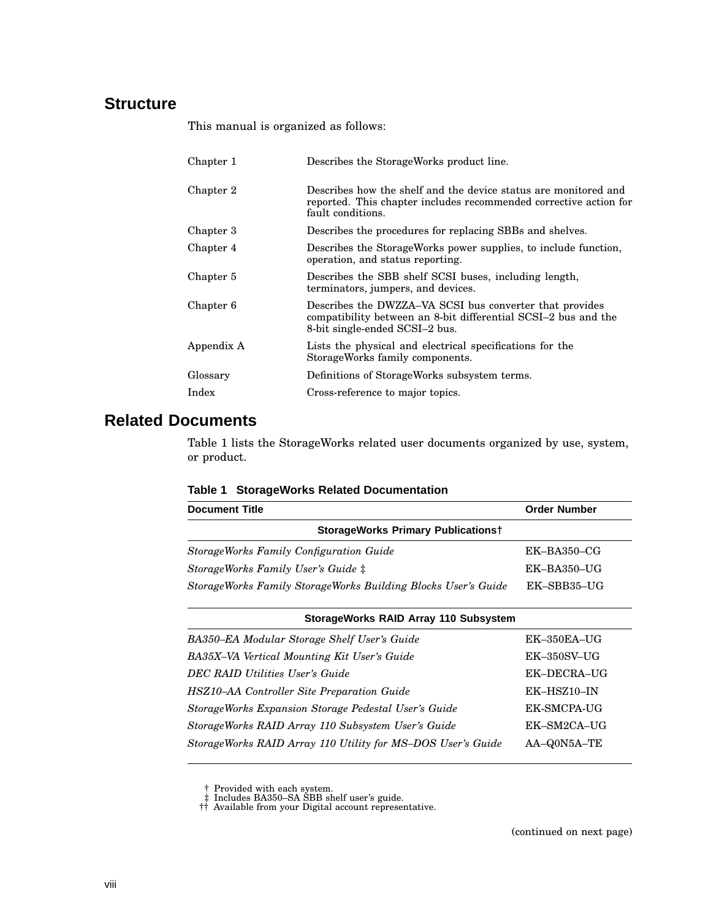## **Structure**

This manual is organized as follows:

| Describes the StorageWorks product line.                                                                                                                    |
|-------------------------------------------------------------------------------------------------------------------------------------------------------------|
| Describes how the shelf and the device status are monitored and<br>reported. This chapter includes recommended corrective action for<br>fault conditions.   |
| Describes the procedures for replacing SBBs and shelves.                                                                                                    |
| Describes the StorageWorks power supplies, to include function,<br>operation, and status reporting.                                                         |
| Describes the SBB shelf SCSI buses, including length,<br>terminators, jumpers, and devices.                                                                 |
| Describes the DWZZA–VA SCSI bus converter that provides<br>compatibility between an 8-bit differential SCSI-2 bus and the<br>8-bit single-ended SCSI-2 bus. |
| Lists the physical and electrical specifications for the<br>StorageWorks family components.                                                                 |
| Definitions of StorageWorks subsystem terms.                                                                                                                |
| Cross-reference to major topics.                                                                                                                            |
|                                                                                                                                                             |

## **Related Documents**

Table 1 lists the StorageWorks related user documents organized by use, system, or product.

|  |  |  | Table 1 StorageWorks Related Documentation |
|--|--|--|--------------------------------------------|
|--|--|--|--------------------------------------------|

| <b>Document Title</b>                                         | <b>Order Number</b> |  |
|---------------------------------------------------------------|---------------------|--|
| <b>StorageWorks Primary Publicationst</b>                     |                     |  |
| <b>StorageWorks Family Configuration Guide</b>                | $EK-BA350-CG$       |  |
| StorageWorks Family User's Guide #                            | $EK-BA350-UG$       |  |
| StorageWorks Family StorageWorks Building Blocks User's Guide | EK-SBB35-UG         |  |

| StorageWorks RAID Array 110 Subsystem                       |                    |  |
|-------------------------------------------------------------|--------------------|--|
| BA350–EA Modular Storage Shelf User's Guide                 | $EK-350EA-UG$      |  |
| BA35X-VA Vertical Mounting Kit User's Guide                 | <b>EK-350SV-UG</b> |  |
| <b>DEC RAID Utilities User's Guide</b>                      | EK-DECRA-UG        |  |
| HSZ10–AA Controller Site Preparation Guide                  | EK-HSZ10-IN        |  |
| StorageWorks Expansion Storage Pedestal User's Guide        | EK-SMCPA-UG        |  |
| StorageWorks RAID Array 110 Subsystem User's Guide          | EK-SM2CA-UG        |  |
| StorageWorks RAID Array 110 Utility for MS-DOS User's Guide | AA-Q0N5A-TE        |  |
|                                                             |                    |  |

† Provided with each system. ‡ Includes BA350–SA SBB shelf user's guide. †† Available from your Digital account representative.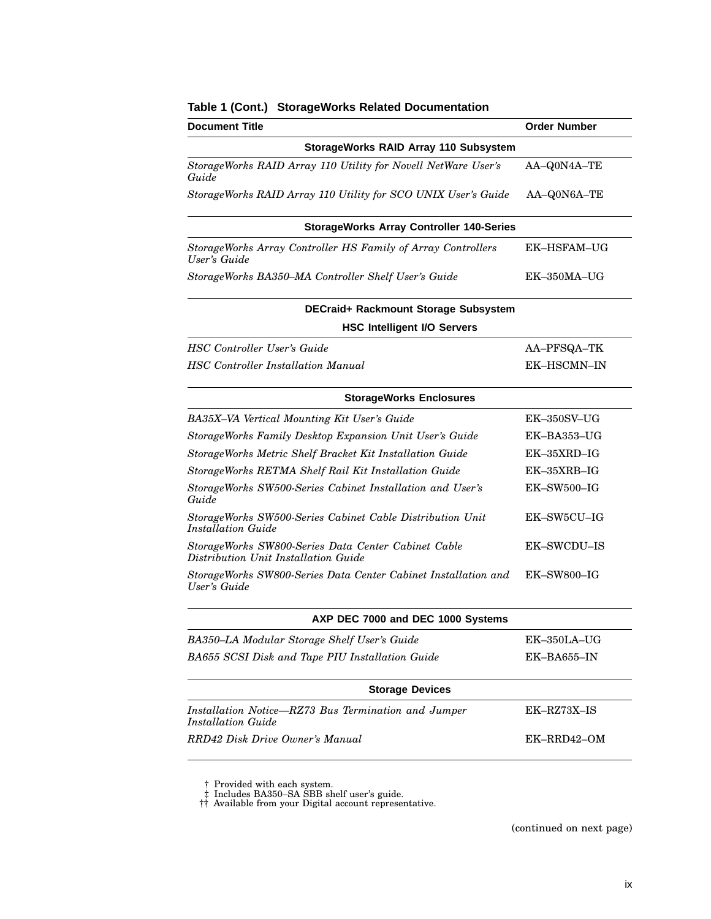| <b>Document Title</b>                                                                       | <b>Order Number</b> |
|---------------------------------------------------------------------------------------------|---------------------|
| StorageWorks RAID Array 110 Subsystem                                                       |                     |
| StorageWorks RAID Array 110 Utility for Novell NetWare User's<br>Guide                      | AA-Q0N4A-TE         |
| StorageWorks RAID Array 110 Utility for SCO UNIX User's Guide                               | AA-Q0N6A-TE         |
| <b>StorageWorks Array Controller 140-Series</b>                                             |                     |
| StorageWorks Array Controller HS Family of Array Controllers<br>User's Guide                | <b>EK-HSFAM-UG</b>  |
| StorageWorks BA350-MA Controller Shelf User's Guide                                         | EK-350MA-UG         |
| DECraid+ Rackmount Storage Subsystem                                                        |                     |
| <b>HSC Intelligent I/O Servers</b>                                                          |                     |
| <b>HSC</b> Controller User's Guide                                                          | AA-PFSQA-TK         |
| <b>HSC</b> Controller Installation Manual                                                   | EK-HSCMN-IN         |
| <b>StorageWorks Enclosures</b>                                                              |                     |
| BA35X-VA Vertical Mounting Kit User's Guide                                                 | $EK-350SV-UG$       |
| StorageWorks Family Desktop Expansion Unit User's Guide                                     | EK-BA353-UG         |
| StorageWorks Metric Shelf Bracket Kit Installation Guide                                    | $EK-35XRD-IG$       |
| StorageWorks RETMA Shelf Rail Kit Installation Guide                                        | EK-35XRB-IG         |
| StorageWorks SW500-Series Cabinet Installation and User's<br>Guide                          | EK-SW500-IG         |
| StorageWorks SW500-Series Cabinet Cable Distribution Unit<br><b>Installation Guide</b>      | EK-SW5CU-IG         |
| StorageWorks SW800-Series Data Center Cabinet Cable<br>Distribution Unit Installation Guide | <b>EK-SWCDU-IS</b>  |
| StorageWorks SW800-Series Data Center Cabinet Installation and<br>User's Guide              | EK-SW800-IG         |
| AXP DEC 7000 and DEC 1000 Systems                                                           |                     |
| BA350-LA Modular Storage Shelf User's Guide                                                 | EK-350LA-UG         |
| BA655 SCSI Disk and Tape PIU Installation Guide                                             | EK-BA655-IN         |
| <b>Storage Devices</b>                                                                      |                     |
| Installation Notice-RZ73 Bus Termination and Jumper<br><b>Installation Guide</b>            | EK-RZ73X-IS         |
| RRD42 Disk Drive Owner's Manual                                                             | EK-RRD42-OM         |

#### **Table 1 (Cont.) StorageWorks Related Documentation**

(continued on next page)

<sup>†</sup> Provided with each system. ‡ Includes BA350–SA SBB shelf user's guide. †† Available from your Digital account representative.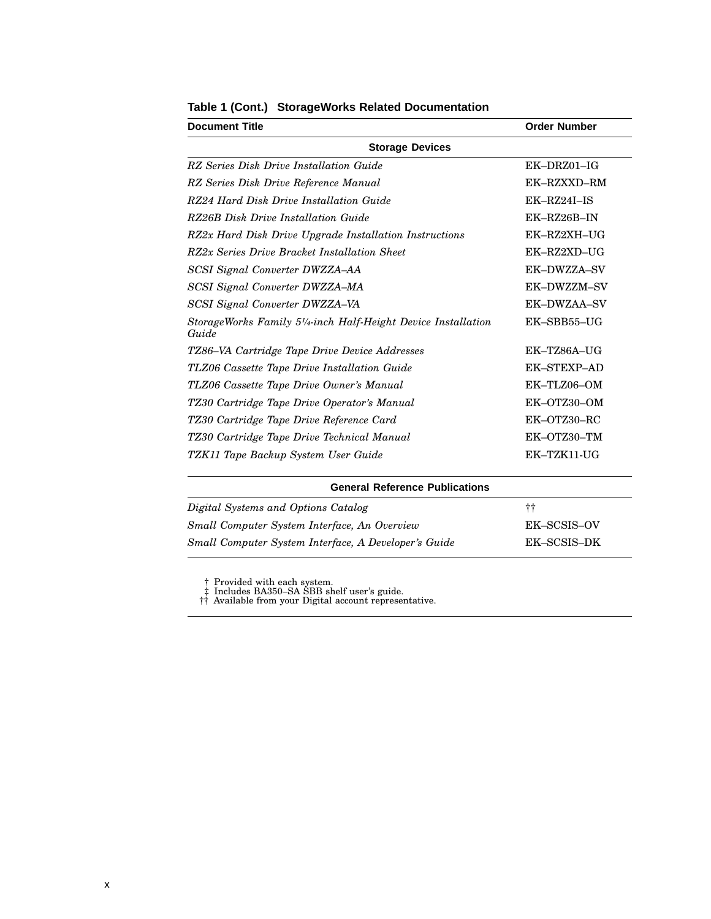| <b>Document Title</b>                                                                            | <b>Order Number</b> |
|--------------------------------------------------------------------------------------------------|---------------------|
| <b>Storage Devices</b>                                                                           |                     |
| RZ Series Disk Drive Installation Guide                                                          | $EK-DRZ01-IG$       |
| RZ Series Disk Drive Reference Manual                                                            | EK-RZXXD-RM         |
| RZ24 Hard Disk Drive Installation Guide                                                          | $EK-RZ24I-IS$       |
| RZ26B Disk Drive Installation Guide                                                              | EK-RZ26B-IN         |
| RZ2x Hard Disk Drive Upgrade Installation Instructions                                           | EK-RZ2XH-UG         |
| RZ2x Series Drive Bracket Installation Sheet                                                     | EK-RZ2XD-UG         |
| SCSI Signal Converter DWZZA-AA                                                                   | EK-DWZZA-SV         |
| SCSI Signal Converter DWZZA-MA                                                                   | EK-DWZZM-SV         |
| SCSI Signal Converter DWZZA-VA                                                                   | EK-DWZAA-SV         |
| StorageWorks Family 5 <sup>1</sup> / <sub>4</sub> -inch Half-Height Device Installation<br>Guide | EK-SBB55-UG         |
| TZ86–VA Cartridge Tape Drive Device Addresses                                                    | EK-TZ86A-UG         |
| TLZ06 Cassette Tape Drive Installation Guide                                                     | <b>EK-STEXP-AD</b>  |
| TLZ06 Cassette Tape Drive Owner's Manual                                                         | EK-TLZ06-OM         |
| TZ30 Cartridge Tape Drive Operator's Manual                                                      | EK-OTZ30-OM         |
| TZ30 Cartridge Tape Drive Reference Card                                                         | EK-OTZ30-RC         |
| TZ30 Cartridge Tape Drive Technical Manual                                                       | EK-OTZ30-TM         |
| TZK11 Tape Backup System User Guide                                                              | EK-TZK11-UG         |

### **Table 1 (Cont.) StorageWorks Related Documentation**

| <b>General Reference Publications</b>                |             |
|------------------------------------------------------|-------------|
| Digital Systems and Options Catalog                  | $^{\rm ++}$ |
| Small Computer System Interface, An Overview         | EK-SCSIS-OV |
| Small Computer System Interface, A Developer's Guide | EK-SCSIS-DK |

† Provided with each system. ‡ Includes BA350–SA SBB shelf user's guide. †† Available from your Digital account representative.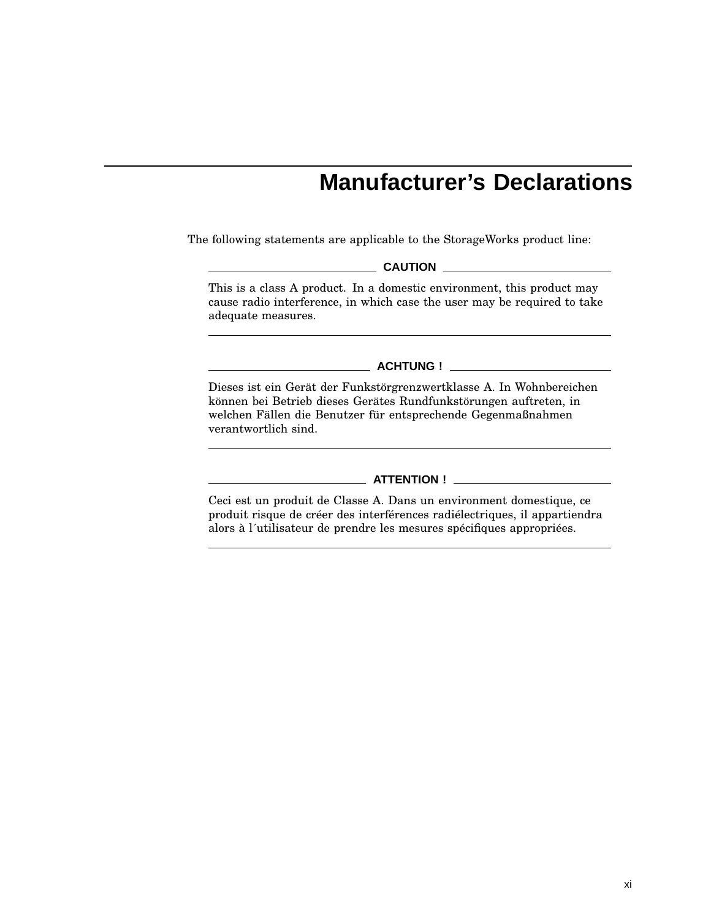# **Manufacturer's Declarations**

The following statements are applicable to the StorageWorks product line:

**CAUTION**

This is a class A product. In a domestic environment, this product may cause radio interference, in which case the user may be required to take adequate measures.

**ACHTUNG !**

Dieses ist ein Gerät der Funkstörgrenzwertklasse A. In Wohnbereichen können bei Betrieb dieses Gerätes Rundfunkstörungen auftreten, in welchen Fällen die Benutzer für entsprechende Gegenmaßnahmen verantwortlich sind.

#### **ATTENTION !**

Ceci est un produit de Classe A. Dans un environment domestique, ce produit risque de créer des interférences radiélectriques, il appartiendra alors à l´utilisateur de prendre les mesures spécifiques appropriées.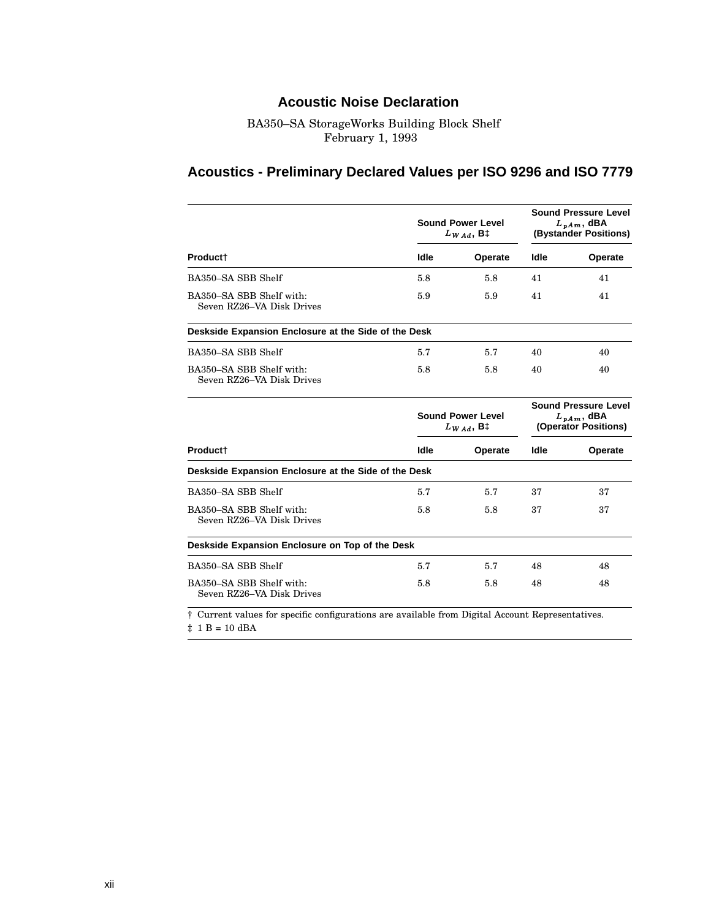## **Acoustic Noise Declaration**

#### BA350–SA StorageWorks Building Block Shelf February 1, 1993

## **Acoustics - Preliminary Declared Values per ISO 9296 and ISO 7779**

|                                                                                                             |                                            | <b>Sound Power Level</b><br>$L_{WAA}$ , B‡ | <b>Sound Pressure Level</b><br>$L_{p,Am}$ , dBA<br>(Bystander Positions)  |         |
|-------------------------------------------------------------------------------------------------------------|--------------------------------------------|--------------------------------------------|---------------------------------------------------------------------------|---------|
| Product <sup>+</sup>                                                                                        | Idle                                       | Operate                                    | Idle                                                                      | Operate |
| BA350-SA SBB Shelf                                                                                          | 5.8                                        | 5.8                                        | 41                                                                        | 41      |
| BA350-SA SBB Shelf with:<br>Seven RZ26-VA Disk Drives                                                       | 5.9                                        | 5.9                                        | 41                                                                        | 41      |
| Deskside Expansion Enclosure at the Side of the Desk                                                        |                                            |                                            |                                                                           |         |
| BA350-SA SBB Shelf                                                                                          | 5.7                                        | 5.7                                        | 40                                                                        | 40      |
| BA350-SA SBB Shelf with:<br>Seven RZ26–VA Disk Drives                                                       | 5.8                                        | 5.8                                        | 40                                                                        | 40      |
|                                                                                                             | <b>Sound Power Level</b><br>$L_{WAd}$ , B‡ |                                            | <b>Sound Pressure Level</b><br>$L_{\nu Am}$ , dBA<br>(Operator Positions) |         |
| Product†                                                                                                    | Idle                                       | Operate                                    | ldle                                                                      | Operate |
| Deskside Expansion Enclosure at the Side of the Desk                                                        |                                            |                                            |                                                                           |         |
| BA350-SA SBB Shelf                                                                                          | 5.7                                        | 5.7                                        | 37                                                                        | 37      |
| BA350-SA SBB Shelf with:<br>Seven RZ26-VA Disk Drives                                                       | 5.8                                        | 5.8                                        | 37                                                                        | 37      |
| Deskside Expansion Enclosure on Top of the Desk                                                             |                                            |                                            |                                                                           |         |
| BA350-SA SBB Shelf                                                                                          | 5.7                                        | 5.7                                        | 48                                                                        | 48      |
| BA350-SA SBB Shelf with:<br>Seven RZ26-VA Disk Drives                                                       | 5.8                                        | 5.8                                        | 48                                                                        | 48      |
| <sup>†</sup> Current values for specific configurations are available from Digital Account Representatives. |                                            |                                            |                                                                           |         |

 $\ddagger$  1 B = 10 dBA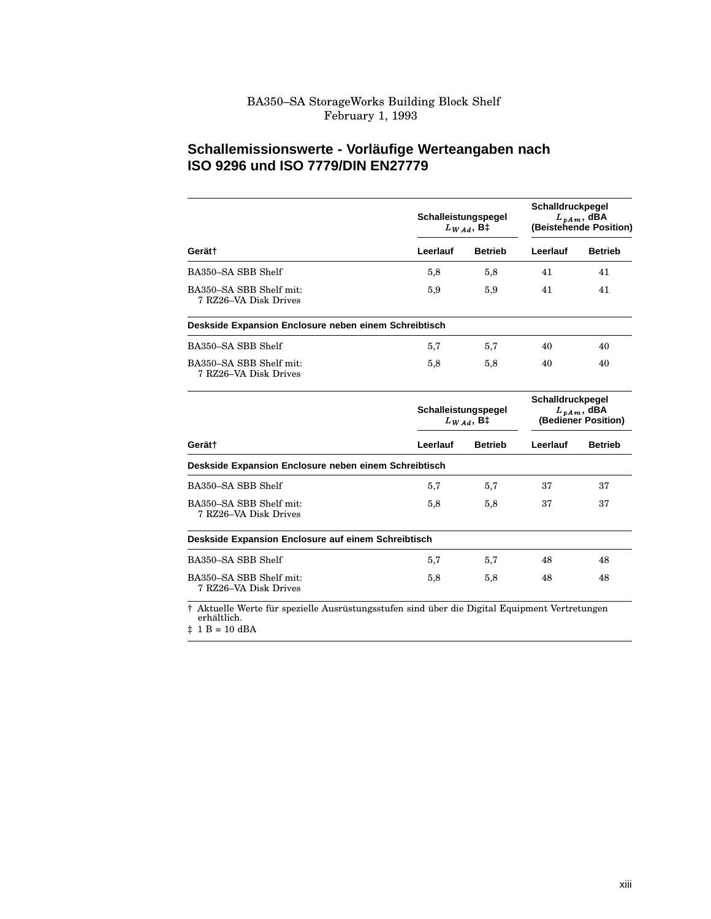#### BA350–SA StorageWorks Building Block Shelf February 1, 1993

#### **Schallemissionswerte - Vorläufige Werteangaben nach ISO 9296 und ISO 7779/DIN EN27779**

|                                                                                                              | Schalleistungspegel<br>$L_{WAd}$ , B‡ |                | Schalldruckpegel<br>$L_{nAm}$ , dBA<br>(Beistehende Position) |                |
|--------------------------------------------------------------------------------------------------------------|---------------------------------------|----------------|---------------------------------------------------------------|----------------|
| Gerät†                                                                                                       | Leerlauf                              | <b>Betrieb</b> | Leerlauf                                                      | <b>Betrieb</b> |
| BA350-SA SBB Shelf                                                                                           | 5,8                                   | 5,8            | 41                                                            | 41             |
| BA350-SA SBB Shelf mit:<br>7 RZ26–VA Disk Drives                                                             | 5,9                                   | 5,9            | 41                                                            | 41             |
| Deskside Expansion Enclosure neben einem Schreibtisch                                                        |                                       |                |                                                               |                |
| BA350-SA SBB Shelf                                                                                           | 5,7                                   | 5,7            | 40                                                            | 40             |
| BA350-SA SBB Shelf mit:<br>7 RZ26–VA Disk Drives                                                             | 5,8                                   | 5,8            | 40                                                            | 40             |
|                                                                                                              | Schalleistungspegel<br>$L_{WAd}$ , B‡ |                | Schalldruckpegel<br>$L_{vAm}$ , dBA<br>(Bediener Position)    |                |
| Gerät†                                                                                                       | Leerlauf                              | <b>Betrieb</b> | Leerlauf                                                      | <b>Betrieb</b> |
| Deskside Expansion Enclosure neben einem Schreibtisch                                                        |                                       |                |                                                               |                |
| BA350-SA SBB Shelf                                                                                           | 5,7                                   | 5,7            | 37                                                            | 37             |
| BA350-SA SBB Shelf mit:<br>7 RZ26–VA Disk Drives                                                             | 5,8                                   | 5,8            | 37                                                            | 37             |
| Deskside Expansion Enclosure auf einem Schreibtisch                                                          |                                       |                |                                                               |                |
| BA350-SA SBB Shelf                                                                                           | 5,7                                   | 5,7            | 48                                                            | 48             |
| BA350-SA SBB Shelf mit:<br>7 RZ26–VA Disk Drives                                                             | 5,8                                   | 5,8            | 48                                                            | 48             |
| † Aktuelle Werte für spezielle Ausrüstungsstufen sind über die Digital Equipment Vertretungen<br>erhältlich. |                                       |                |                                                               |                |

‡ 1 B = 10 dBA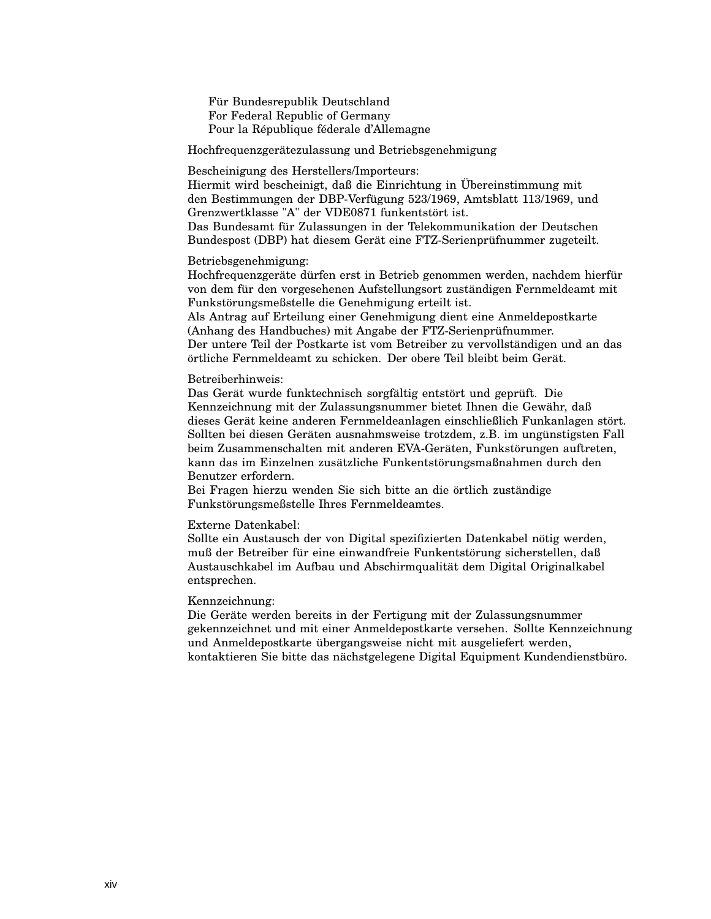Für Bundesrepublik Deutschland For Federal Republic of Germany Pour la République féderale d'Allemagne

Hochfrequenzgerätezulassung und Betriebsgenehmigung

Bescheinigung des Herstellers/Importeurs:

Hiermit wird bescheinigt, daß die Einrichtung in Übereinstimmung mit den Bestimmungen der DBP-Verfügung 523/1969, Amtsblatt 113/1969, und Grenzwertklasse "A" der VDE0871 funkentstört ist.

Das Bundesamt für Zulassungen in der Telekommunikation der Deutschen Bundespost (DBP) hat diesem Gerät eine FTZ-Serienprüfnummer zugeteilt.

#### Betriebsgenehmigung:

Hochfrequenzgeräte dürfen erst in Betrieb genommen werden, nachdem hierfür von dem für den vorgesehenen Aufstellungsort zuständigen Fernmeldeamt mit Funkstörungsmeßstelle die Genehmigung erteilt ist.

Als Antrag auf Erteilung einer Genehmigung dient eine Anmeldepostkarte (Anhang des Handbuches) mit Angabe der FTZ-Serienprüfnummer. Der untere Teil der Postkarte ist vom Betreiber zu vervollständigen und an das örtliche Fernmeldeamt zu schicken. Der obere Teil bleibt beim Gerät.

#### Betreiberhinweis:

Das Gerät wurde funktechnisch sorgfältig entstört und geprüft. Die Kennzeichnung mit der Zulassungsnummer bietet Ihnen die Gewähr, daß dieses Gerät keine anderen Fernmeldeanlagen einschließlich Funkanlagen stört. Sollten bei diesen Geräten ausnahmsweise trotzdem, z.B. im ungünstigsten Fall beim Zusammenschalten mit anderen EVA-Geräten, Funkstörungen auftreten, kann das im Einzelnen zusätzliche Funkentstörungsmaßnahmen durch den Benutzer erfordern.

Bei Fragen hierzu wenden Sie sich bitte an die örtlich zuständige Funkstörungsmeßstelle Ihres Fernmeldeamtes.

#### Externe Datenkabel:

Sollte ein Austausch der von Digital spezifizierten Datenkabel nötig werden, muß der Betreiber für eine einwandfreie Funkentstörung sicherstellen, daß Austauschkabel im Aufbau und Abschirmqualität dem Digital Originalkabel entsprechen.

#### Kennzeichnung:

Die Geräte werden bereits in der Fertigung mit der Zulassungsnummer gekennzeichnet und mit einer Anmeldepostkarte versehen. Sollte Kennzeichnung und Anmeldepostkarte übergangsweise nicht mit ausgeliefert werden, kontaktieren Sie bitte das nächstgelegene Digital Equipment Kundendienstbüro.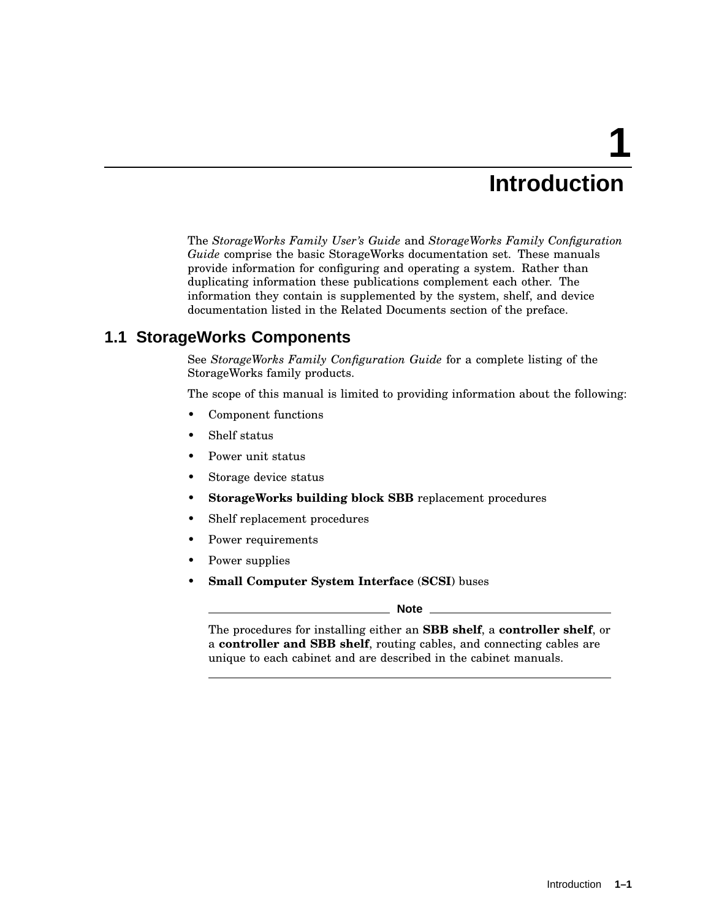# **1 Introduction**

The *StorageWorks Family User's Guide* and *StorageWorks Family Configuration Guide* comprise the basic StorageWorks documentation set. These manuals provide information for configuring and operating a system. Rather than duplicating information these publications complement each other. The information they contain is supplemented by the system, shelf, and device documentation listed in the Related Documents section of the preface.

## **1.1 StorageWorks Components**

See *StorageWorks Family Configuration Guide* for a complete listing of the StorageWorks family products.

The scope of this manual is limited to providing information about the following:

- Component functions
- Shelf status
- Power unit status
- Storage device status
- **StorageWorks building block SBB** replacement procedures
- Shelf replacement procedures
- Power requirements
- Power supplies
- **Small Computer System Interface** (**SCSI**) buses

**Note**

The procedures for installing either an **SBB shelf**, a **controller shelf**, or a **controller and SBB shelf**, routing cables, and connecting cables are unique to each cabinet and are described in the cabinet manuals.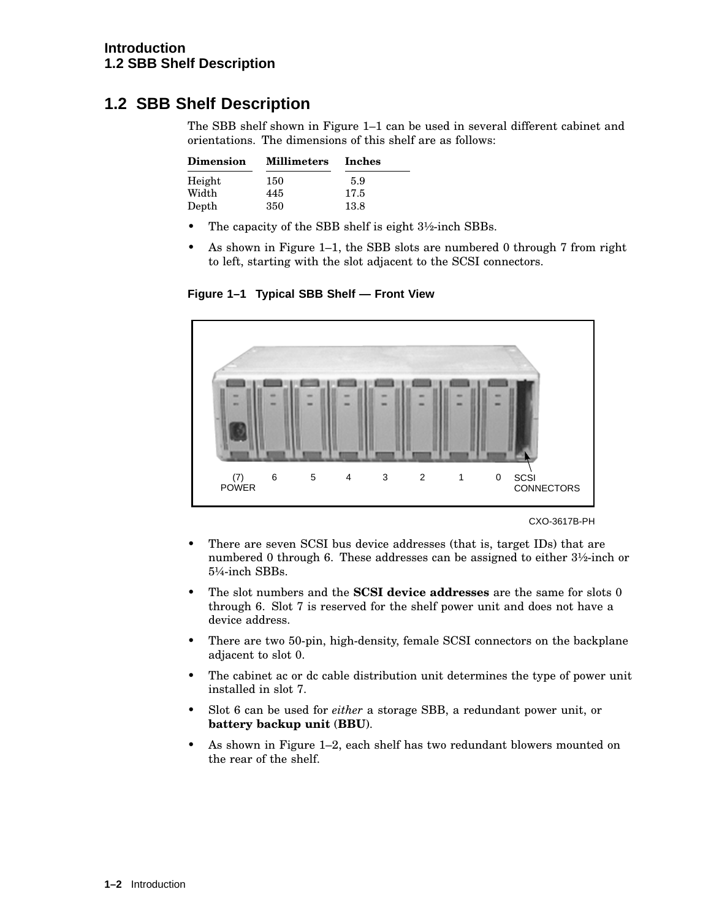## **1.2 SBB Shelf Description**

The SBB shelf shown in Figure 1–1 can be used in several different cabinet and orientations. The dimensions of this shelf are as follows:

| <b>Dimension</b> | <b>Millimeters</b> | Inches |
|------------------|--------------------|--------|
| Height           | 150                | 5.9    |
| Width            | 445                | 17.5   |
| Depth            | 350                | 13.8   |

- The capacity of the SBB shelf is eight  $3\frac{1}{2}$ -inch SBBs.
- As shown in Figure 1–1, the SBB slots are numbered 0 through 7 from right to left, starting with the slot adjacent to the SCSI connectors.

**Figure 1–1 Typical SBB Shelf — Front View**



CXO-3617B-PH

- There are seven SCSI bus device addresses (that is, target IDs) that are numbered 0 through 6. These addresses can be assigned to either 3½-inch or 5¼-inch SBBs.
- The slot numbers and the **SCSI device addresses** are the same for slots 0 through 6. Slot 7 is reserved for the shelf power unit and does not have a device address.
- There are two 50-pin, high-density, female SCSI connectors on the backplane adjacent to slot 0.
- The cabinet ac or dc cable distribution unit determines the type of power unit installed in slot 7.
- Slot 6 can be used for *either* a storage SBB, a redundant power unit, or **battery backup unit** (**BBU**).
- As shown in Figure 1–2, each shelf has two redundant blowers mounted on the rear of the shelf.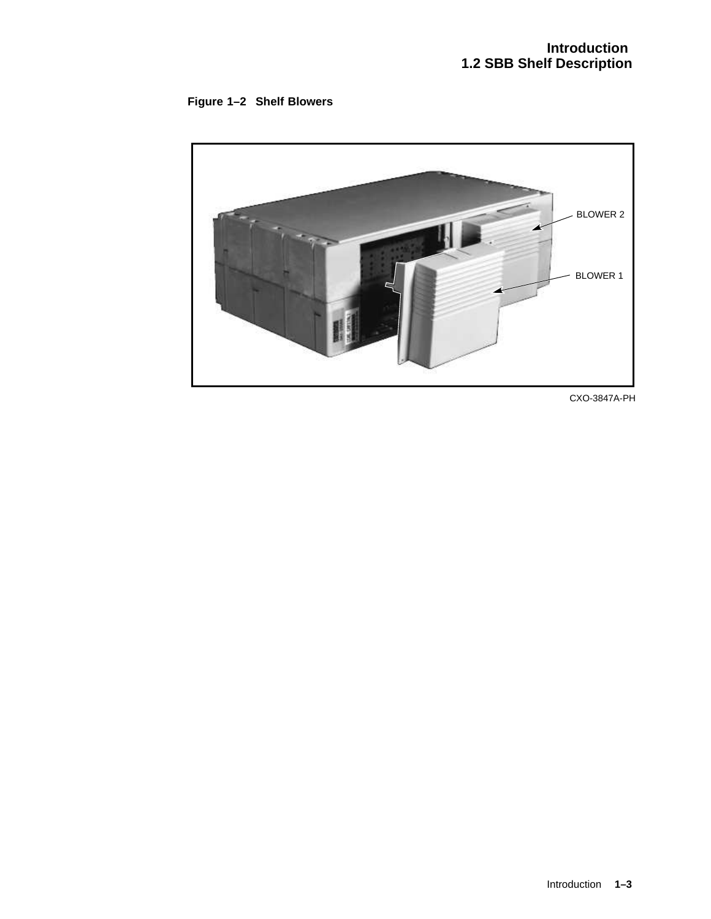



CXO-3847A-PH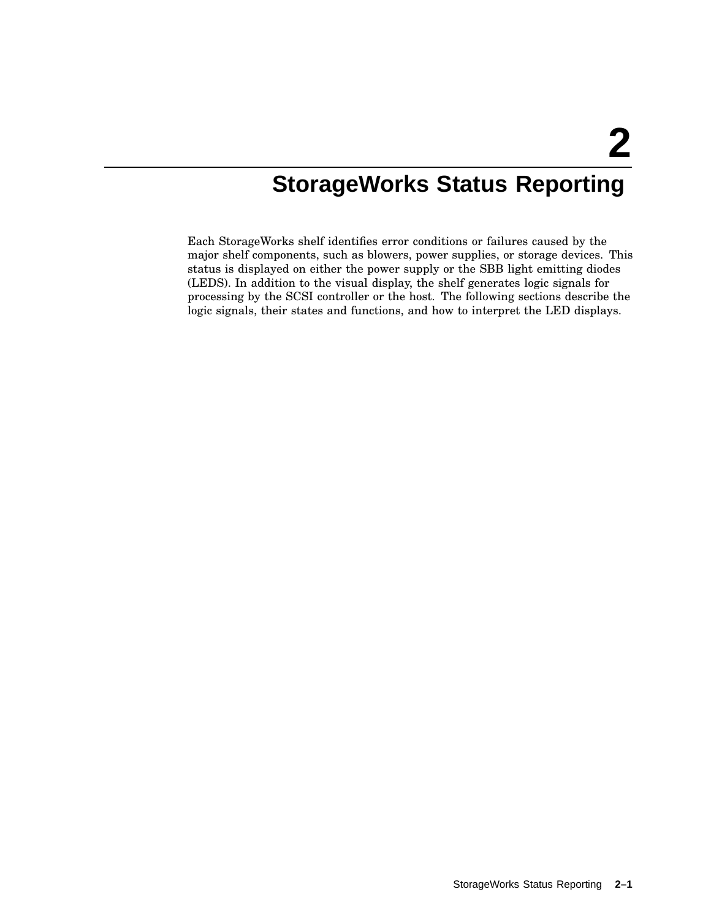# **StorageWorks Status Reporting**

Each StorageWorks shelf identifies error conditions or failures caused by the major shelf components, such as blowers, power supplies, or storage devices. This status is displayed on either the power supply or the SBB light emitting diodes (LEDS). In addition to the visual display, the shelf generates logic signals for processing by the SCSI controller or the host. The following sections describe the logic signals, their states and functions, and how to interpret the LED displays.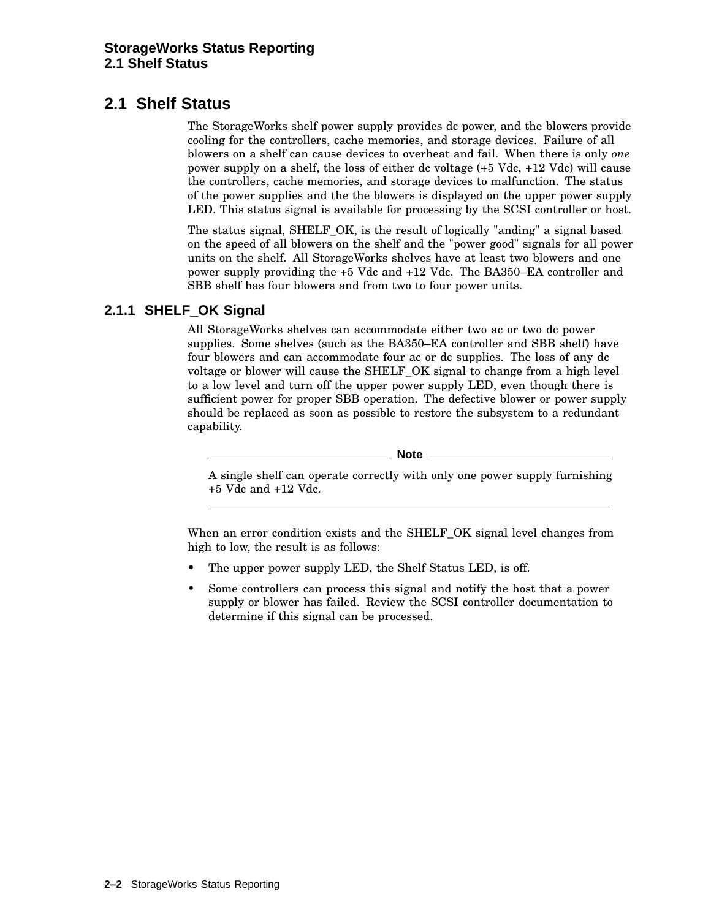## **2.1 Shelf Status**

The StorageWorks shelf power supply provides dc power, and the blowers provide cooling for the controllers, cache memories, and storage devices. Failure of all blowers on a shelf can cause devices to overheat and fail. When there is only *one* power supply on a shelf, the loss of either dc voltage (+5 Vdc, +12 Vdc) will cause the controllers, cache memories, and storage devices to malfunction. The status of the power supplies and the the blowers is displayed on the upper power supply LED. This status signal is available for processing by the SCSI controller or host.

The status signal, SHELF\_OK, is the result of logically "anding" a signal based on the speed of all blowers on the shelf and the "power good" signals for all power units on the shelf. All StorageWorks shelves have at least two blowers and one power supply providing the +5 Vdc and +12 Vdc. The BA350–EA controller and SBB shelf has four blowers and from two to four power units.

## **2.1.1 SHELF\_OK Signal**

All StorageWorks shelves can accommodate either two ac or two dc power supplies. Some shelves (such as the BA350–EA controller and SBB shelf) have four blowers and can accommodate four ac or dc supplies. The loss of any dc voltage or blower will cause the SHELF\_OK signal to change from a high level to a low level and turn off the upper power supply LED, even though there is sufficient power for proper SBB operation. The defective blower or power supply should be replaced as soon as possible to restore the subsystem to a redundant capability.

**Note** \_

A single shelf can operate correctly with only one power supply furnishing +5 Vdc and +12 Vdc.

When an error condition exists and the SHELF OK signal level changes from high to low, the result is as follows:

- The upper power supply LED, the Shelf Status LED, is off.
- Some controllers can process this signal and notify the host that a power supply or blower has failed. Review the SCSI controller documentation to determine if this signal can be processed.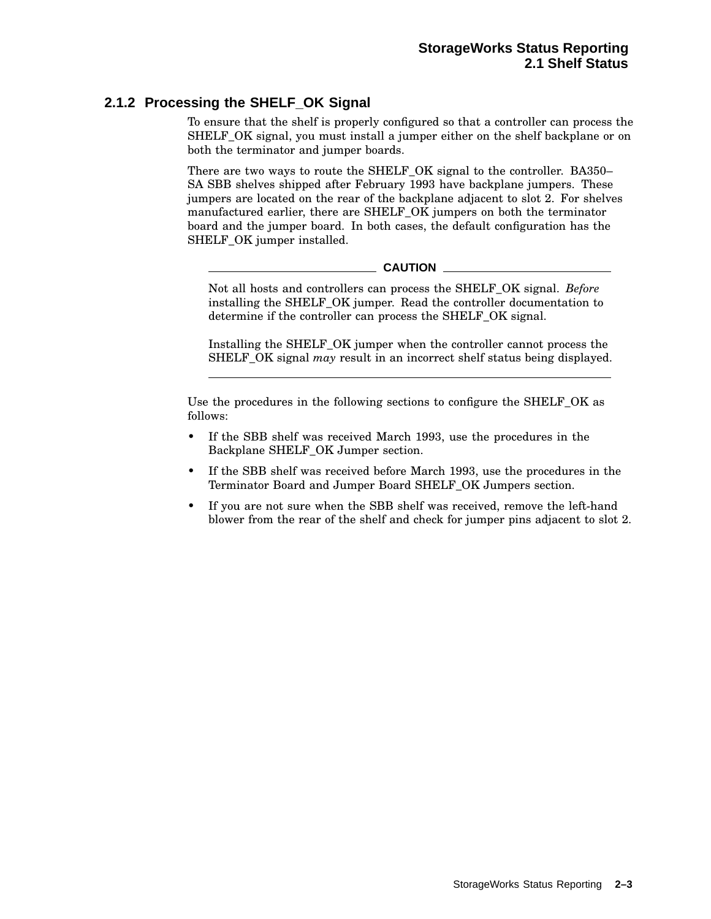### **2.1.2 Processing the SHELF\_OK Signal**

To ensure that the shelf is properly configured so that a controller can process the SHELF OK signal, you must install a jumper either on the shelf backplane or on both the terminator and jumper boards.

There are two ways to route the SHELF\_OK signal to the controller. BA350– SA SBB shelves shipped after February 1993 have backplane jumpers. These jumpers are located on the rear of the backplane adjacent to slot 2. For shelves manufactured earlier, there are SHELF\_OK jumpers on both the terminator board and the jumper board. In both cases, the default configuration has the SHELF OK jumper installed.

**CAUTION**

Not all hosts and controllers can process the SHELF\_OK signal. *Before* installing the SHELF\_OK jumper. Read the controller documentation to determine if the controller can process the SHELF OK signal.

Installing the SHELF\_OK jumper when the controller cannot process the SHELF\_OK signal *may* result in an incorrect shelf status being displayed.

Use the procedures in the following sections to configure the SHELF\_OK as follows:

- If the SBB shelf was received March 1993, use the procedures in the Backplane SHELF\_OK Jumper section.
- If the SBB shelf was received before March 1993, use the procedures in the Terminator Board and Jumper Board SHELF\_OK Jumpers section.
- If you are not sure when the SBB shelf was received, remove the left-hand blower from the rear of the shelf and check for jumper pins adjacent to slot 2.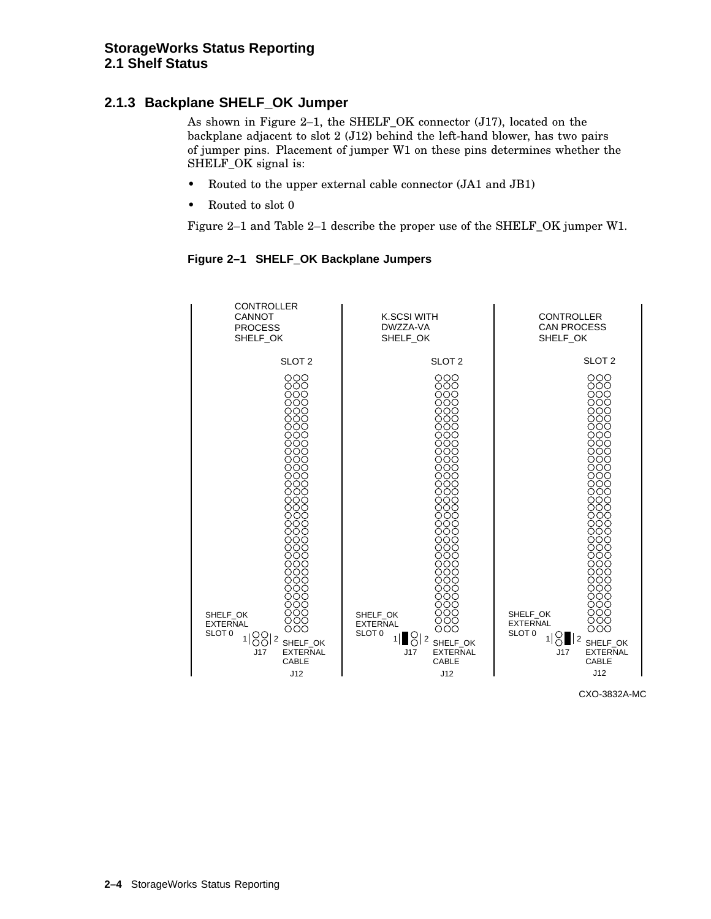## **2.1.3 Backplane SHELF\_OK Jumper**

As shown in Figure 2–1, the SHELF\_OK connector (J17), located on the backplane adjacent to slot 2 (J12) behind the left-hand blower, has two pairs of jumper pins. Placement of jumper W1 on these pins determines whether the SHELF\_OK signal is:

- Routed to the upper external cable connector (JA1 and JB1)
- Routed to slot 0

Figure 2–1 and Table 2–1 describe the proper use of the SHELF\_OK jumper W1.



#### **Figure 2–1 SHELF\_OK Backplane Jumpers**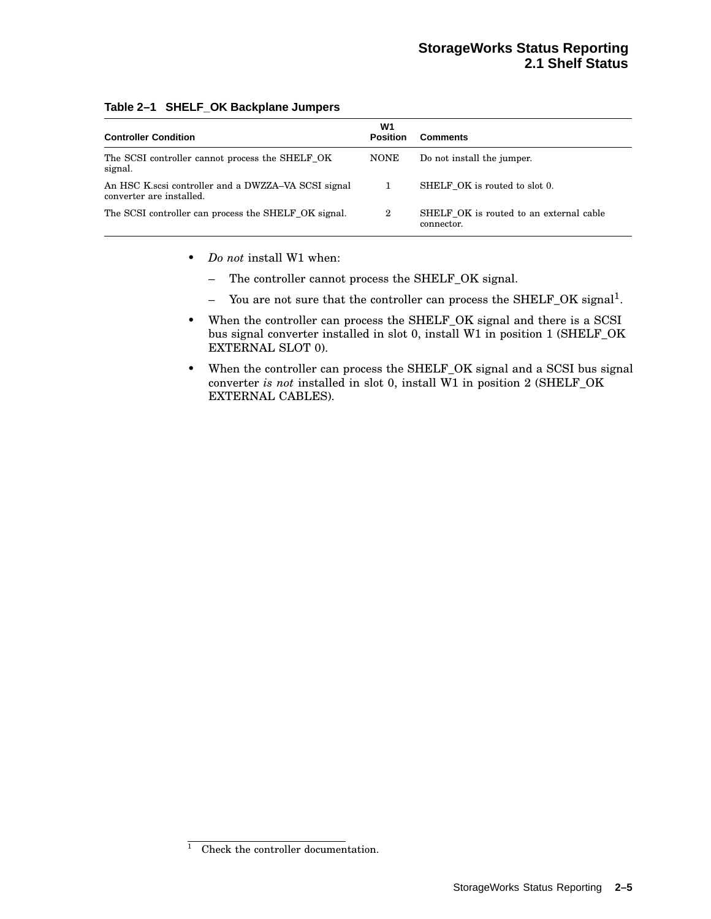#### **StorageWorks Status Reporting 2.1 Shelf Status**

| <b>Controller Condition</b>                                                      | W1<br><b>Position</b> | <b>Comments</b>                                       |
|----------------------------------------------------------------------------------|-----------------------|-------------------------------------------------------|
| The SCSI controller cannot process the SHELF OK<br>signal.                       | <b>NONE</b>           | Do not install the jumper.                            |
| An HSC K, scsi controller and a DWZZA–VA SCSI signal<br>converter are installed. | 1                     | SHELF OK is routed to slot 0.                         |
| The SCSI controller can process the SHELF OK signal.                             | $\overline{2}$        | SHELF OK is routed to an external cable<br>connector. |

#### **Table 2–1 SHELF\_OK Backplane Jumpers**

- *Do not* install W1 when:
	- The controller cannot process the SHELF\_OK signal.
	- You are not sure that the controller can process the SHELF\_OK signal<sup>1</sup>.
- When the controller can process the SHELF\_OK signal and there is a SCSI bus signal converter installed in slot 0, install W1 in position 1 (SHELF\_OK EXTERNAL SLOT 0).
- When the controller can process the SHELF\_OK signal and a SCSI bus signal converter *is not* installed in slot 0, install W1 in position 2 (SHELF\_OK EXTERNAL CABLES).

 $\overline{1}$  Check the controller documentation.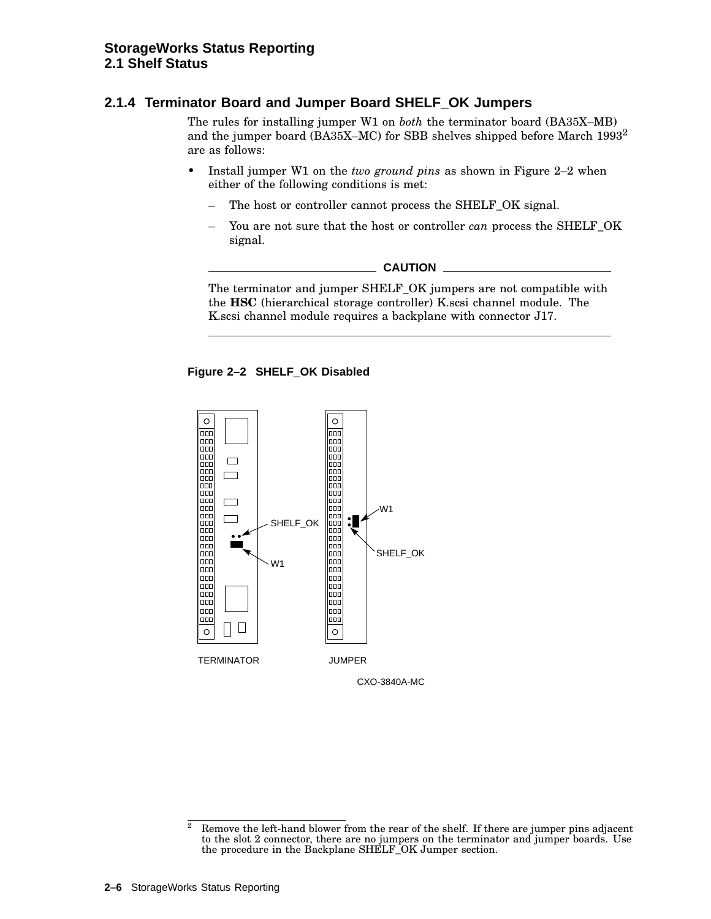### **2.1.4 Terminator Board and Jumper Board SHELF\_OK Jumpers**

The rules for installing jumper W1 on *both* the terminator board (BA35X–MB) and the jumper board (BA35X–MC) for SBB shelves shipped before March 1993<sup>2</sup> are as follows:

- Install jumper W1 on the *two ground pins* as shown in Figure 2–2 when either of the following conditions is met:
	- The host or controller cannot process the SHELF\_OK signal.
	- You are not sure that the host or controller *can* process the SHELF OK signal.

**CAUTION**

The terminator and jumper SHELF\_OK jumpers are not compatible with the **HSC** (hierarchical storage controller) K.scsi channel module. The K.scsi channel module requires a backplane with connector J17.





 $\overline{a}$  Remove the left-hand blower from the rear of the shelf. If there are jumper pins adjacent to the slot 2 connector, there are no jumpers on the terminator and jumper boards. Use the procedure in the Backplane SHELF\_OK Jumper section.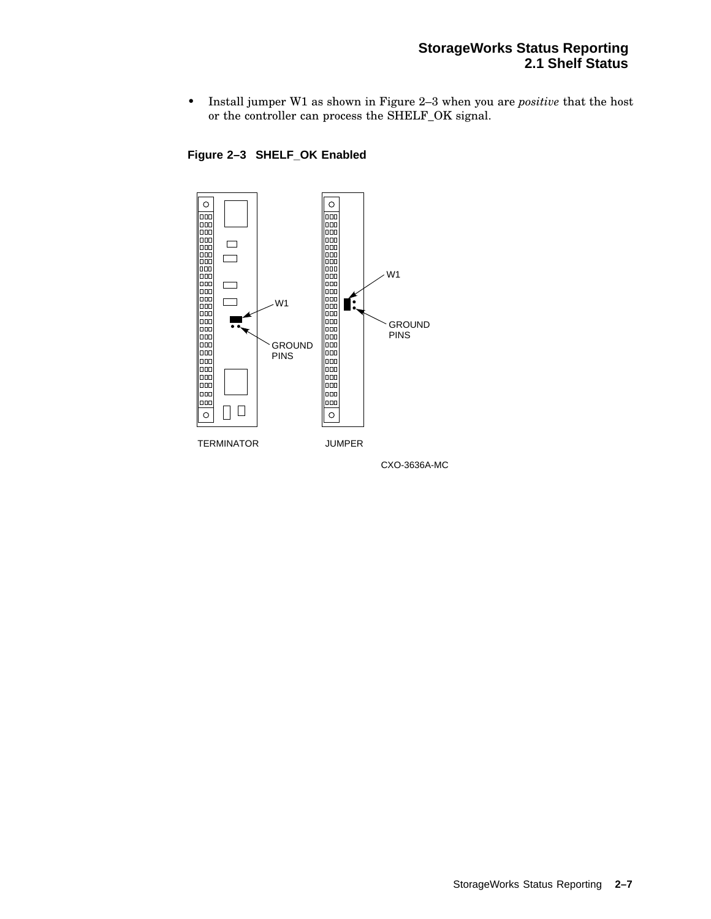#### **StorageWorks Status Reporting 2.1 Shelf Status**

• Install jumper W1 as shown in Figure 2–3 when you are *positive* that the host or the controller can process the SHELF\_OK signal.



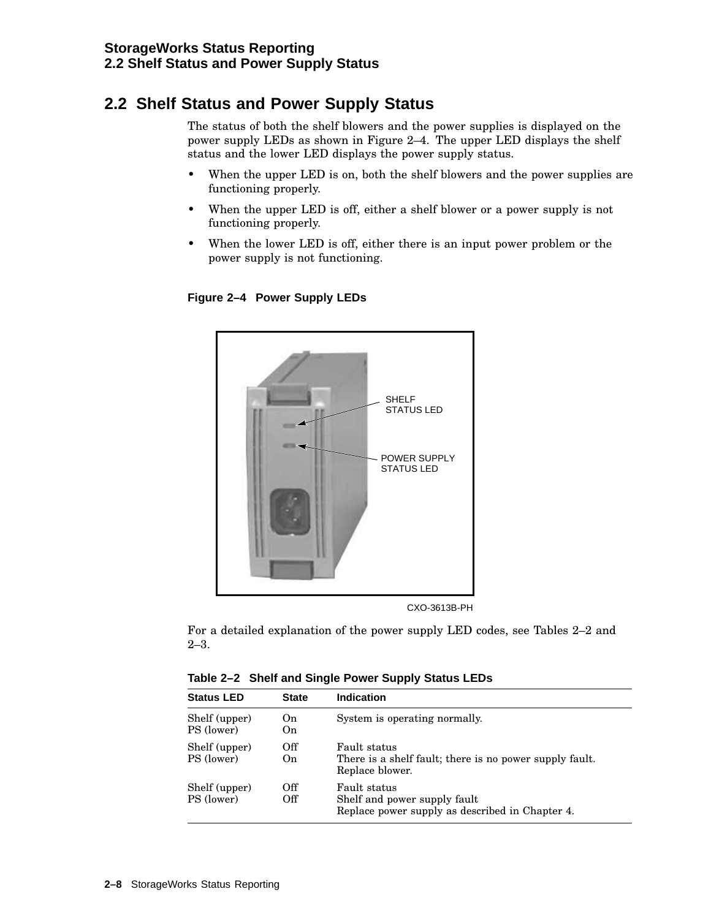## **2.2 Shelf Status and Power Supply Status**

The status of both the shelf blowers and the power supplies is displayed on the power supply LEDs as shown in Figure 2–4. The upper LED displays the shelf status and the lower LED displays the power supply status.

- When the upper LED is on, both the shelf blowers and the power supplies are functioning properly.
- When the upper LED is off, either a shelf blower or a power supply is not functioning properly.
- When the lower LED is off, either there is an input power problem or the power supply is not functioning.



**Figure 2–4 Power Supply LEDs**

CXO-3613B-PH

For a detailed explanation of the power supply LED codes, see Tables 2–2 and 2–3.

**Table 2–2 Shelf and Single Power Supply Status LEDs**

| <b>Status LED</b>           | <b>State</b> | <b>Indication</b>                                                                               |
|-----------------------------|--------------|-------------------------------------------------------------------------------------------------|
| Shelf (upper)<br>PS (lower) | On.<br>On.   | System is operating normally.                                                                   |
| Shelf (upper)<br>PS (lower) | Off<br>On    | Fault status<br>There is a shelf fault; there is no power supply fault.<br>Replace blower.      |
| Shelf (upper)<br>PS (lower) | Off<br>Off   | Fault status<br>Shelf and power supply fault<br>Replace power supply as described in Chapter 4. |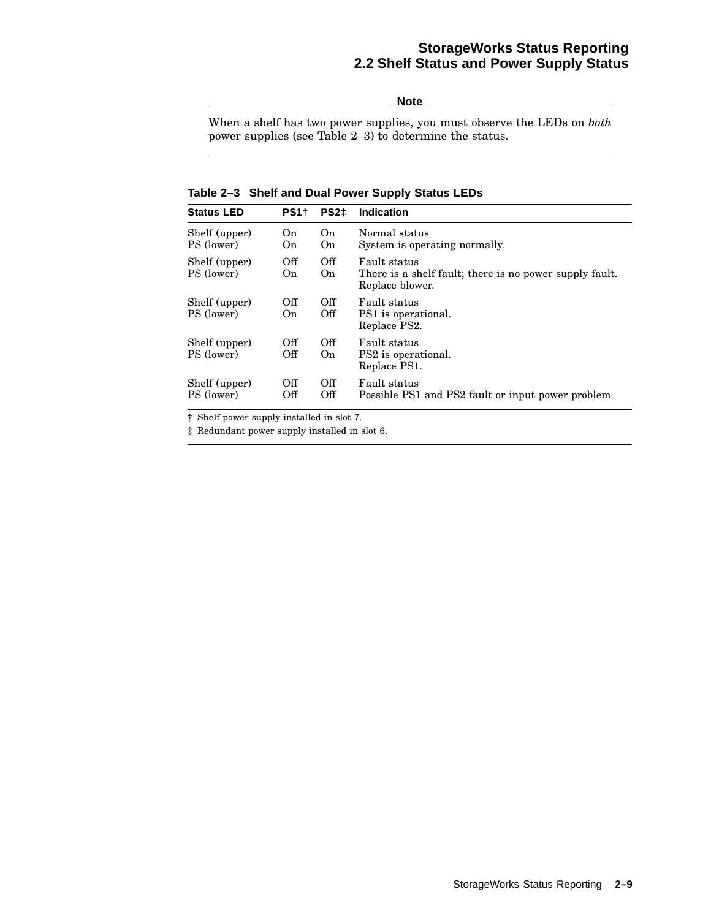## **StorageWorks Status Reporting 2.2 Shelf Status and Power Supply Status**

**Note**

When a shelf has two power supplies, you must observe the LEDs on *both* power supplies (see Table 2–3) to determine the status.

**Table 2–3 Shelf and Dual Power Supply Status LEDs**

| <b>Status LED</b>           | PS <sub>1</sub> | PS2±       | <b>Indication</b>                                                                          |
|-----------------------------|-----------------|------------|--------------------------------------------------------------------------------------------|
| Shelf (upper)<br>PS (lower) | On<br>On.       | On.<br>On  | Normal status<br>System is operating normally.                                             |
| Shelf (upper)<br>PS (lower) | Off<br>On.      | Off<br>On  | Fault status<br>There is a shelf fault; there is no power supply fault.<br>Replace blower. |
| Shelf (upper)<br>PS (lower) | Off<br>On.      | Off<br>Off | Fault status<br>PS1 is operational.<br>Replace PS2.                                        |
| Shelf (upper)<br>PS (lower) | Off<br>Off      | Off<br>On. | Fault status<br>PS2 is operational.<br>Replace PS1.                                        |
| Shelf (upper)<br>PS (lower) | Off<br>Off      | Off<br>Off | Fault status<br>Possible PS1 and PS2 fault or input power problem                          |

† Shelf power supply installed in slot 7.

‡ Redundant power supply installed in slot 6.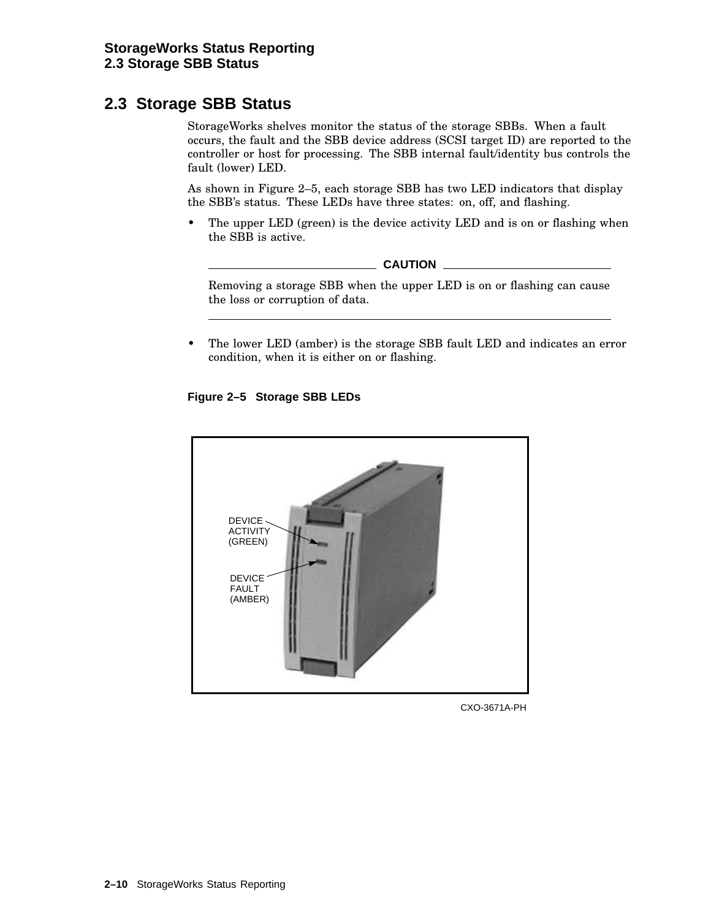## **2.3 Storage SBB Status**

StorageWorks shelves monitor the status of the storage SBBs. When a fault occurs, the fault and the SBB device address (SCSI target ID) are reported to the controller or host for processing. The SBB internal fault/identity bus controls the fault (lower) LED.

As shown in Figure 2–5, each storage SBB has two LED indicators that display the SBB's status. These LEDs have three states: on, off, and flashing.

• The upper LED (green) is the device activity LED and is on or flashing when the SBB is active.



Removing a storage SBB when the upper LED is on or flashing can cause the loss or corruption of data.

• The lower LED (amber) is the storage SBB fault LED and indicates an error condition, when it is either on or flashing.

#### **Figure 2–5 Storage SBB LEDs**



CXO-3671A-PH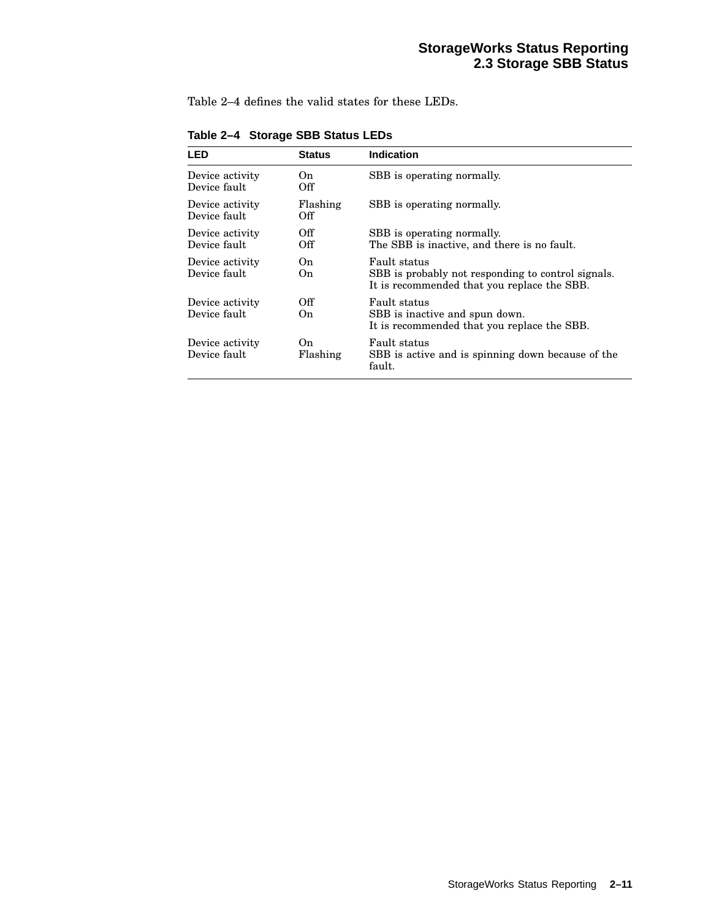Table 2–4 defines the valid states for these LEDs.

| LED                             | <b>Status</b>   | <b>Indication</b>                                                                                                 |
|---------------------------------|-----------------|-------------------------------------------------------------------------------------------------------------------|
| Device activity<br>Device fault | On.<br>Off      | SBB is operating normally.                                                                                        |
| Device activity<br>Device fault | Flashing<br>Off | SBB is operating normally.                                                                                        |
| Device activity<br>Device fault | Off<br>Off      | SBB is operating normally.<br>The SBB is inactive, and there is no fault.                                         |
| Device activity<br>Device fault | On.<br>On.      | Fault status<br>SBB is probably not responding to control signals.<br>It is recommended that you replace the SBB. |
| Device activity<br>Device fault | Off<br>On.      | Fault status<br>SBB is inactive and spun down.<br>It is recommended that you replace the SBB.                     |
| Device activity<br>Device fault | On.<br>Flashing | Fault status<br>SBB is active and is spinning down because of the<br>fault.                                       |

**Table 2–4 Storage SBB Status LEDs**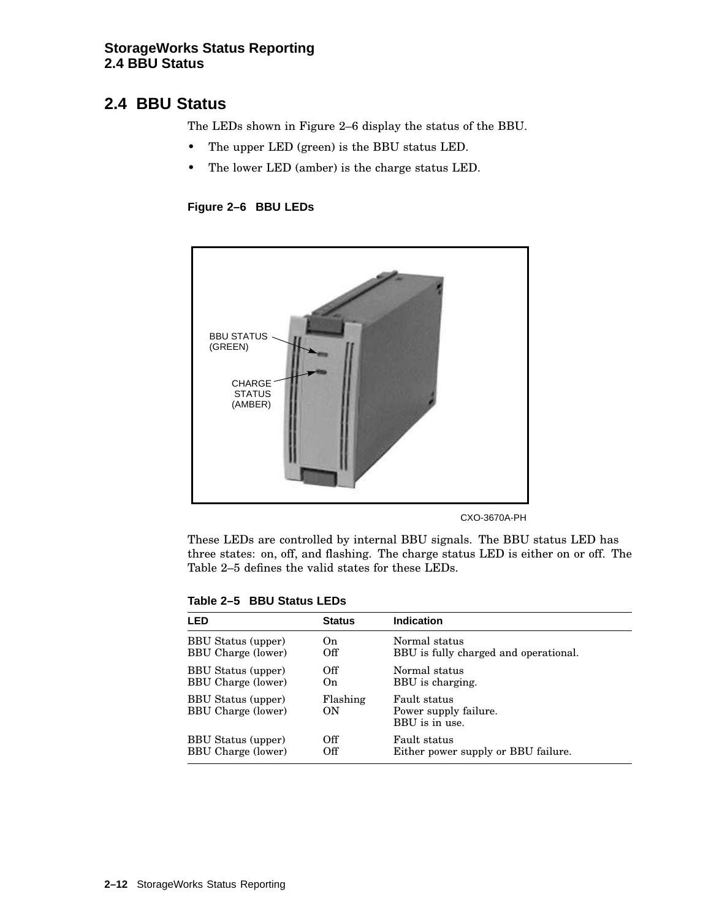#### **StorageWorks Status Reporting 2.4 BBU Status**

## **2.4 BBU Status**

The LEDs shown in Figure 2–6 display the status of the BBU.

- The upper LED (green) is the BBU status LED.
- The lower LED (amber) is the charge status LED.

**Figure 2–6 BBU LEDs**



CXO-3670A-PH

These LEDs are controlled by internal BBU signals. The BBU status LED has three states: on, off, and flashing. The charge status LED is either on or off. The Table 2–5 defines the valid states for these LEDs.

| I FD                                                   | <b>Status</b>  | <b>Indication</b>                                       |
|--------------------------------------------------------|----------------|---------------------------------------------------------|
| <b>BBU</b> Status (upper)                              | On             | Normal status                                           |
| <b>BBU Charge (lower)</b>                              | Off            | BBU is fully charged and operational.                   |
| <b>BBU Status (upper)</b>                              | Off            | Normal status                                           |
| <b>BBU Charge (lower)</b>                              | O <sub>n</sub> | BBU is charging.                                        |
| <b>BBU Status (upper)</b><br><b>BBU Charge (lower)</b> | Flashing<br>ON | Fault status<br>Power supply failure.<br>BBU is in use. |
| <b>BBU Status (upper)</b>                              | Off            | Fault status                                            |
| <b>BBU Charge (lower)</b>                              | Off            | Either power supply or BBU failure.                     |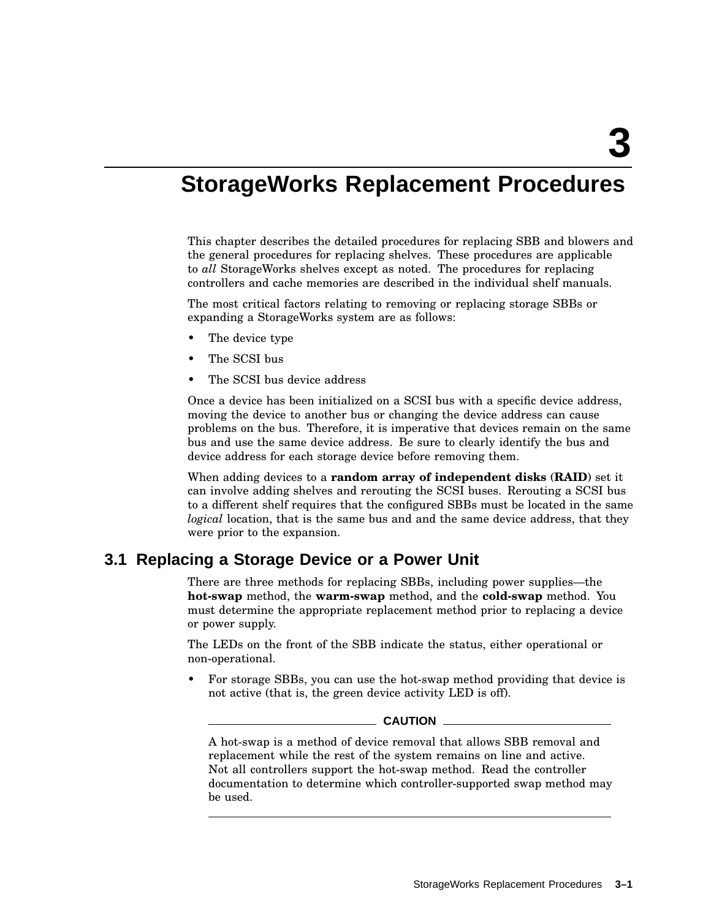## **StorageWorks Replacement Procedures**

This chapter describes the detailed procedures for replacing SBB and blowers and the general procedures for replacing shelves. These procedures are applicable to *all* StorageWorks shelves except as noted. The procedures for replacing controllers and cache memories are described in the individual shelf manuals.

The most critical factors relating to removing or replacing storage SBBs or expanding a StorageWorks system are as follows:

- The device type
- The SCSI bus
- The SCSI bus device address

Once a device has been initialized on a SCSI bus with a specific device address, moving the device to another bus or changing the device address can cause problems on the bus. Therefore, it is imperative that devices remain on the same bus and use the same device address. Be sure to clearly identify the bus and device address for each storage device before removing them.

When adding devices to a **random array of independent disks** (**RAID**) set it can involve adding shelves and rerouting the SCSI buses. Rerouting a SCSI bus to a different shelf requires that the configured SBBs must be located in the same *logical* location, that is the same bus and and the same device address, that they were prior to the expansion.

## **3.1 Replacing a Storage Device or a Power Unit**

There are three methods for replacing SBBs, including power supplies—the **hot-swap** method, the **warm-swap** method, and the **cold-swap** method. You must determine the appropriate replacement method prior to replacing a device or power supply.

The LEDs on the front of the SBB indicate the status, either operational or non-operational.

• For storage SBBs, you can use the hot-swap method providing that device is not active (that is, the green device activity LED is off).

#### **CAUTION**

A hot-swap is a method of device removal that allows SBB removal and replacement while the rest of the system remains on line and active. Not all controllers support the hot-swap method. Read the controller documentation to determine which controller-supported swap method may be used.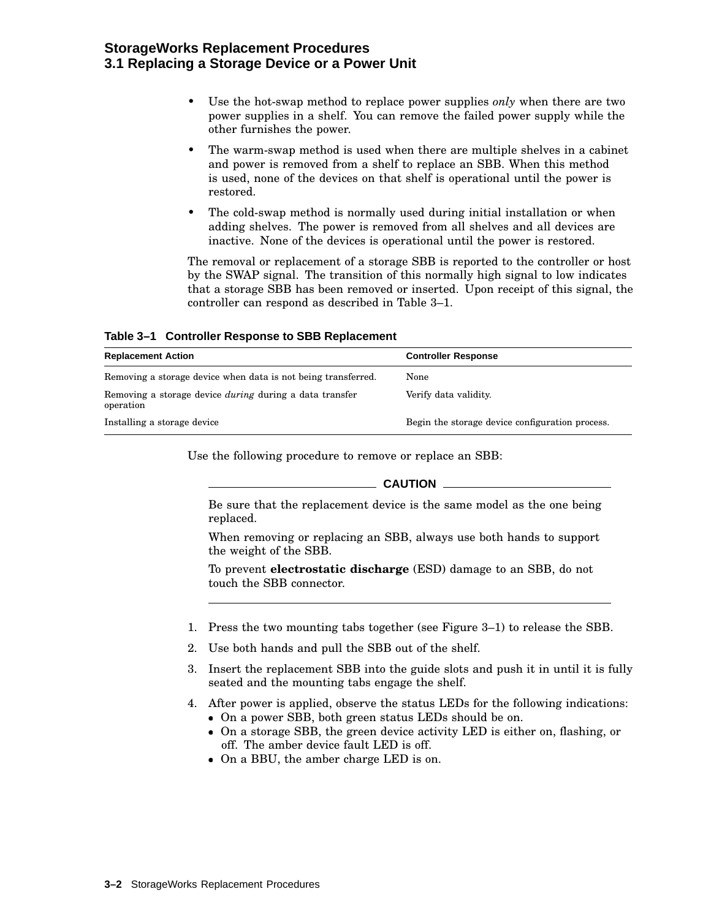#### **StorageWorks Replacement Procedures 3.1 Replacing a Storage Device or a Power Unit**

- Use the hot-swap method to replace power supplies *only* when there are two power supplies in a shelf. You can remove the failed power supply while the other furnishes the power.
- The warm-swap method is used when there are multiple shelves in a cabinet and power is removed from a shelf to replace an SBB. When this method is used, none of the devices on that shelf is operational until the power is restored.
- The cold-swap method is normally used during initial installation or when adding shelves. The power is removed from all shelves and all devices are inactive. None of the devices is operational until the power is restored.

The removal or replacement of a storage SBB is reported to the controller or host by the SWAP signal. The transition of this normally high signal to low indicates that a storage SBB has been removed or inserted. Upon receipt of this signal, the controller can respond as described in Table 3–1.

**Table 3–1 Controller Response to SBB Replacement**

| <b>Replacement Action</b>                                                   | <b>Controller Response</b>                      |
|-----------------------------------------------------------------------------|-------------------------------------------------|
| Removing a storage device when data is not being transferred.               | None                                            |
| Removing a storage device <i>during</i> during a data transfer<br>operation | Verify data validity.                           |
| Installing a storage device                                                 | Begin the storage device configuration process. |

Use the following procedure to remove or replace an SBB:

 $\equiv$  Caution  $\equiv$ 

Be sure that the replacement device is the same model as the one being replaced.

When removing or replacing an SBB, always use both hands to support the weight of the SBB.

To prevent **electrostatic discharge** (ESD) damage to an SBB, do not touch the SBB connector.

- 1. Press the two mounting tabs together (see Figure 3–1) to release the SBB.
- 2. Use both hands and pull the SBB out of the shelf.
- 3. Insert the replacement SBB into the guide slots and push it in until it is fully seated and the mounting tabs engage the shelf.
- 4. After power is applied, observe the status LEDs for the following indications:
	- On a power SBB, both green status LEDs should be on.
	- On a storage SBB, the green device activity LED is either on, flashing, or off. The amber device fault LED is off.
	- On a BBU, the amber charge LED is on.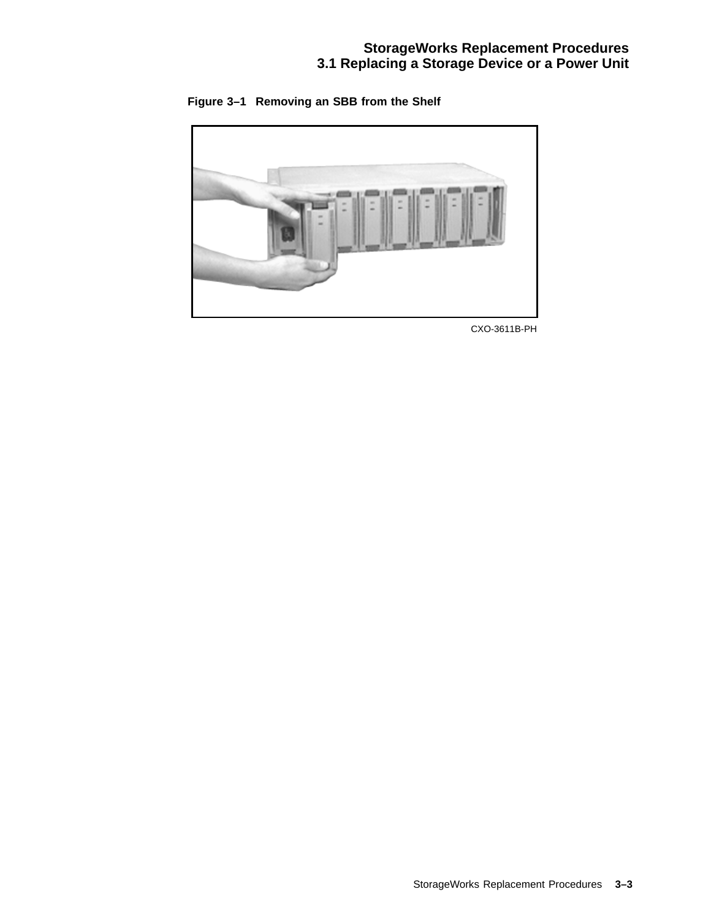**Figure 3–1 Removing an SBB from the Shelf**



CXO-3611B-PH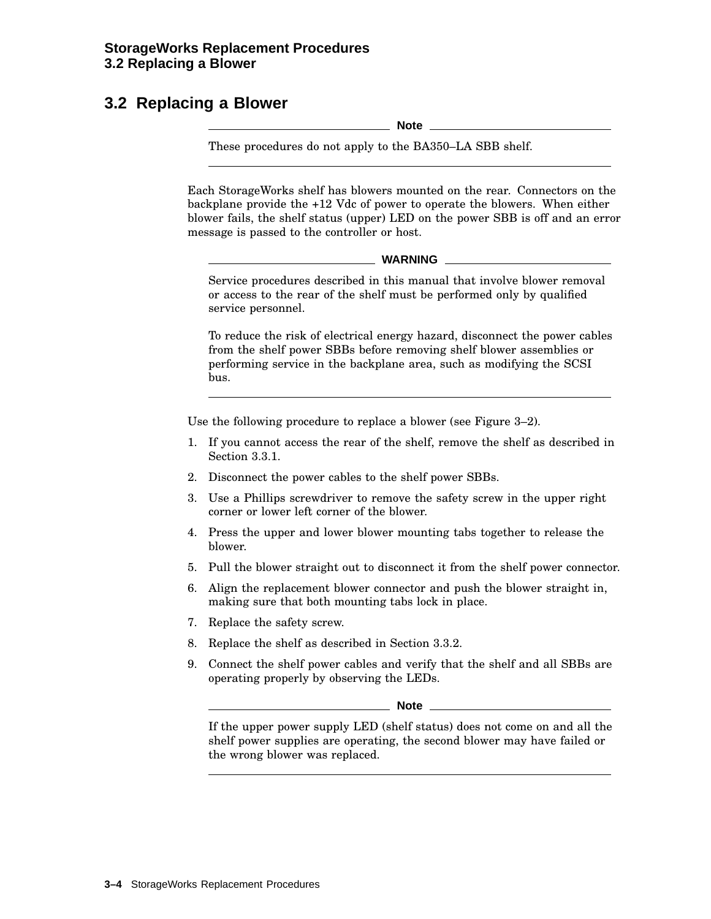## **3.2 Replacing a Blower**

**Note**

These procedures do not apply to the BA350–LA SBB shelf.

Each StorageWorks shelf has blowers mounted on the rear. Connectors on the backplane provide the +12 Vdc of power to operate the blowers. When either blower fails, the shelf status (upper) LED on the power SBB is off and an error message is passed to the controller or host.

Service procedures described in this manual that involve blower removal or access to the rear of the shelf must be performed only by qualified service personnel.

To reduce the risk of electrical energy hazard, disconnect the power cables from the shelf power SBBs before removing shelf blower assemblies or performing service in the backplane area, such as modifying the SCSI bus.

Use the following procedure to replace a blower (see Figure 3–2).

- 1. If you cannot access the rear of the shelf, remove the shelf as described in Section 3.3.1.
- 2. Disconnect the power cables to the shelf power SBBs.
- 3. Use a Phillips screwdriver to remove the safety screw in the upper right corner or lower left corner of the blower.
- 4. Press the upper and lower blower mounting tabs together to release the blower.
- 5. Pull the blower straight out to disconnect it from the shelf power connector.
- 6. Align the replacement blower connector and push the blower straight in, making sure that both mounting tabs lock in place.
- 7. Replace the safety screw.
- 8. Replace the shelf as described in Section 3.3.2.
- 9. Connect the shelf power cables and verify that the shelf and all SBBs are operating properly by observing the LEDs.

**Note**

If the upper power supply LED (shelf status) does not come on and all the shelf power supplies are operating, the second blower may have failed or the wrong blower was replaced.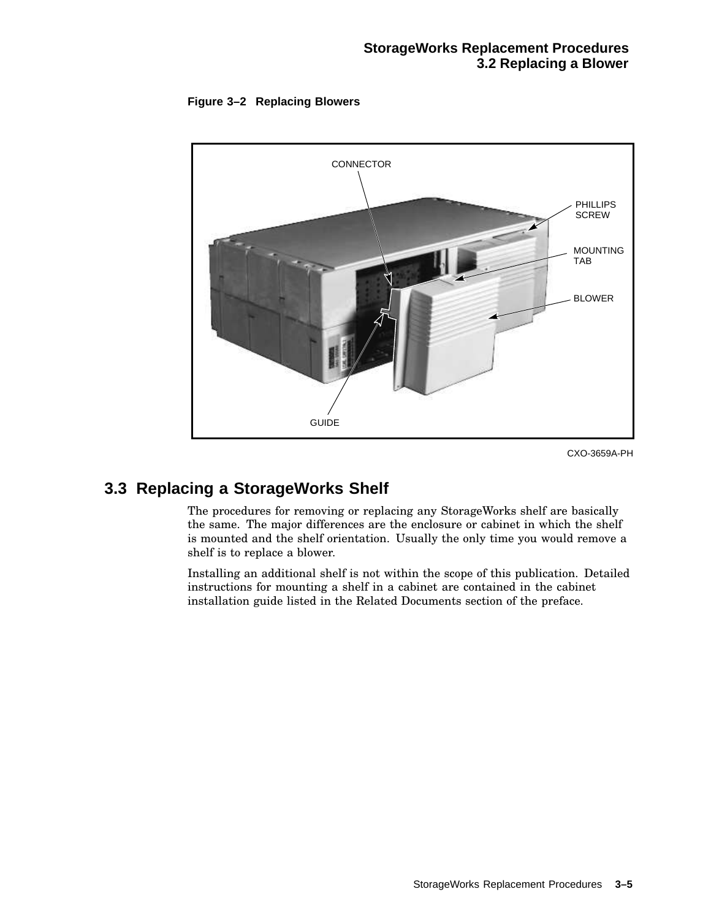



CXO-3659A-PH

## **3.3 Replacing a StorageWorks Shelf**

The procedures for removing or replacing any StorageWorks shelf are basically the same. The major differences are the enclosure or cabinet in which the shelf is mounted and the shelf orientation. Usually the only time you would remove a shelf is to replace a blower.

Installing an additional shelf is not within the scope of this publication. Detailed instructions for mounting a shelf in a cabinet are contained in the cabinet installation guide listed in the Related Documents section of the preface.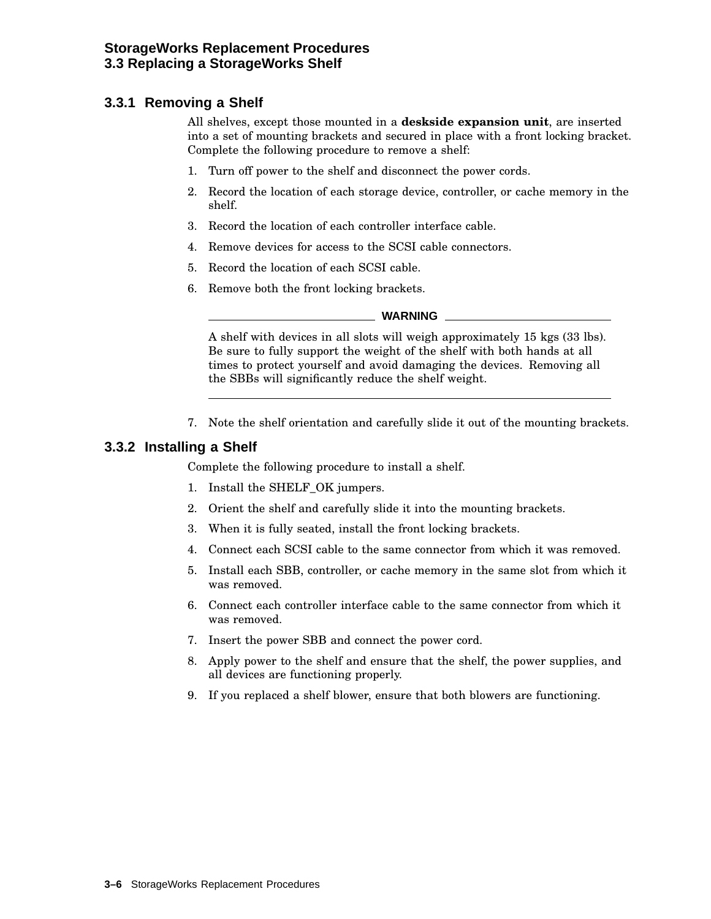## **3.3.1 Removing a Shelf**

All shelves, except those mounted in a **deskside expansion unit**, are inserted into a set of mounting brackets and secured in place with a front locking bracket. Complete the following procedure to remove a shelf:

- 1. Turn off power to the shelf and disconnect the power cords.
- 2. Record the location of each storage device, controller, or cache memory in the shelf.
- 3. Record the location of each controller interface cable.
- 4. Remove devices for access to the SCSI cable connectors.
- 5. Record the location of each SCSI cable.
- 6. Remove both the front locking brackets.

#### **WARNING**

A shelf with devices in all slots will weigh approximately 15 kgs (33 lbs). Be sure to fully support the weight of the shelf with both hands at all times to protect yourself and avoid damaging the devices. Removing all the SBBs will significantly reduce the shelf weight.

7. Note the shelf orientation and carefully slide it out of the mounting brackets.

#### **3.3.2 Installing a Shelf**

Complete the following procedure to install a shelf.

- 1. Install the SHELF\_OK jumpers.
- 2. Orient the shelf and carefully slide it into the mounting brackets.
- 3. When it is fully seated, install the front locking brackets.
- 4. Connect each SCSI cable to the same connector from which it was removed.
- 5. Install each SBB, controller, or cache memory in the same slot from which it was removed.
- 6. Connect each controller interface cable to the same connector from which it was removed.
- 7. Insert the power SBB and connect the power cord.
- 8. Apply power to the shelf and ensure that the shelf, the power supplies, and all devices are functioning properly.
- 9. If you replaced a shelf blower, ensure that both blowers are functioning.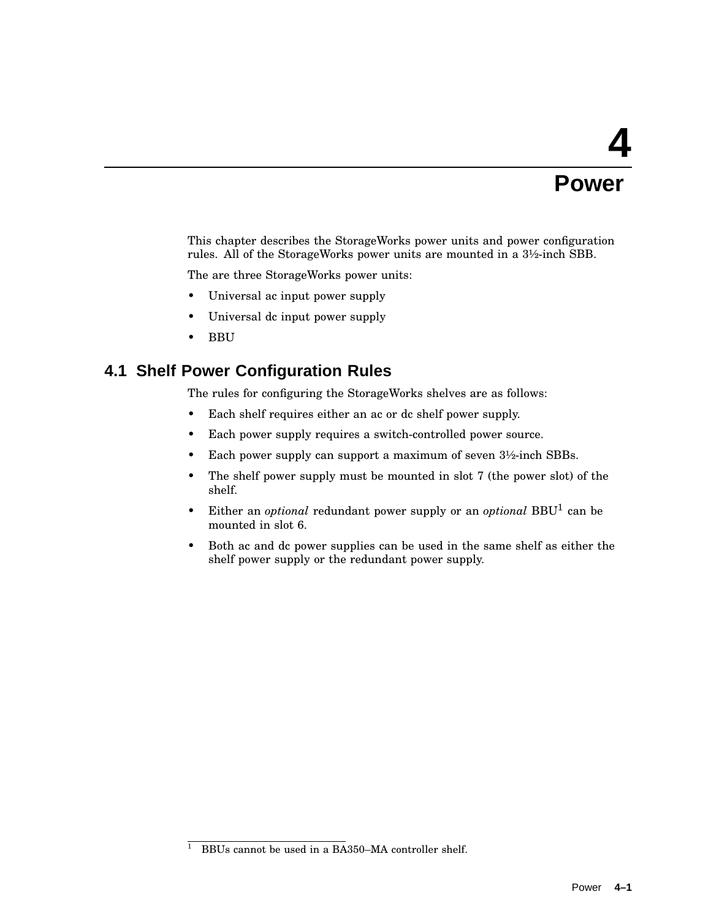# **4 Power**

This chapter describes the StorageWorks power units and power configuration rules. All of the StorageWorks power units are mounted in a 3½-inch SBB.

The are three StorageWorks power units:

- Universal ac input power supply
- Universal dc input power supply
- BBU

### **4.1 Shelf Power Configuration Rules**

The rules for configuring the StorageWorks shelves are as follows:

- Each shelf requires either an ac or dc shelf power supply.
- Each power supply requires a switch-controlled power source.
- Each power supply can support a maximum of seven  $3\frac{1}{2}$ -inch SBBs.
- The shelf power supply must be mounted in slot 7 (the power slot) of the shelf.
- Either an *optional* redundant power supply or an *optional* BBU<sup>1</sup> can be mounted in slot 6.
- Both ac and dc power supplies can be used in the same shelf as either the shelf power supply or the redundant power supply.

 $\frac{1}{1}$  BBUs cannot be used in a BA350–MA controller shelf.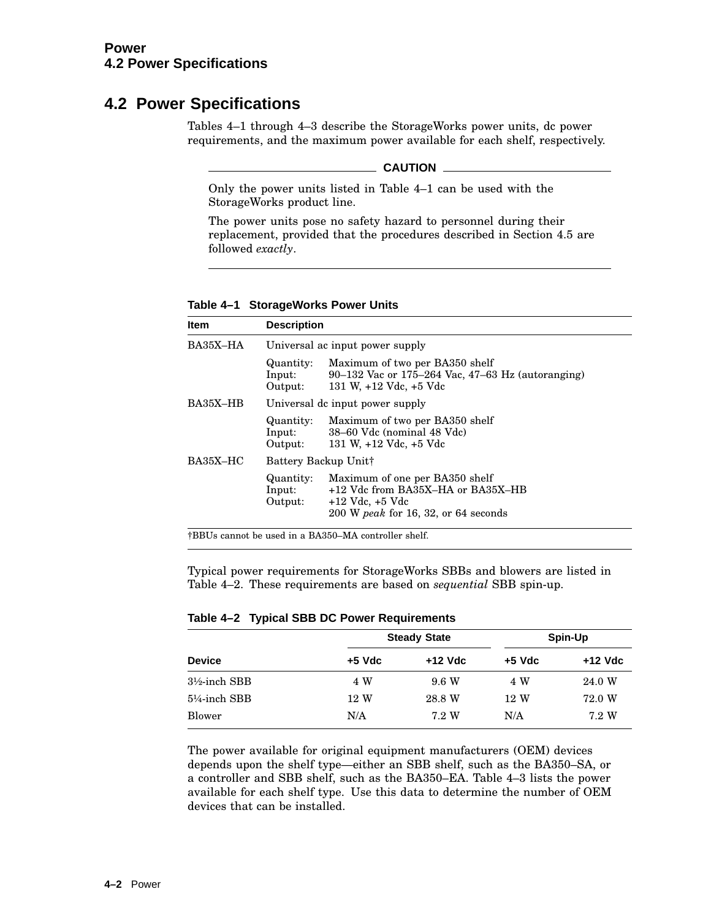# **4.2 Power Specifications**

Tables 4–1 through 4–3 describe the StorageWorks power units, dc power requirements, and the maximum power available for each shelf, respectively.

#### **CAUTION**

Only the power units listed in Table 4–1 can be used with the StorageWorks product line.

The power units pose no safety hazard to personnel during their replacement, provided that the procedures described in Section 4.5 are followed *exactly*.

| Item       | <b>Description</b>               |                                                                                                                                              |  |  |  |  |
|------------|----------------------------------|----------------------------------------------------------------------------------------------------------------------------------------------|--|--|--|--|
| BA35X-HA   | Universal ac input power supply  |                                                                                                                                              |  |  |  |  |
|            | Quantity:<br>Input:<br>Output:   | Maximum of two per BA350 shelf<br>90–132 Vac or 175–264 Vac, $47-63$ Hz (autoranging)<br>131 W, $+12$ Vdc, $+5$ Vdc                          |  |  |  |  |
| BA35X–HB   | Universal dc input power supply  |                                                                                                                                              |  |  |  |  |
|            | Quantity:<br>Input:<br>Output:   | Maximum of two per BA350 shelf<br>38-60 Vdc (nominal 48 Vdc)<br>131 W, $+12$ Vdc, $+5$ Vdc                                                   |  |  |  |  |
| $BA35X-HC$ | Battery Backup Unit <sub>†</sub> |                                                                                                                                              |  |  |  |  |
|            | Quantity:<br>Input:<br>Output:   | Maximum of one per BA350 shelf<br>+12 Vdc from BA35X-HA or BA35X-HB<br>$+12$ Vdc, $+5$ Vdc<br>$200 \text{ W}$ peak for 16, 32, or 64 seconds |  |  |  |  |

#### **Table 4–1 StorageWorks Power Units**

†BBUs cannot be used in a BA350–MA controller shelf.

Typical power requirements for StorageWorks SBBs and blowers are listed in Table 4–2. These requirements are based on *sequential* SBB spin-up.

|  |  |  | Table 4-2 Typical SBB DC Power Requirements |
|--|--|--|---------------------------------------------|
|--|--|--|---------------------------------------------|

|                          |        | <b>Steady State</b> |          | Spin-Up |
|--------------------------|--------|---------------------|----------|---------|
| <b>Device</b>            | +5 Vdc | +12 Vdc             | $+5$ Vdc | +12 Vdc |
| $3\frac{1}{2}$ -inch SBB | 4 W    | 9.6 W               | 4 W      | 24.0 W  |
| $5\frac{1}{4}$ -inch SBB | 12 W   | 28.8 W              | 12 W     | 72.0 W  |
| Blower                   | N/A    | 7.2 W               | N/A      | 7.2 W   |

The power available for original equipment manufacturers (OEM) devices depends upon the shelf type—either an SBB shelf, such as the BA350–SA, or a controller and SBB shelf, such as the BA350–EA. Table 4–3 lists the power available for each shelf type. Use this data to determine the number of OEM devices that can be installed.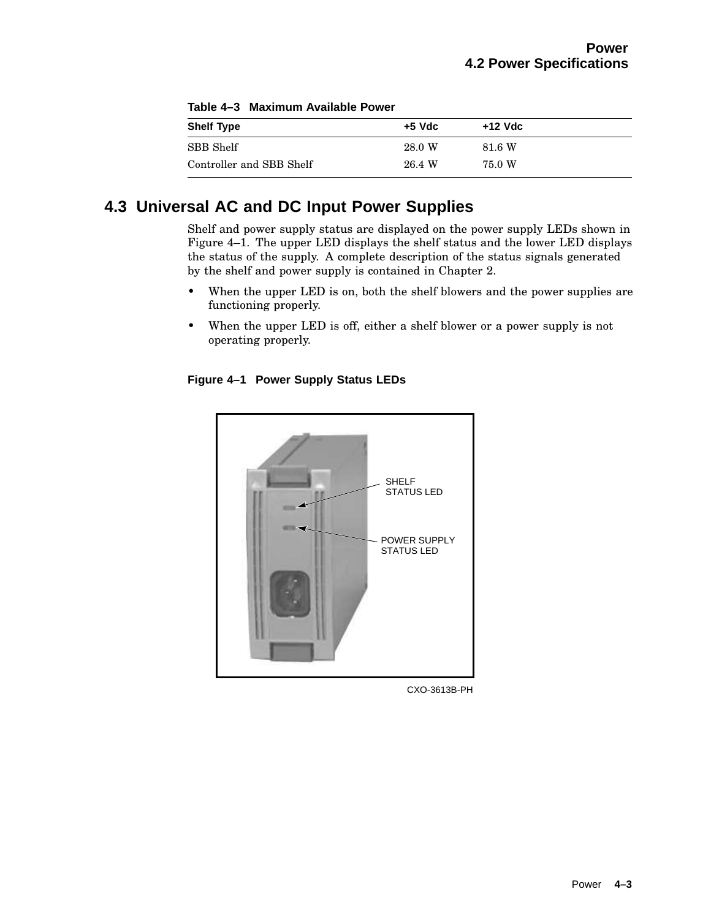| <b>Shelf Type</b>        | $+5$ Vdc | +12 Vdc |
|--------------------------|----------|---------|
| SBB Shelf                | 28.0 W   | 81.6 W  |
| Controller and SBB Shelf | 26.4 W   | 75.0 W  |

**Table 4–3 Maximum Available Power**

# **4.3 Universal AC and DC Input Power Supplies**

Shelf and power supply status are displayed on the power supply LEDs shown in Figure 4–1. The upper LED displays the shelf status and the lower LED displays the status of the supply. A complete description of the status signals generated by the shelf and power supply is contained in Chapter 2.

- When the upper LED is on, both the shelf blowers and the power supplies are functioning properly.
- When the upper LED is off, either a shelf blower or a power supply is not operating properly.

### **Figure 4–1 Power Supply Status LEDs**



CXO-3613B-PH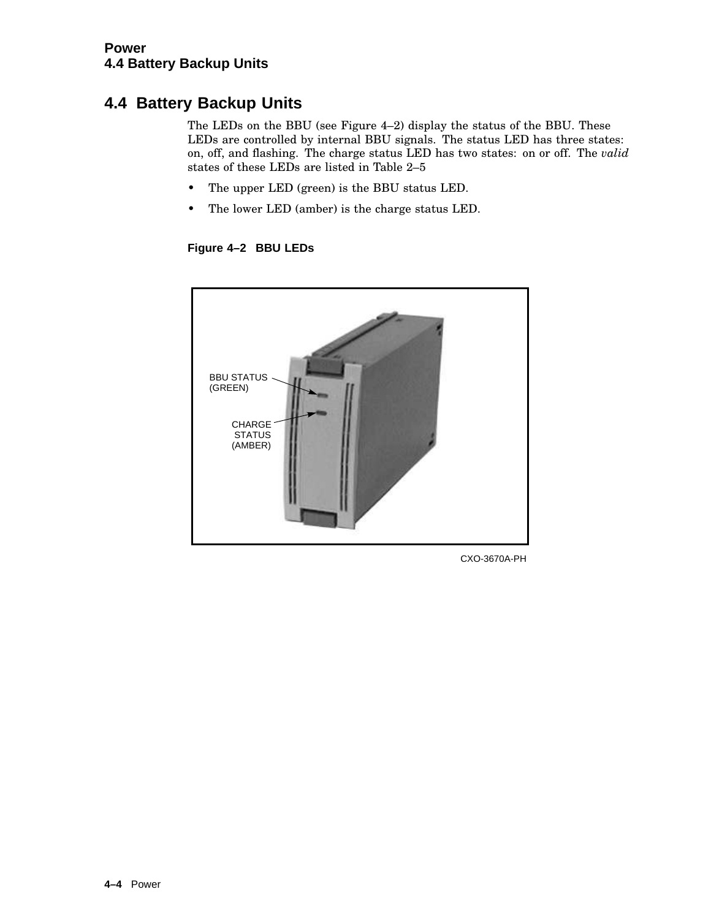# **4.4 Battery Backup Units**

The LEDs on the BBU (see Figure 4–2) display the status of the BBU. These LEDs are controlled by internal BBU signals. The status LED has three states: on, off, and flashing. The charge status LED has two states: on or off. The *valid* states of these LEDs are listed in Table 2–5

- The upper LED (green) is the BBU status LED.
- The lower LED (amber) is the charge status LED.

**Figure 4–2 BBU LEDs**



CXO-3670A-PH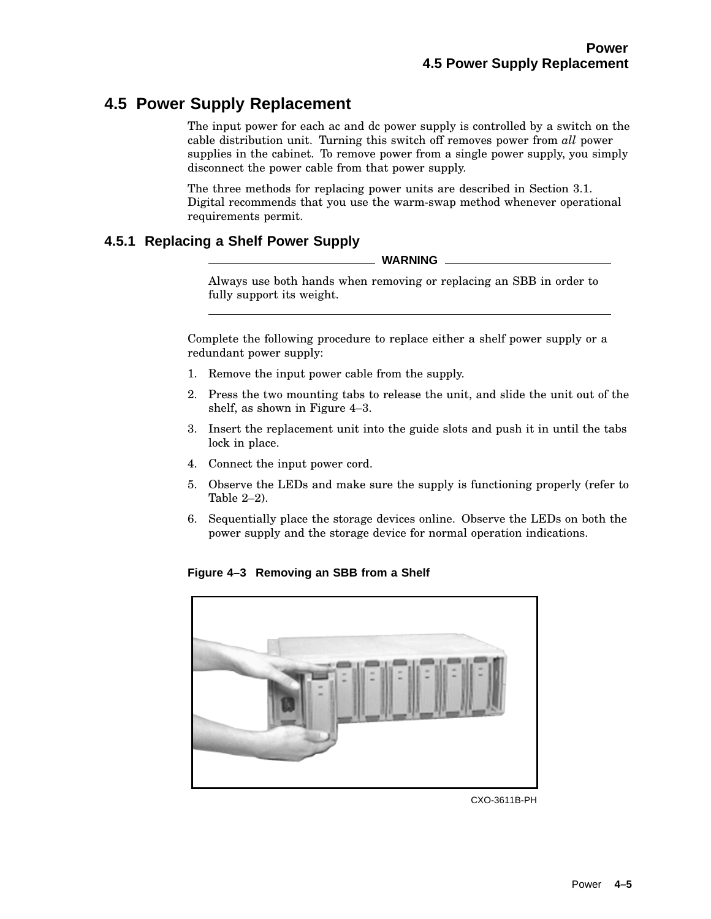# **4.5 Power Supply Replacement**

The input power for each ac and dc power supply is controlled by a switch on the cable distribution unit. Turning this switch off removes power from *all* power supplies in the cabinet. To remove power from a single power supply, you simply disconnect the power cable from that power supply.

The three methods for replacing power units are described in Section 3.1. Digital recommends that you use the warm-swap method whenever operational requirements permit.

### **4.5.1 Replacing a Shelf Power Supply**

**WARNING**

Always use both hands when removing or replacing an SBB in order to fully support its weight.

Complete the following procedure to replace either a shelf power supply or a redundant power supply:

- 1. Remove the input power cable from the supply.
- 2. Press the two mounting tabs to release the unit, and slide the unit out of the shelf, as shown in Figure 4–3.
- 3. Insert the replacement unit into the guide slots and push it in until the tabs lock in place.
- 4. Connect the input power cord.
- 5. Observe the LEDs and make sure the supply is functioning properly (refer to Table 2–2).
- 6. Sequentially place the storage devices online. Observe the LEDs on both the power supply and the storage device for normal operation indications.

**Figure 4–3 Removing an SBB from a Shelf**



CXO-3611B-PH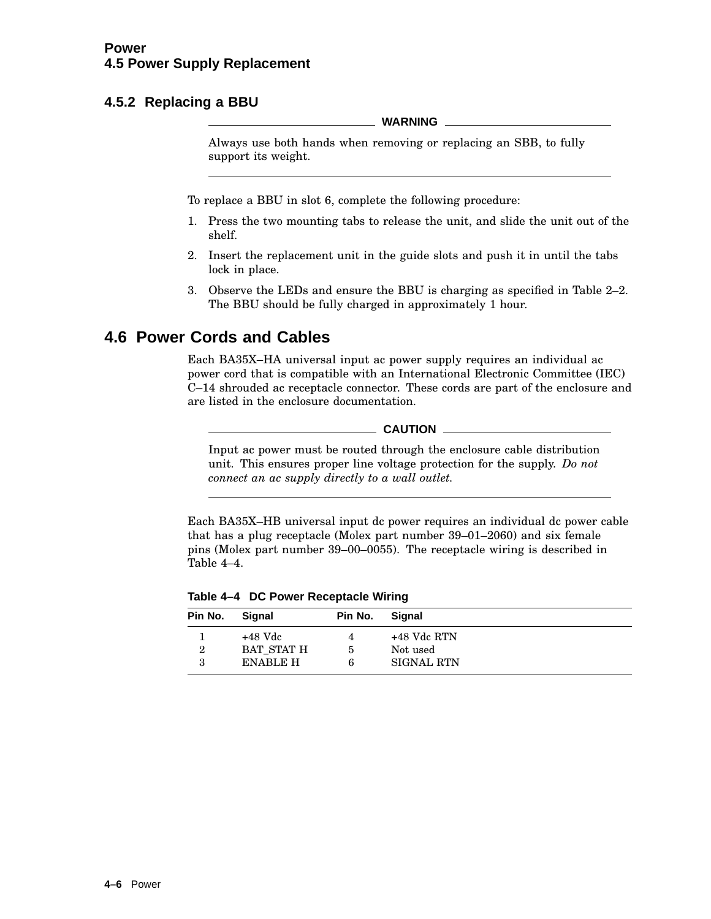### **4.5.2 Replacing a BBU**

**WARNING**

Always use both hands when removing or replacing an SBB, to fully support its weight.

To replace a BBU in slot 6, complete the following procedure:

- 1. Press the two mounting tabs to release the unit, and slide the unit out of the shelf.
- 2. Insert the replacement unit in the guide slots and push it in until the tabs lock in place.
- 3. Observe the LEDs and ensure the BBU is charging as specified in Table 2–2. The BBU should be fully charged in approximately 1 hour.

# **4.6 Power Cords and Cables**

Each BA35X–HA universal input ac power supply requires an individual ac power cord that is compatible with an International Electronic Committee (IEC) C–14 shrouded ac receptacle connector. These cords are part of the enclosure and are listed in the enclosure documentation.

 $\equiv$  CAUTION  $\equiv$ 

Input ac power must be routed through the enclosure cable distribution unit. This ensures proper line voltage protection for the supply. *Do not connect an ac supply directly to a wall outlet.*

Each BA35X–HB universal input dc power requires an individual dc power cable that has a plug receptacle (Molex part number 39–01–2060) and six female pins (Molex part number 39–00–0055). The receptacle wiring is described in Table 4–4.

**Table 4–4 DC Power Receptacle Wiring**

| Pin No. | Signal            | Pin No. | Signal            |
|---------|-------------------|---------|-------------------|
|         | $+48$ Vdc         | 4       | +48 Vdc RTN       |
| 2       | <b>BAT STAT H</b> | 5       | Not used          |
|         | <b>ENABLE H</b>   | 6       | <b>SIGNAL RTN</b> |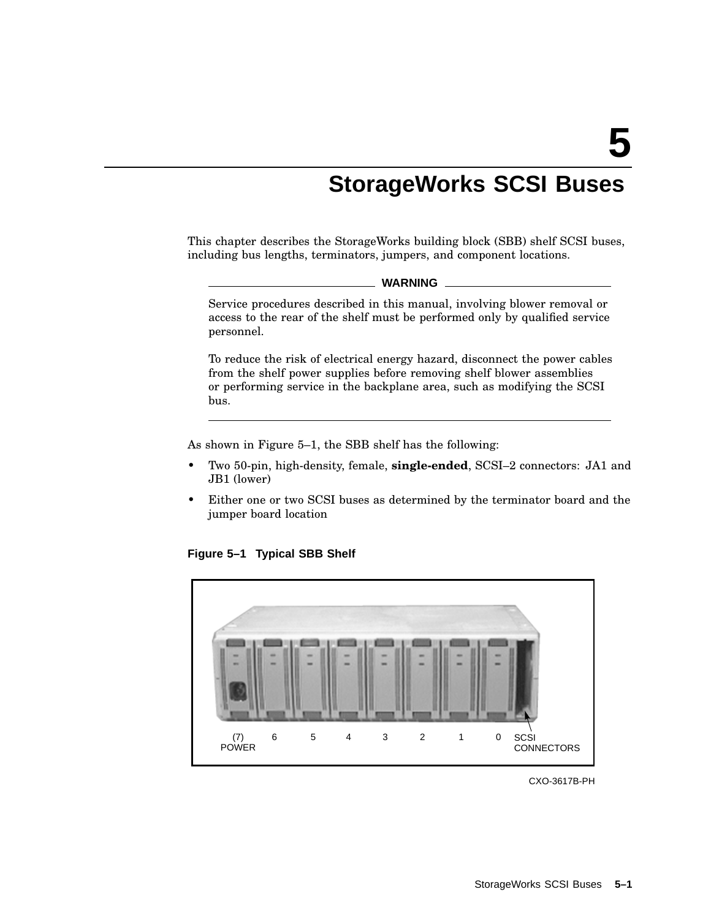# **StorageWorks SCSI Buses**

This chapter describes the StorageWorks building block (SBB) shelf SCSI buses, including bus lengths, terminators, jumpers, and component locations.

#### **WARNING**

Service procedures described in this manual, involving blower removal or access to the rear of the shelf must be performed only by qualified service personnel.

To reduce the risk of electrical energy hazard, disconnect the power cables from the shelf power supplies before removing shelf blower assemblies or performing service in the backplane area, such as modifying the SCSI bus.

As shown in Figure 5–1, the SBB shelf has the following:

- Two 50-pin, high-density, female, **single-ended**, SCSI–2 connectors: JA1 and JB1 (lower)
- Either one or two SCSI buses as determined by the terminator board and the jumper board location



**Figure 5–1 Typical SBB Shelf**

CXO-3617B-PH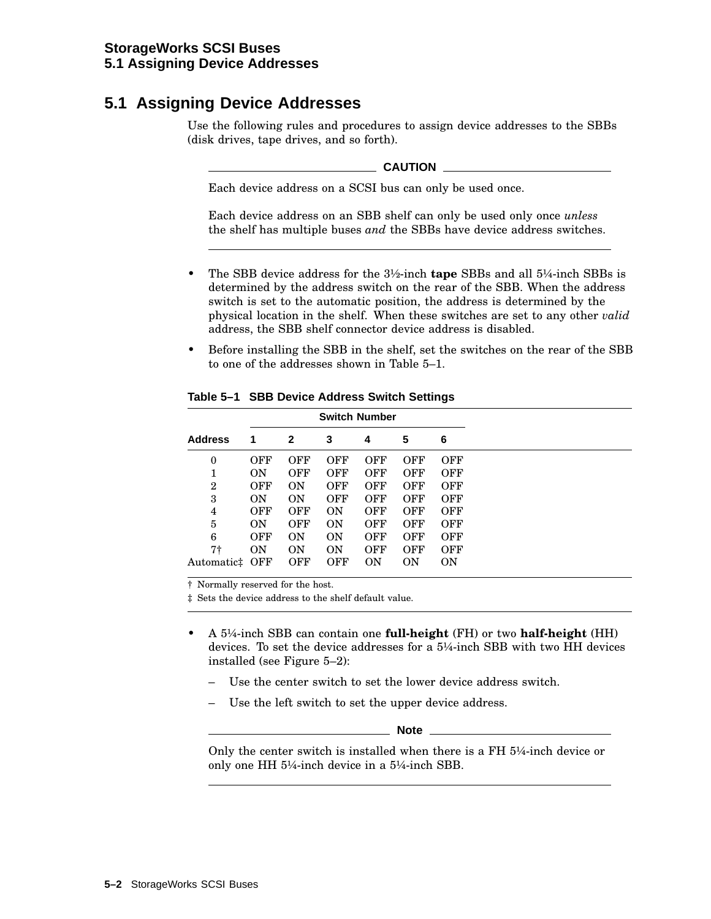# **5.1 Assigning Device Addresses**

Use the following rules and procedures to assign device addresses to the SBBs (disk drives, tape drives, and so forth).

#### **CAUTION**

Each device address on a SCSI bus can only be used once.

Each device address on an SBB shelf can only be used only once *unless* the shelf has multiple buses *and* the SBBs have device address switches.

- The SBB device address for the 3½-inch **tape** SBBs and all 5¼-inch SBBs is determined by the address switch on the rear of the SBB. When the address switch is set to the automatic position, the address is determined by the physical location in the shelf. When these switches are set to any other *valid* address, the SBB shelf connector device address is disabled.
- Before installing the SBB in the shelf, set the switches on the rear of the SBB to one of the addresses shown in Table 5–1.

| 6<br>3<br>5<br><b>Address</b><br>2<br>4<br>1<br>OFF<br><b>OFF</b><br><b>OFF</b><br><b>OFF</b><br><b>OFF</b><br><b>OFF</b><br>0<br><b>OFF</b><br>OFF<br><b>OFF</b><br><b>OFF</b><br>OFF<br>ON<br>1 |
|---------------------------------------------------------------------------------------------------------------------------------------------------------------------------------------------------|
|                                                                                                                                                                                                   |
|                                                                                                                                                                                                   |
|                                                                                                                                                                                                   |
| OFF<br><b>OFF</b><br><b>OFF</b><br>$\overline{2}$<br>ON<br><b>OFF</b><br><b>OFF</b>                                                                                                               |
| <b>OFF</b><br><b>OFF</b><br>3<br>ON<br>OFF<br>OFF<br>ON                                                                                                                                           |
| OFF<br>OFF<br>OFF<br><b>ON</b><br>OFF<br>OFF<br>4                                                                                                                                                 |
| 5<br><b>OFF</b><br>ON<br>OFF<br>ON<br>OFF<br>OFF                                                                                                                                                  |
| 6<br><b>OFF</b><br><b>ON</b><br><b>ON</b><br><b>OFF</b><br><b>OFF</b><br><b>OFF</b>                                                                                                               |
| 7†<br><b>ON</b><br><b>OFF</b><br><b>OFF</b><br><b>ON</b><br><b>ON</b><br>OFF                                                                                                                      |
| <b>OFF</b><br><b>OFF</b><br>0 <sub>N</sub><br><b>ON</b><br>0 <sub>N</sub><br>OFF<br>Automatic‡                                                                                                    |

**Table 5–1 SBB Device Address Switch Settings**

† Normally reserved for the host.

‡ Sets the device address to the shelf default value.

- A 5¼-inch SBB can contain one **full-height** (FH) or two **half-height** (HH) devices. To set the device addresses for a 5¼-inch SBB with two HH devices installed (see Figure 5–2):
	- Use the center switch to set the lower device address switch.
	- Use the left switch to set the upper device address.

**Note**

Only the center switch is installed when there is a FH 5¼-inch device or only one HH 5¼-inch device in a 5¼-inch SBB.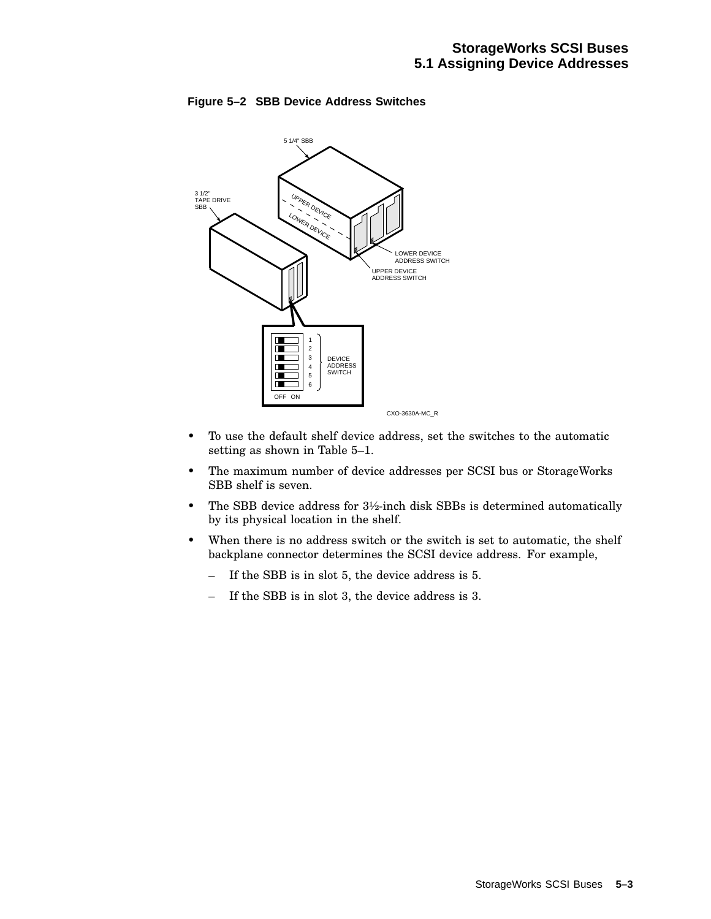

### **Figure 5–2 SBB Device Address Switches**

- To use the default shelf device address, set the switches to the automatic setting as shown in Table 5–1.
- The maximum number of device addresses per SCSI bus or StorageWorks SBB shelf is seven.
- The SBB device address for  $3\frac{1}{2}$ -inch disk SBBs is determined automatically by its physical location in the shelf.
- When there is no address switch or the switch is set to automatic, the shelf backplane connector determines the SCSI device address. For example,
	- If the SBB is in slot 5, the device address is 5.
	- If the SBB is in slot 3, the device address is 3.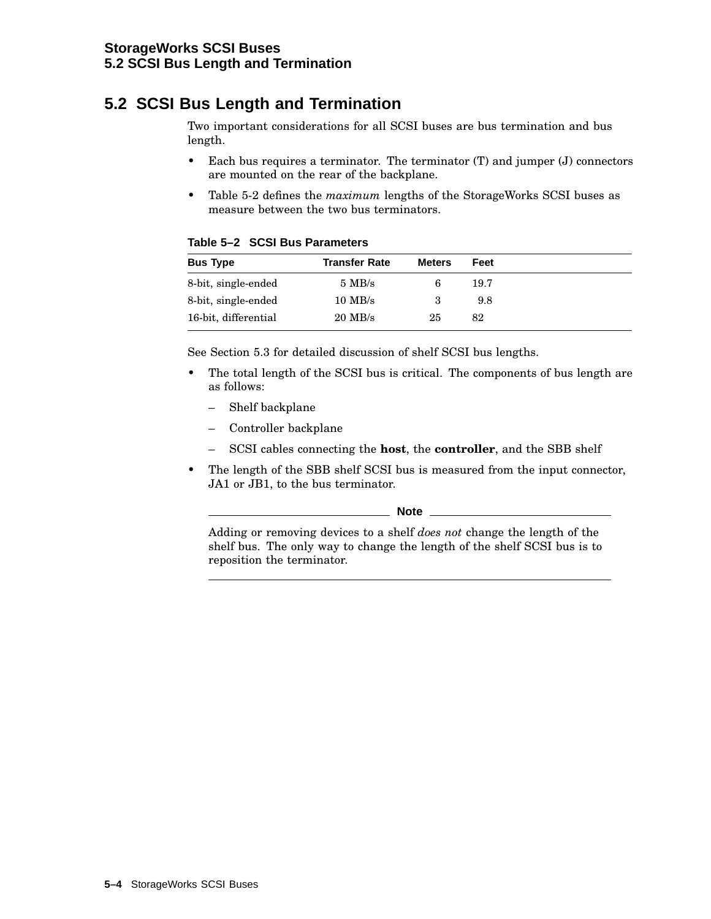# **5.2 SCSI Bus Length and Termination**

Two important considerations for all SCSI buses are bus termination and bus length.

- Each bus requires a terminator. The terminator (T) and jumper (J) connectors are mounted on the rear of the backplane.
- Table 5-2 defines the *maximum* lengths of the StorageWorks SCSI buses as measure between the two bus terminators.

|  |  |  | Table 5-2 SCSI Bus Parameters |
|--|--|--|-------------------------------|
|--|--|--|-------------------------------|

| <b>Bus Type</b>      | <b>Transfer Rate</b> | <b>Meters</b> | Feet |
|----------------------|----------------------|---------------|------|
| 8-bit, single-ended  | $5 \text{ MB/s}$     | 6             | 19.7 |
| 8-bit, single-ended  | $10$ MB/s            | 3             | 9.8  |
| 16-bit, differential | $20$ MB/s            | 25            | 82   |

See Section 5.3 for detailed discussion of shelf SCSI bus lengths.

- The total length of the SCSI bus is critical. The components of bus length are as follows:
	- Shelf backplane
	- Controller backplane
	- SCSI cables connecting the **host**, the **controller**, and the SBB shelf
- The length of the SBB shelf SCSI bus is measured from the input connector, JA1 or JB1, to the bus terminator.

**Note**

Adding or removing devices to a shelf *does not* change the length of the shelf bus. The only way to change the length of the shelf SCSI bus is to reposition the terminator.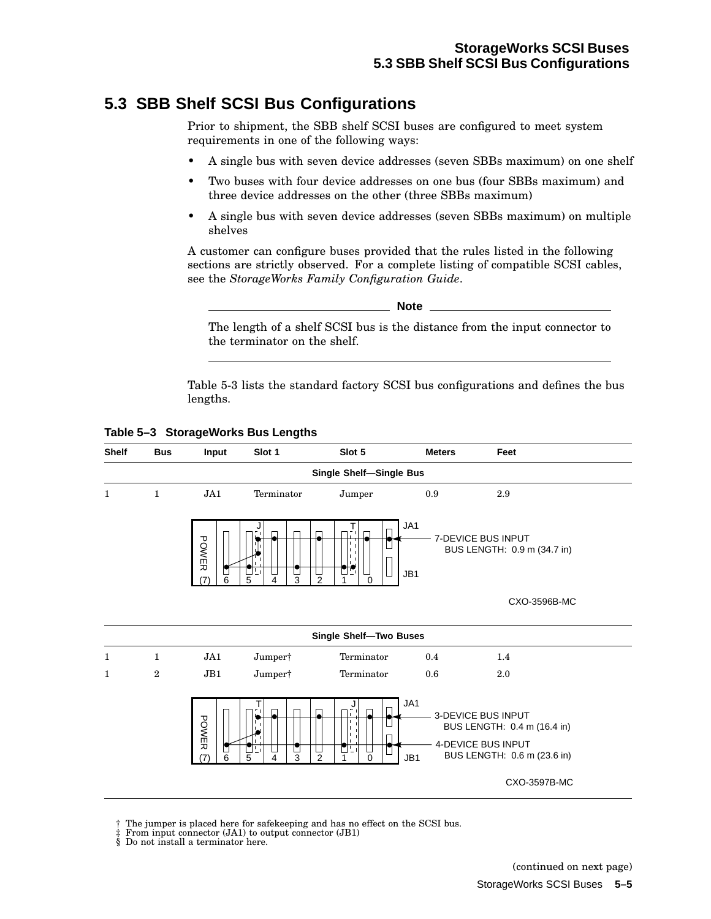# **5.3 SBB Shelf SCSI Bus Configurations**

Prior to shipment, the SBB shelf SCSI buses are configured to meet system requirements in one of the following ways:

- A single bus with seven device addresses (seven SBBs maximum) on one shelf
- Two buses with four device addresses on one bus (four SBBs maximum) and three device addresses on the other (three SBBs maximum)
- A single bus with seven device addresses (seven SBBs maximum) on multiple shelves

A customer can configure buses provided that the rules listed in the following sections are strictly observed. For a complete listing of compatible SCSI cables, see the *StorageWorks Family Configuration Guide*.

The length of a shelf SCSI bus is the distance from the input connector to the terminator on the shelf.

Table 5-3 lists the standard factory SCSI bus configurations and defines the bus lengths.

**Table 5–3 StorageWorks Bus Lengths**



† The jumper is placed here for safekeeping and has no effect on the SCSI bus.

- From input connector (JA1) to output connector (JB1) ‡ From input connector (JA1) to ou<br>§ Do not install a terminator here.
-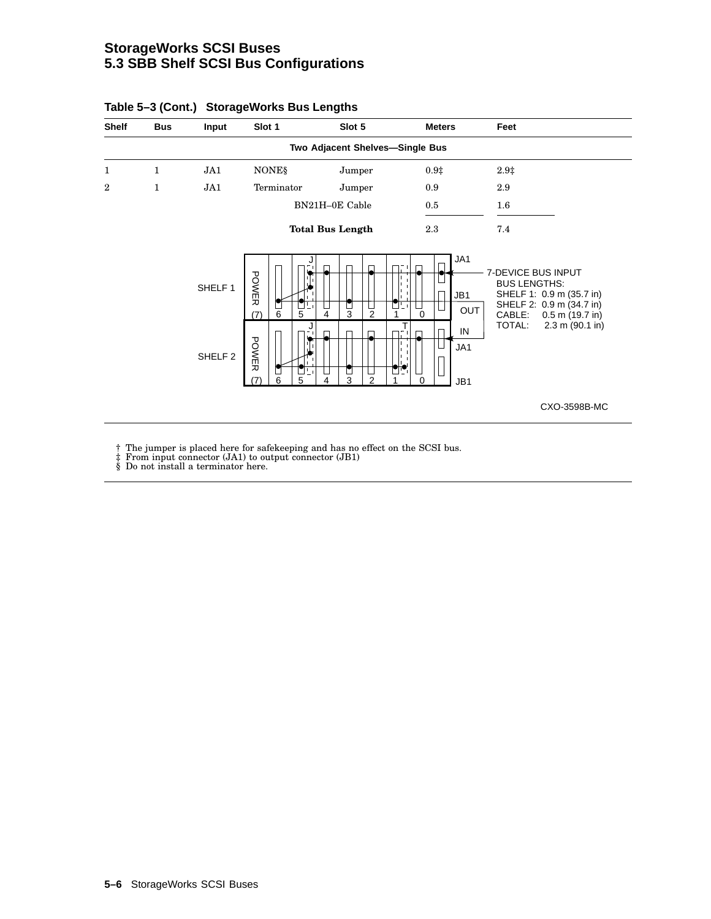### **StorageWorks SCSI Buses 5.3 SBB Shelf SCSI Bus Configurations**

| <b>Shelf</b> | <b>Bus</b>        | Input                                    | Slot 1                                                         | Slot 5                                    | <b>Meters</b>                                   | Feet                                                                                                                                                                 |
|--------------|-------------------|------------------------------------------|----------------------------------------------------------------|-------------------------------------------|-------------------------------------------------|----------------------------------------------------------------------------------------------------------------------------------------------------------------------|
|              |                   |                                          |                                                                | Two Adjacent Shelves-Single Bus           |                                                 |                                                                                                                                                                      |
| 1<br>2       | 1<br>$\mathbf{1}$ | JA1<br>JA1                               | <b>NONES</b><br>Terminator                                     | Jumper<br>Jumper                          | 0.9 <sup>‡</sup><br>0.9                         | $2.9+$<br>2.9                                                                                                                                                        |
|              |                   |                                          |                                                                | BN21H-0E Cable<br><b>Total Bus Length</b> | $0.5\,$<br>2.3                                  | 1.6<br>7.4                                                                                                                                                           |
|              |                   | SHELF <sub>1</sub><br>SHELF <sub>2</sub> | POWER<br>u.<br>$\frac{1}{6}$<br>(7)<br>5<br>POWER<br>י בי<br>6 | ◘<br>3<br>$\mathfrak{p}$<br>4<br>2        | JA1<br>JB1<br><b>OUT</b><br>0<br>T<br>IN<br>JA1 | <b>7-DEVICE BUS INPUT</b><br><b>BUS LENGTHS:</b><br>SHELF 1: 0.9 m (35.7 in)<br>SHELF 2: 0.9 m (34.7 in)<br>CABLE:<br>$0.5$ m (19.7 in)<br>TOTAL:<br>2.3 m (90.1 in) |
|              |                   |                                          | 5<br>17                                                        | 3<br>4                                    | 0<br>JB1                                        | CXO-3598B-MC                                                                                                                                                         |

#### **Table 5–3 (Cont.) StorageWorks Bus Lengths**

† The jumper is placed here for safekeeping and has no effect on the SCSI bus. ‡ From input connector (JA1) to output connector (JB1) § Do not install a terminator here.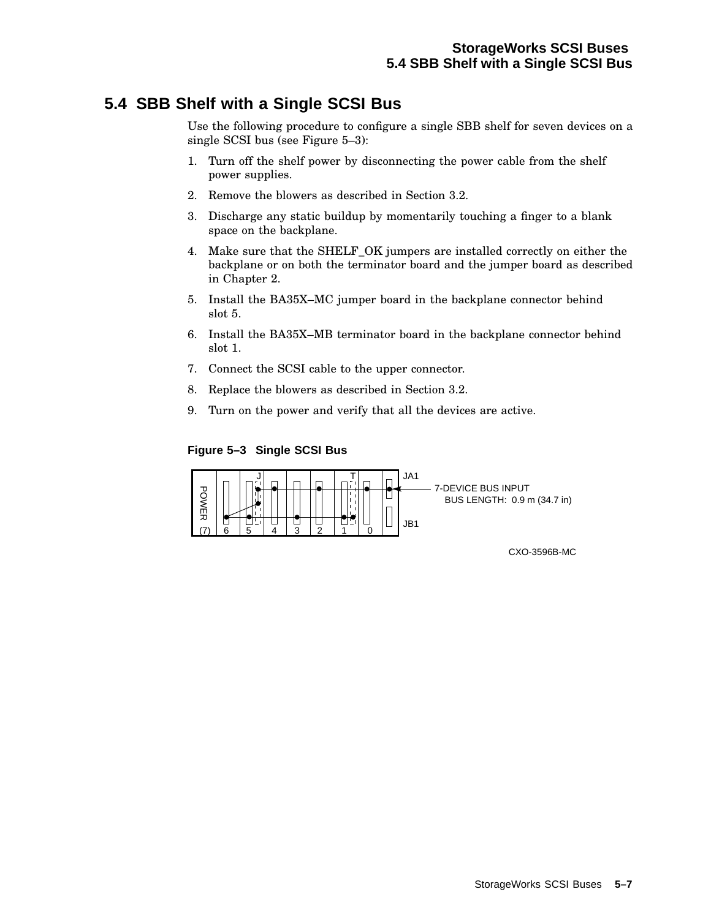# **5.4 SBB Shelf with a Single SCSI Bus**

Use the following procedure to configure a single SBB shelf for seven devices on a single SCSI bus (see Figure 5–3):

- 1. Turn off the shelf power by disconnecting the power cable from the shelf power supplies.
- 2. Remove the blowers as described in Section 3.2.
- 3. Discharge any static buildup by momentarily touching a finger to a blank space on the backplane.
- 4. Make sure that the SHELF\_OK jumpers are installed correctly on either the backplane or on both the terminator board and the jumper board as described in Chapter 2.
- 5. Install the BA35X–MC jumper board in the backplane connector behind slot 5.
- 6. Install the BA35X–MB terminator board in the backplane connector behind slot 1.
- 7. Connect the SCSI cable to the upper connector.
- 8. Replace the blowers as described in Section 3.2.
- 9. Turn on the power and verify that all the devices are active.

### **Figure 5–3 Single SCSI Bus**



CXO-3596B-MC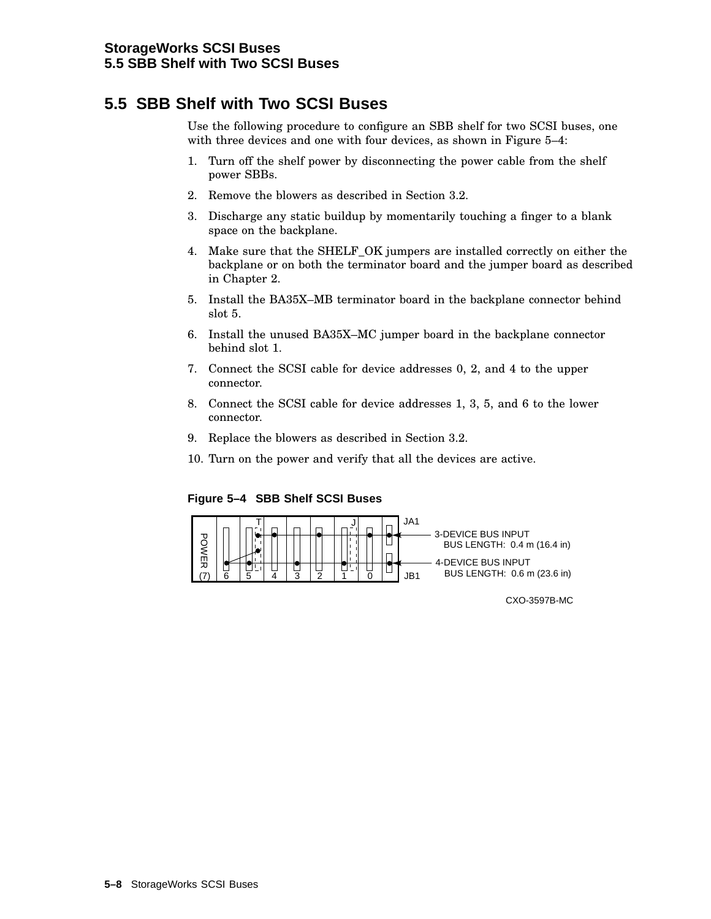## **5.5 SBB Shelf with Two SCSI Buses**

Use the following procedure to configure an SBB shelf for two SCSI buses, one with three devices and one with four devices, as shown in Figure 5–4:

- 1. Turn off the shelf power by disconnecting the power cable from the shelf power SBBs.
- 2. Remove the blowers as described in Section 3.2.
- 3. Discharge any static buildup by momentarily touching a finger to a blank space on the backplane.
- 4. Make sure that the SHELF\_OK jumpers are installed correctly on either the backplane or on both the terminator board and the jumper board as described in Chapter 2.
- 5. Install the BA35X–MB terminator board in the backplane connector behind slot 5.
- 6. Install the unused BA35X–MC jumper board in the backplane connector behind slot 1.
- 7. Connect the SCSI cable for device addresses 0, 2, and 4 to the upper connector.
- 8. Connect the SCSI cable for device addresses 1, 3, 5, and 6 to the lower connector.
- 9. Replace the blowers as described in Section 3.2.
- 10. Turn on the power and verify that all the devices are active.

**Figure 5–4 SBB Shelf SCSI Buses**



CXO-3597B-MC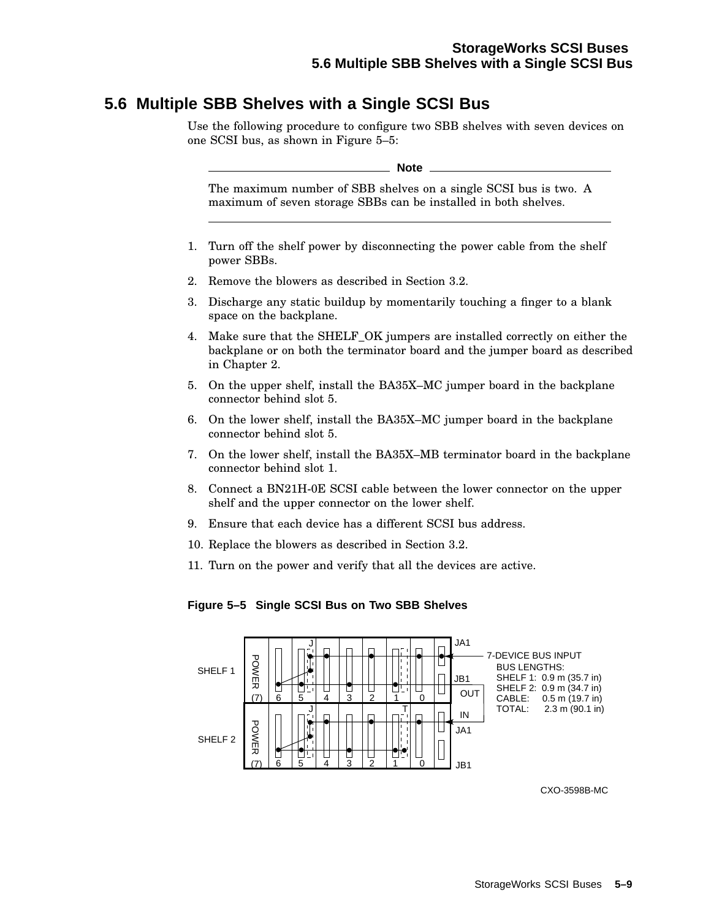# **5.6 Multiple SBB Shelves with a Single SCSI Bus**

Use the following procedure to configure two SBB shelves with seven devices on one SCSI bus, as shown in Figure 5–5:

**Note**

The maximum number of SBB shelves on a single SCSI bus is two. A maximum of seven storage SBBs can be installed in both shelves.

- 1. Turn off the shelf power by disconnecting the power cable from the shelf power SBBs.
- 2. Remove the blowers as described in Section 3.2.
- 3. Discharge any static buildup by momentarily touching a finger to a blank space on the backplane.
- 4. Make sure that the SHELF\_OK jumpers are installed correctly on either the backplane or on both the terminator board and the jumper board as described in Chapter 2.
- 5. On the upper shelf, install the BA35X–MC jumper board in the backplane connector behind slot 5.
- 6. On the lower shelf, install the BA35X–MC jumper board in the backplane connector behind slot 5.
- 7. On the lower shelf, install the BA35X–MB terminator board in the backplane connector behind slot 1.
- 8. Connect a BN21H-0E SCSI cable between the lower connector on the upper shelf and the upper connector on the lower shelf.
- 9. Ensure that each device has a different SCSI bus address.
- 10. Replace the blowers as described in Section 3.2.
- 11. Turn on the power and verify that all the devices are active.

### **Figure 5–5 Single SCSI Bus on Two SBB Shelves**



CXO-3598B-MC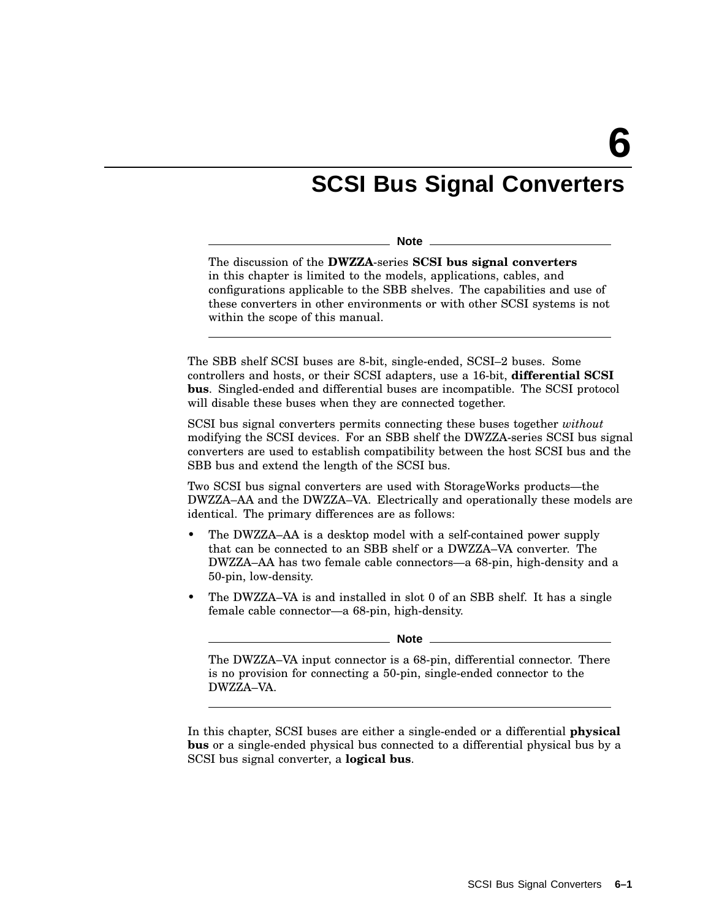# **SCSI Bus Signal Converters**

**Note**

The discussion of the **DWZZA**-series **SCSI bus signal converters** in this chapter is limited to the models, applications, cables, and configurations applicable to the SBB shelves. The capabilities and use of these converters in other environments or with other SCSI systems is not within the scope of this manual.

The SBB shelf SCSI buses are 8-bit, single-ended, SCSI–2 buses. Some controllers and hosts, or their SCSI adapters, use a 16-bit, **differential SCSI bus**. Singled-ended and differential buses are incompatible. The SCSI protocol will disable these buses when they are connected together.

SCSI bus signal converters permits connecting these buses together *without* modifying the SCSI devices. For an SBB shelf the DWZZA-series SCSI bus signal converters are used to establish compatibility between the host SCSI bus and the SBB bus and extend the length of the SCSI bus.

Two SCSI bus signal converters are used with StorageWorks products—the DWZZA–AA and the DWZZA–VA. Electrically and operationally these models are identical. The primary differences are as follows:

- The DWZZA–AA is a desktop model with a self-contained power supply that can be connected to an SBB shelf or a DWZZA–VA converter. The DWZZA–AA has two female cable connectors—a 68-pin, high-density and a 50-pin, low-density.
- The DWZZA–VA is and installed in slot 0 of an SBB shelf. It has a single female cable connector—a 68-pin, high-density.

The DWZZA–VA input connector is a 68-pin, differential connector. There is no provision for connecting a 50-pin, single-ended connector to the DWZZA–VA.

In this chapter, SCSI buses are either a single-ended or a differential **physical bus** or a single-ended physical bus connected to a differential physical bus by a SCSI bus signal converter, a **logical bus**.

**Note**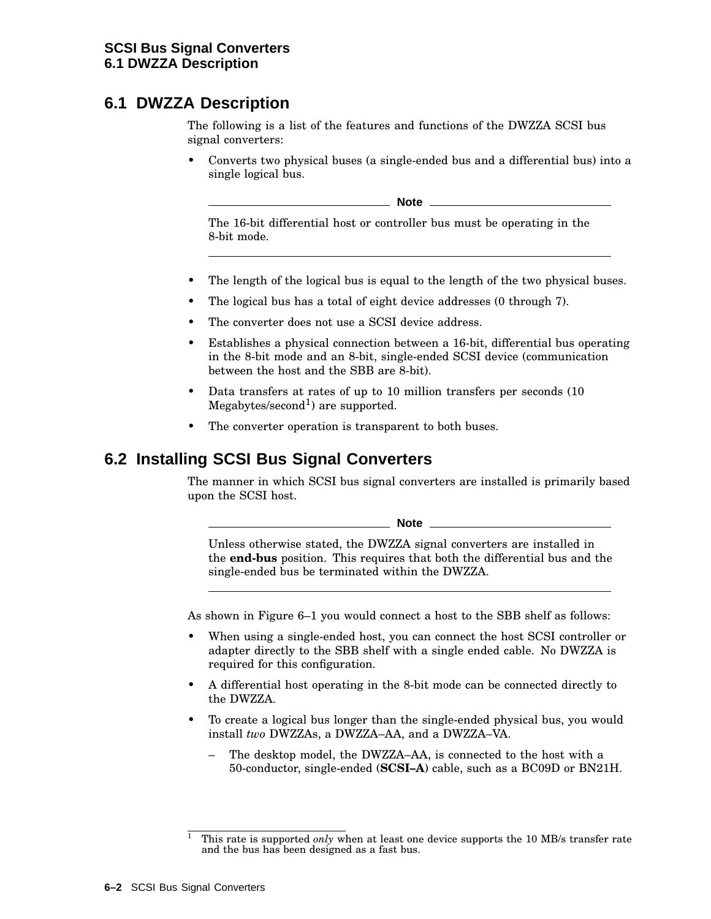# **6.1 DWZZA Description**

The following is a list of the features and functions of the DWZZA SCSI bus signal converters:

• Converts two physical buses (a single-ended bus and a differential bus) into a single logical bus.

**Note**

The 16-bit differential host or controller bus must be operating in the 8-bit mode.

- The length of the logical bus is equal to the length of the two physical buses.
- The logical bus has a total of eight device addresses (0 through 7).
- The converter does not use a SCSI device address.
- Establishes a physical connection between a 16-bit, differential bus operating in the 8-bit mode and an 8-bit, single-ended SCSI device (communication between the host and the SBB are 8-bit).
- Data transfers at rates of up to 10 million transfers per seconds (10  $Megabytes/second<sup>1</sup>)$  are supported.
- The converter operation is transparent to both buses.

## **6.2 Installing SCSI Bus Signal Converters**

The manner in which SCSI bus signal converters are installed is primarily based upon the SCSI host.

**Note** 2008

Unless otherwise stated, the DWZZA signal converters are installed in the **end-bus** position. This requires that both the differential bus and the single-ended bus be terminated within the DWZZA.

As shown in Figure 6–1 you would connect a host to the SBB shelf as follows:

- When using a single-ended host, you can connect the host SCSI controller or adapter directly to the SBB shelf with a single ended cable. No DWZZA is required for this configuration.
- A differential host operating in the 8-bit mode can be connected directly to the DWZZA.
- To create a logical bus longer than the single-ended physical bus, you would install *two* DWZZAs, a DWZZA–AA, and a DWZZA–VA.
	- The desktop model, the DWZZA–AA, is connected to the host with a 50-conductor, single-ended (**SCSI–A**) cable, such as a BC09D or BN21H.

<sup>1</sup> This rate is supported *only* when at least one device supports the 10 MB/s transfer rate and the bus has been designed as a fast bus.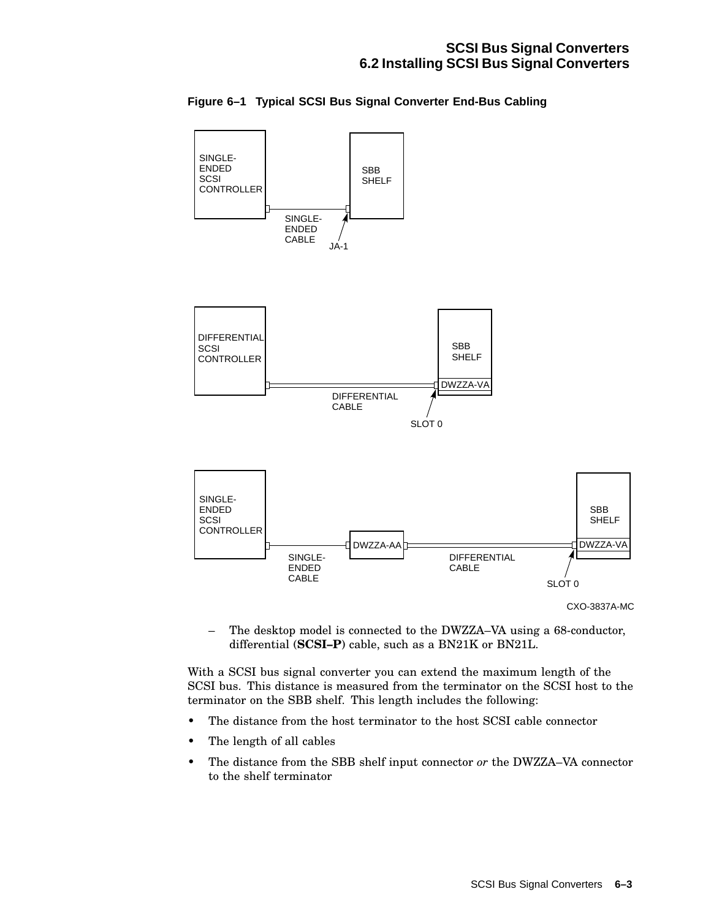

**Figure 6–1 Typical SCSI Bus Signal Converter End-Bus Cabling**

– The desktop model is connected to the DWZZA–VA using a 68-conductor, differential (**SCSI–P**) cable, such as a BN21K or BN21L.

With a SCSI bus signal converter you can extend the maximum length of the SCSI bus. This distance is measured from the terminator on the SCSI host to the terminator on the SBB shelf. This length includes the following:

- The distance from the host terminator to the host SCSI cable connector
- The length of all cables
- The distance from the SBB shelf input connector *or* the DWZZA–VA connector to the shelf terminator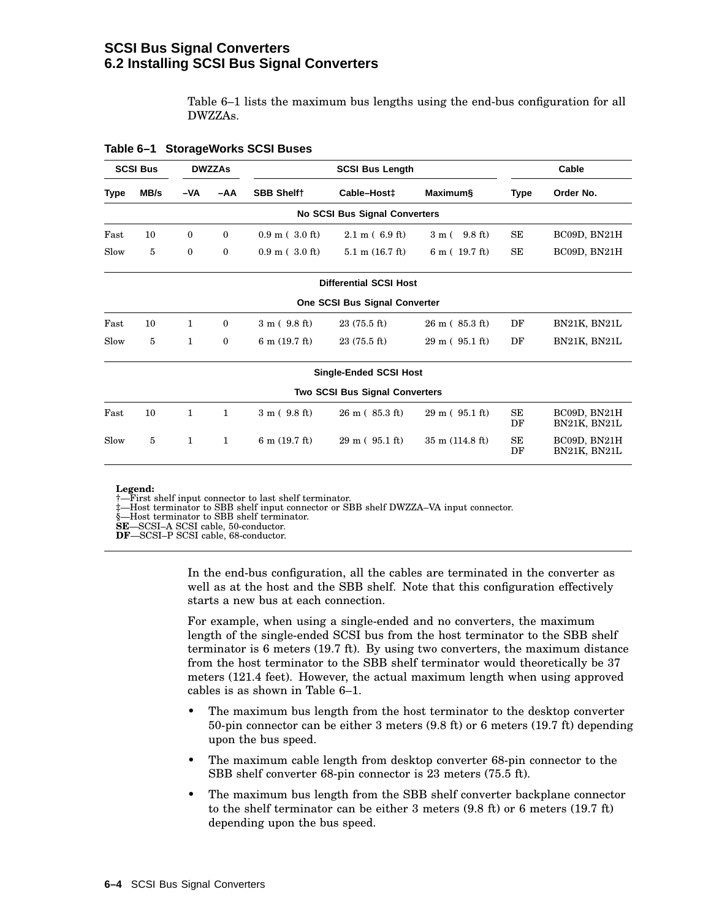### **SCSI Bus Signal Converters 6.2 Installing SCSI Bus Signal Converters**

Table 6–1 lists the maximum bus lengths using the end-bus configuration for all DWZZAs.

| <b>SCSI Bus</b><br><b>DWZZAs</b> |      | <b>SCSI Bus Length</b> |              |                          |                                       | Cable                                |          |                              |
|----------------------------------|------|------------------------|--------------|--------------------------|---------------------------------------|--------------------------------------|----------|------------------------------|
| Type                             | MB/s | -VA                    | -AA          | <b>SBB Shelft</b>        | Cable-Host <sup>+</sup>               | Maximum§                             | Type     | Order No.                    |
|                                  |      |                        |              |                          | No SCSI Bus Signal Converters         |                                      |          |                              |
| Fast                             | 10   | $\mathbf{0}$           | $\mathbf{0}$ | $0.9 \text{ m}$ (3.0 ft) | $2.1 \text{ m}$ (6.9 ft)              | $9.8 \text{ ft}$<br>3m(              | SE       | BC09D, BN21H                 |
| Slow                             | 5    | 0                      | $\mathbf{0}$ | $0.9 \text{ m}$ (3.0 ft) | $5.1 \text{ m}$ (16.7 ft)             | 6 m (19.7 ft)                        | SE       | BC09D, BN21H                 |
|                                  |      |                        |              |                          | <b>Differential SCSI Host</b>         |                                      |          |                              |
|                                  |      |                        |              |                          | One SCSI Bus Signal Converter         |                                      |          |                              |
| Fast                             | 10   | $\mathbf{1}$           | $\mathbf{0}$ | 3 m (9.8 ft)             | $23(75.5)$ ft)                        | $26 \text{ m}$ ( $85.3 \text{ ft}$ ) | DF       | BN21K, BN21L                 |
| Slow                             | 5    | 1                      | $\mathbf{0}$ | $6 \text{ m}$ (19.7 ft)  | $23(75.5)$ ft)                        | $29 \text{ m}$ ( $95.1 \text{ ft}$ ) | DF       | BN21K, BN21L                 |
|                                  |      |                        |              |                          | <b>Single-Ended SCSI Host</b>         |                                      |          |                              |
|                                  |      |                        |              |                          | <b>Two SCSI Bus Signal Converters</b> |                                      |          |                              |
| Fast                             | 10   | 1                      | 1            | 3 m (9.8 ft)             | $26 \text{ m}$ ( $85.3 \text{ ft}$ )  | $29 \text{ m}$ ( $95.1 \text{ ft}$ ) | SE<br>DF | BC09D, BN21H<br>BN21K, BN21L |
| Slow                             | 5    | $\mathbf{1}$           | $\mathbf{1}$ | $6 \text{ m}$ (19.7 ft)  | $29 \text{ m}$ ( $95.1 \text{ ft}$ )  | $35 \text{ m}$ (114.8 ft)            | SE<br>DF | BC09D, BN21H<br>BN21K, BN21L |

#### **Table 6–1 StorageWorks SCSI Buses**

#### **Legend:**

†—First shelf input connector to last shelf terminator.

‡—Host terminator to SBB shelf input connector or SBB shelf DWZZA–VA input connector.

§—Host terminator to SBB shelf terminator.

**SE**—SCSI–A SCSI cable, 50-conductor.

**DF**—SCSI–P SCSI cable, 68-conductor.

In the end-bus configuration, all the cables are terminated in the converter as well as at the host and the SBB shelf. Note that this configuration effectively starts a new bus at each connection.

For example, when using a single-ended and no converters, the maximum length of the single-ended SCSI bus from the host terminator to the SBB shelf terminator is 6 meters (19.7 ft). By using two converters, the maximum distance from the host terminator to the SBB shelf terminator would theoretically be 37 meters (121.4 feet). However, the actual maximum length when using approved cables is as shown in Table 6–1.

- The maximum bus length from the host terminator to the desktop converter 50-pin connector can be either 3 meters (9.8 ft) or 6 meters (19.7 ft) depending upon the bus speed.
- The maximum cable length from desktop converter 68-pin connector to the SBB shelf converter 68-pin connector is 23 meters (75.5 ft).
- The maximum bus length from the SBB shelf converter backplane connector to the shelf terminator can be either 3 meters (9.8 ft) or 6 meters (19.7 ft) depending upon the bus speed.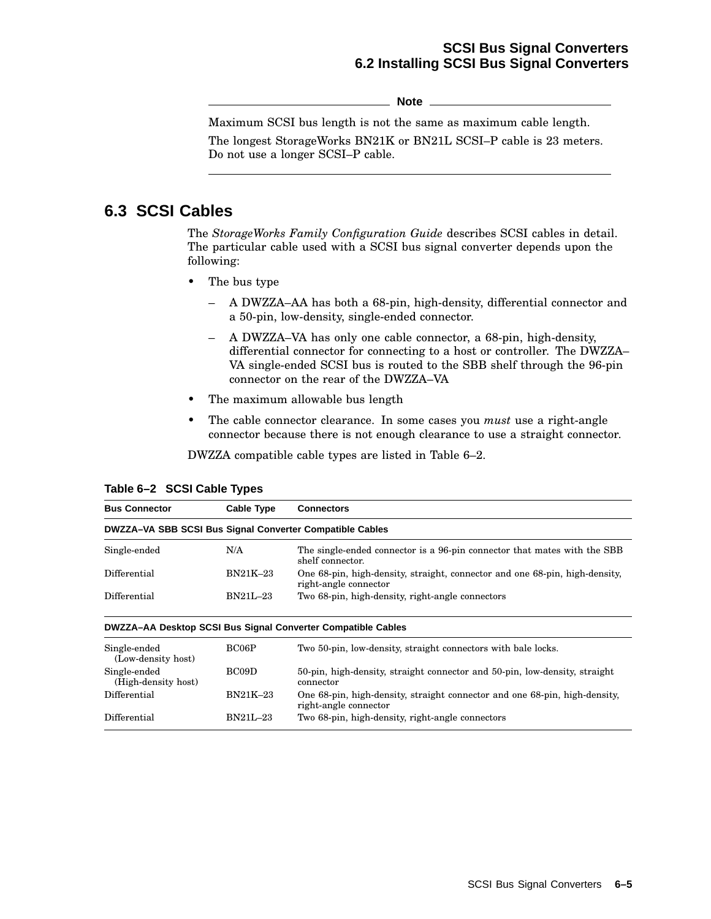### **SCSI Bus Signal Converters 6.2 Installing SCSI Bus Signal Converters**

**Note**

Maximum SCSI bus length is not the same as maximum cable length. The longest StorageWorks BN21K or BN21L SCSI–P cable is 23 meters. Do not use a longer SCSI–P cable.

### **6.3 SCSI Cables**

The *StorageWorks Family Configuration Guide* describes SCSI cables in detail. The particular cable used with a SCSI bus signal converter depends upon the following:

- The bus type
	- A DWZZA–AA has both a 68-pin, high-density, differential connector and a 50-pin, low-density, single-ended connector.
	- A DWZZA–VA has only one cable connector, a 68-pin, high-density, differential connector for connecting to a host or controller. The DWZZA– VA single-ended SCSI bus is routed to the SBB shelf through the 96-pin connector on the rear of the DWZZA–VA
- The maximum allowable bus length
- The cable connector clearance. In some cases you *must* use a right-angle connector because there is not enough clearance to use a straight connector.

DWZZA compatible cable types are listed in Table 6–2.

| <b>Bus Connector</b><br><b>Cable Type</b>                |          | <b>Connectors</b>                                                                                    |  |  |  |
|----------------------------------------------------------|----------|------------------------------------------------------------------------------------------------------|--|--|--|
| DWZZA-VA SBB SCSI Bus Signal Converter Compatible Cables |          |                                                                                                      |  |  |  |
| Single-ended                                             | N/A      | The single-ended connector is a 96-pin connector that mates with the SBB<br>shelf connector.         |  |  |  |
| Differential                                             | BN21K-23 | One 68-pin, high-density, straight, connector and one 68-pin, high-density,<br>right-angle connector |  |  |  |
| Differential<br>$BN21L-23$                               |          | Two 68-pin, high-density, right-angle connectors                                                     |  |  |  |
|                                                          |          | DWZZA-AA Desktop SCSI Bus Signal Converter Compatible Cables                                         |  |  |  |
| Single-ended<br>(Low-density host)                       | BC06P    | Two 50-pin, low-density, straight connectors with bale locks.                                        |  |  |  |
| Single-ended<br>(High-density host)                      | BC09D    | 50-pin, high-density, straight connector and 50-pin, low-density, straight<br>connector              |  |  |  |

Differential BN21K–23 One 68-pin, high-density, straight connector and one 68-pin, high-density, right-angle connector

Differential BN21L–23 Two 68-pin, high-density, right-angle connectors

**Table 6–2 SCSI Cable Types**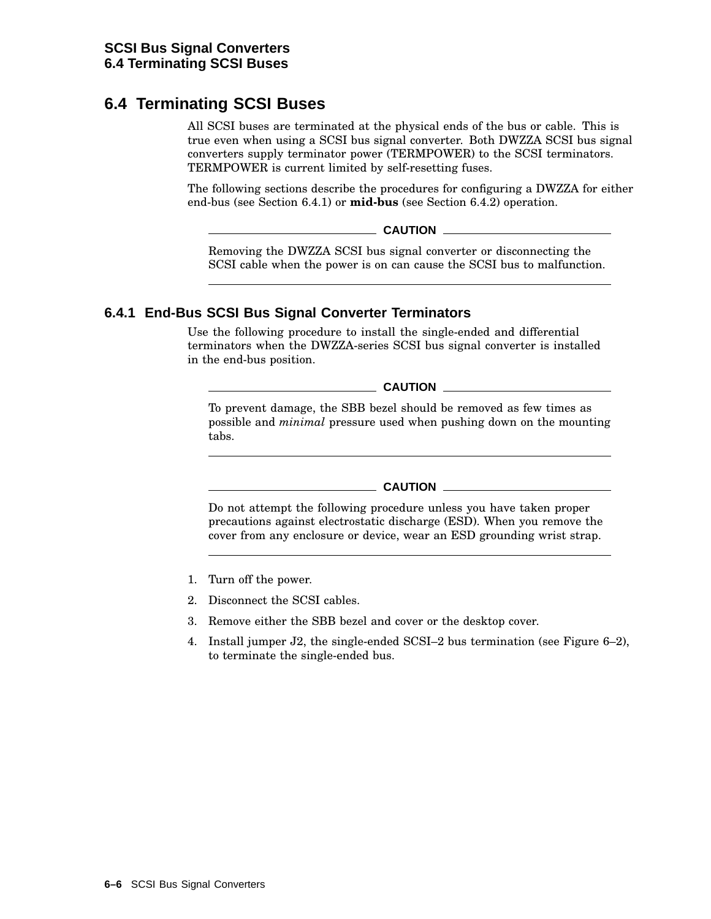# **6.4 Terminating SCSI Buses**

All SCSI buses are terminated at the physical ends of the bus or cable. This is true even when using a SCSI bus signal converter. Both DWZZA SCSI bus signal converters supply terminator power (TERMPOWER) to the SCSI terminators. TERMPOWER is current limited by self-resetting fuses.

The following sections describe the procedures for configuring a DWZZA for either end-bus (see Section 6.4.1) or **mid-bus** (see Section 6.4.2) operation.

**CAUTION**

Removing the DWZZA SCSI bus signal converter or disconnecting the SCSI cable when the power is on can cause the SCSI bus to malfunction.

### **6.4.1 End-Bus SCSI Bus Signal Converter Terminators**

Use the following procedure to install the single-ended and differential terminators when the DWZZA-series SCSI bus signal converter is installed in the end-bus position.

**CAUTION**

To prevent damage, the SBB bezel should be removed as few times as possible and *minimal* pressure used when pushing down on the mounting tabs.

 $\_$  CAUTION  $\_$ 

Do not attempt the following procedure unless you have taken proper precautions against electrostatic discharge (ESD). When you remove the cover from any enclosure or device, wear an ESD grounding wrist strap.

- 1. Turn off the power.
- 2. Disconnect the SCSI cables.
- 3. Remove either the SBB bezel and cover or the desktop cover.
- 4. Install jumper J2, the single-ended SCSI–2 bus termination (see Figure 6–2), to terminate the single-ended bus.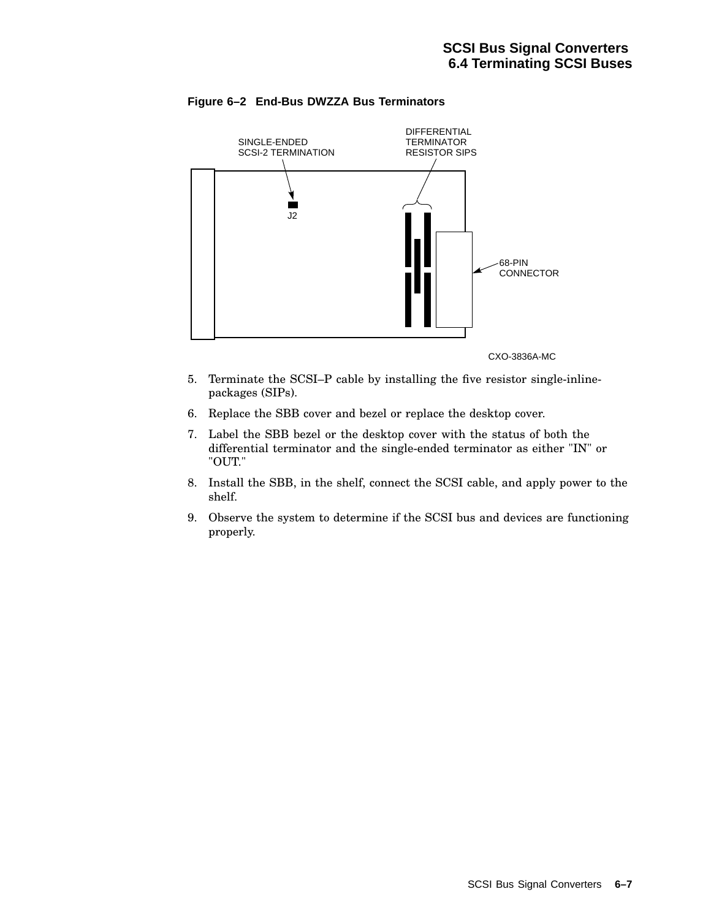

#### **Figure 6–2 End-Bus DWZZA Bus Terminators**

CXO-3836A-MC

- 5. Terminate the SCSI–P cable by installing the five resistor single-inlinepackages (SIPs).
- 6. Replace the SBB cover and bezel or replace the desktop cover.
- 7. Label the SBB bezel or the desktop cover with the status of both the differential terminator and the single-ended terminator as either "IN" or "OUT."
- 8. Install the SBB, in the shelf, connect the SCSI cable, and apply power to the shelf.
- 9. Observe the system to determine if the SCSI bus and devices are functioning properly.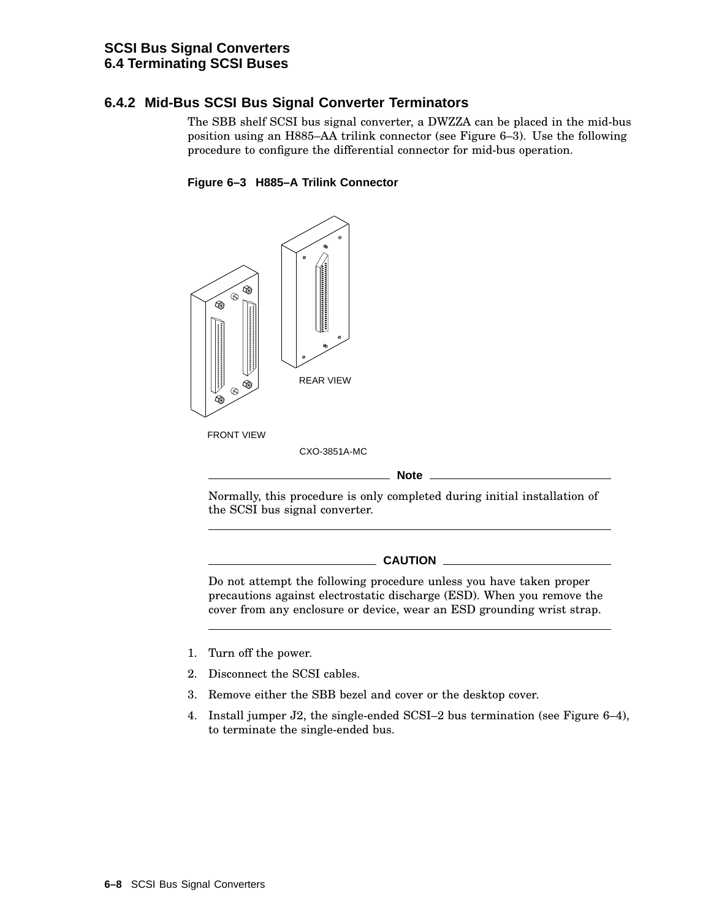### **SCSI Bus Signal Converters 6.4 Terminating SCSI Buses**

### **6.4.2 Mid-Bus SCSI Bus Signal Converter Terminators**

The SBB shelf SCSI bus signal converter, a DWZZA can be placed in the mid-bus position using an H885–AA trilink connector (see Figure 6–3). Use the following procedure to configure the differential connector for mid-bus operation.

### **Figure 6–3 H885–A Trilink Connector**



#### **Note**

Normally, this procedure is only completed during initial installation of the SCSI bus signal converter.

#### **CAUTION** \_

Do not attempt the following procedure unless you have taken proper precautions against electrostatic discharge (ESD). When you remove the cover from any enclosure or device, wear an ESD grounding wrist strap.

- 1. Turn off the power.
- 2. Disconnect the SCSI cables.
- 3. Remove either the SBB bezel and cover or the desktop cover.
- 4. Install jumper J2, the single-ended SCSI–2 bus termination (see Figure 6–4), to terminate the single-ended bus.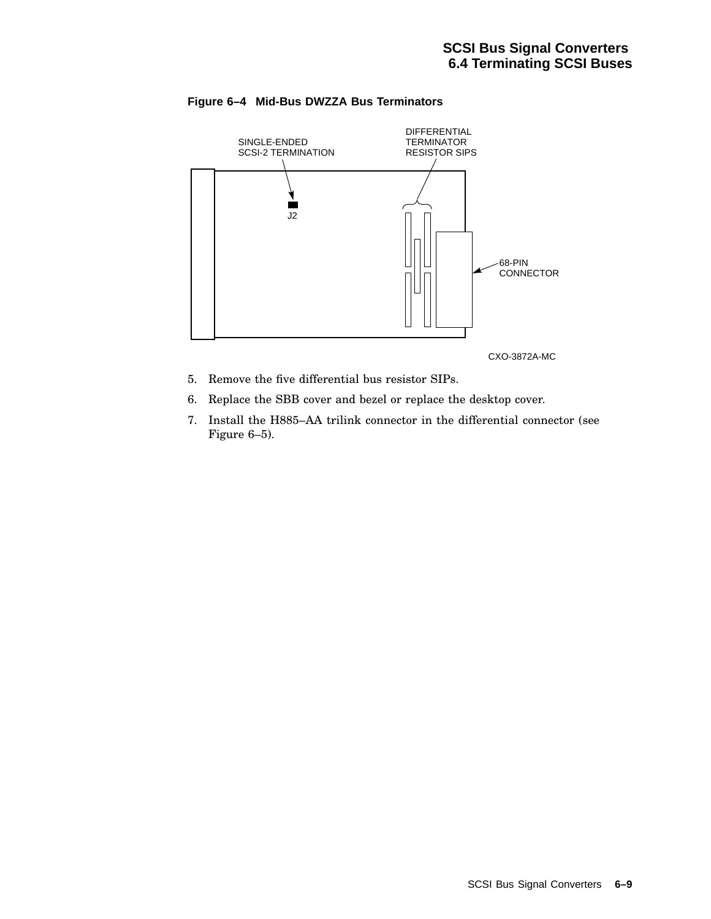

#### **Figure 6–4 Mid-Bus DWZZA Bus Terminators**

- 5. Remove the five differential bus resistor SIPs.
- 6. Replace the SBB cover and bezel or replace the desktop cover.
- 7. Install the H885–AA trilink connector in the differential connector (see Figure 6–5).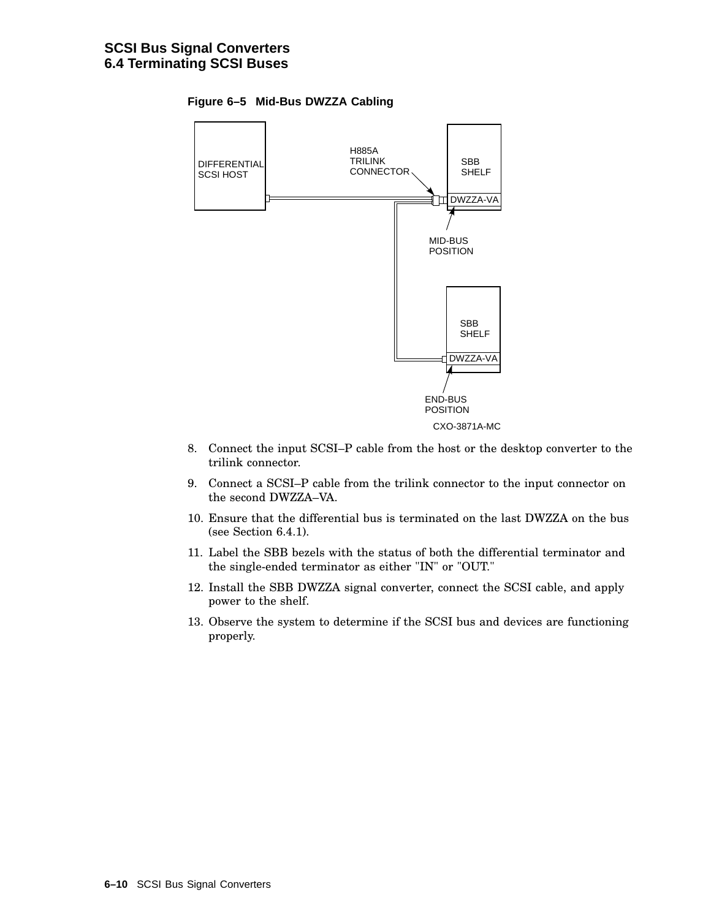



- 8. Connect the input SCSI–P cable from the host or the desktop converter to the trilink connector.
- 9. Connect a SCSI–P cable from the trilink connector to the input connector on the second DWZZA–VA.
- 10. Ensure that the differential bus is terminated on the last DWZZA on the bus (see Section 6.4.1).
- 11. Label the SBB bezels with the status of both the differential terminator and the single-ended terminator as either "IN" or "OUT."
- 12. Install the SBB DWZZA signal converter, connect the SCSI cable, and apply power to the shelf.
- 13. Observe the system to determine if the SCSI bus and devices are functioning properly.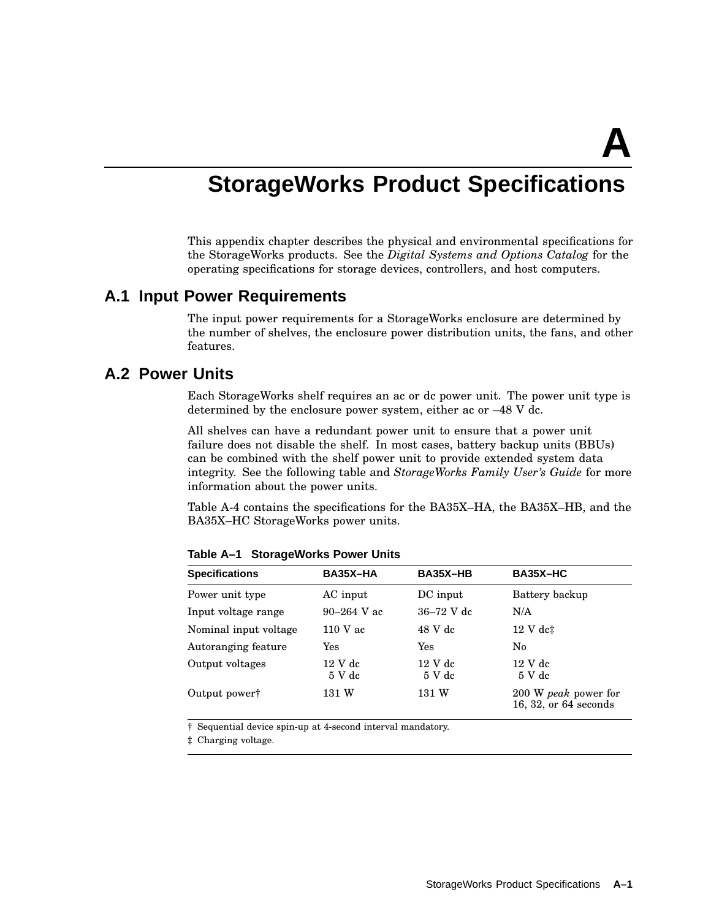**A**

# **StorageWorks Product Specifications**

This appendix chapter describes the physical and environmental specifications for the StorageWorks products. See the *Digital Systems and Options Catalog* for the operating specifications for storage devices, controllers, and host computers.

### **A.1 Input Power Requirements**

The input power requirements for a StorageWorks enclosure are determined by the number of shelves, the enclosure power distribution units, the fans, and other features.

### **A.2 Power Units**

Each StorageWorks shelf requires an ac or dc power unit. The power unit type is determined by the enclosure power system, either ac or –48 V dc.

All shelves can have a redundant power unit to ensure that a power unit failure does not disable the shelf. In most cases, battery backup units (BBUs) can be combined with the shelf power unit to provide extended system data integrity. See the following table and *StorageWorks Family User's Guide* for more information about the power units.

Table A-4 contains the specifications for the BA35X–HA, the BA35X–HB, and the BA35X–HC StorageWorks power units.

| <b>Specifications</b>     | BA35X-HA                                | BA35X-HB                                | BA35X-HC                                      |
|---------------------------|-----------------------------------------|-----------------------------------------|-----------------------------------------------|
| Power unit type           | AC input                                | DC input                                | Battery backup                                |
| Input voltage range       | $90 - 264$ V ac                         | $36 - 72$ V dc                          | N/A                                           |
| Nominal input voltage     | $110$ V ac                              | 48 V dc                                 | $12$ V dc $\ddagger$                          |
| Autoranging feature       | Yes                                     | Yes                                     | No                                            |
| Output voltages           | 12 V <sub>dc</sub><br>5 V <sub>dc</sub> | 12 V <sub>dc</sub><br>5 V <sub>dc</sub> | $12 \text{ V}$ dc<br>5 V dc                   |
| Output power <sup>†</sup> | 131 W                                   | 131 W                                   | 200 W peak power for<br>16, 32, or 64 seconds |

**Table A–1 StorageWorks Power Units**

† Sequential device spin-up at 4-second interval mandatory.

‡ Charging voltage.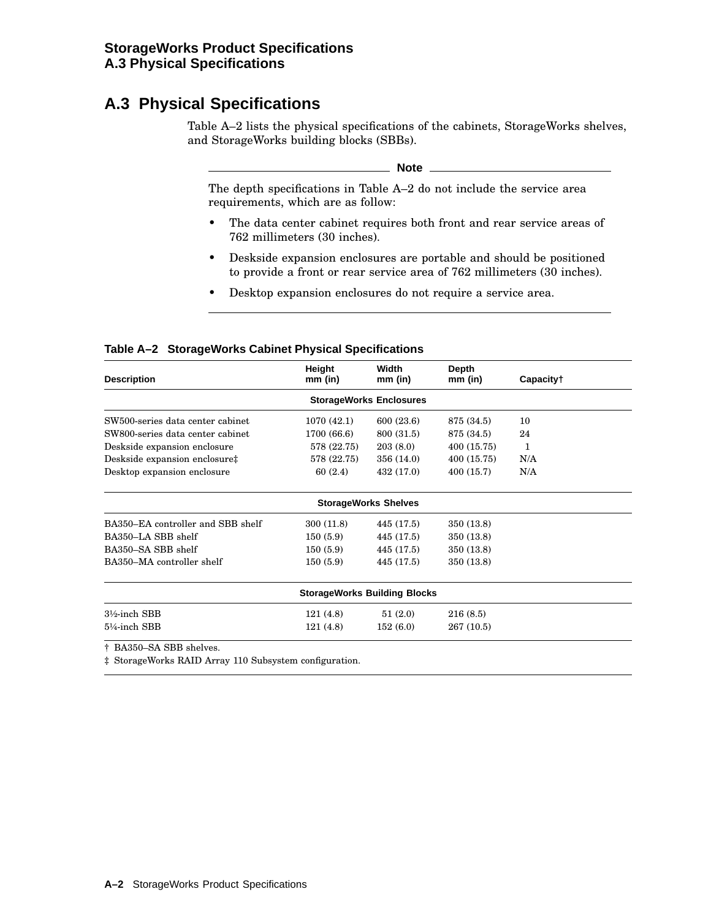# **A.3 Physical Specifications**

Table A–2 lists the physical specifications of the cabinets, StorageWorks shelves, and StorageWorks building blocks (SBBs).

**Note**

The depth specifications in Table A–2 do not include the service area requirements, which are as follow:

- The data center cabinet requires both front and rear service areas of 762 millimeters (30 inches).
- Deskside expansion enclosures are portable and should be positioned to provide a front or rear service area of 762 millimeters (30 inches).
- Desktop expansion enclosures do not require a service area.

#### **Table A–2 StorageWorks Cabinet Physical Specifications**

| <b>Description</b>                  | Height<br>mm (in) | Width<br>$mm$ (in) | Depth<br>$mm$ (in) | Capacity† |  |  |  |  |
|-------------------------------------|-------------------|--------------------|--------------------|-----------|--|--|--|--|
| <b>StorageWorks Enclosures</b>      |                   |                    |                    |           |  |  |  |  |
| SW500-series data center cabinet    | 1070 (42.1)       | 600 (23.6)         | 875 (34.5)         | 10        |  |  |  |  |
| SW800-series data center cabinet    | 1700 (66.6)       | 800 (31.5)         | 875 (34.5)         | 24        |  |  |  |  |
| Deskside expansion enclosure        | 578 (22.75)       | 203(8.0)           | 400 (15.75)        | 1         |  |  |  |  |
| Deskside expansion enclosure‡       | 578 (22.75)       | 356 (14.0)         | 400 (15.75)        | N/A       |  |  |  |  |
| Desktop expansion enclosure         | 60(2.4)           | 432 (17.0)         | 400 (15.7)         | N/A       |  |  |  |  |
| <b>StorageWorks Shelves</b>         |                   |                    |                    |           |  |  |  |  |
| BA350–EA controller and SBB shelf   | 300 (11.8)        | 445 (17.5)         | 350 (13.8)         |           |  |  |  |  |
| BA350-LA SBB shelf                  | 150(5.9)          | 445 (17.5)         | 350 (13.8)         |           |  |  |  |  |
| BA350-SA SBB shelf                  | 150(5.9)          | 445 (17.5)         | 350 (13.8)         |           |  |  |  |  |
| BA350-MA controller shelf           | 150(5.9)          | 445 (17.5)         | 350 (13.8)         |           |  |  |  |  |
| <b>StorageWorks Building Blocks</b> |                   |                    |                    |           |  |  |  |  |
| 3½-inch SBB                         | 121(4.8)          | 51(2.0)            | 216(8.5)           |           |  |  |  |  |
| 5¼-inch SBB                         | 121(4.8)          | 152(6.0)           | 267 (10.5)         |           |  |  |  |  |
| $\pm$ DAGEO CA CDD $\pm$ 1.         |                   |                    |                    |           |  |  |  |  |

† BA350–SA SBB shelves.

‡ StorageWorks RAID Array 110 Subsystem configuration.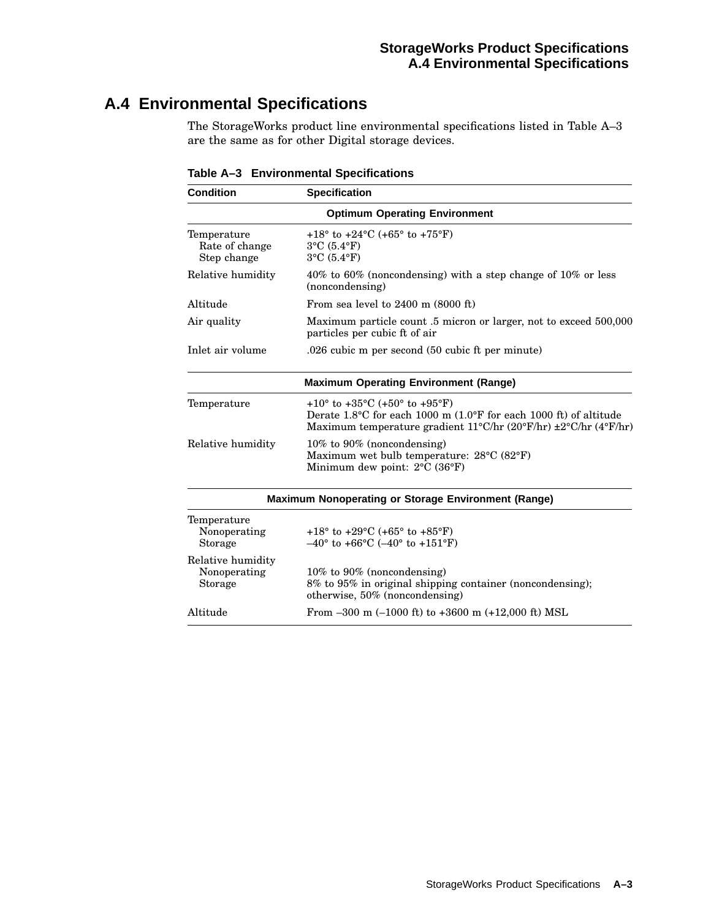# **A.4 Environmental Specifications**

The StorageWorks product line environmental specifications listed in Table A–3 are the same as for other Digital storage devices.

| <b>Condition</b>                                    | <b>Specification</b>                                                                                                                                                                                        |  |  |  |  |
|-----------------------------------------------------|-------------------------------------------------------------------------------------------------------------------------------------------------------------------------------------------------------------|--|--|--|--|
| <b>Optimum Operating Environment</b>                |                                                                                                                                                                                                             |  |  |  |  |
| Temperature<br>Rate of change<br>Step change        | +18 $\degree$ to +24 $\degree$ C (+65 $\degree$ to +75 $\degree$ F)<br>$3^{\circ}$ C $(5.4^{\circ}F)$<br>$3^{\circ}$ C $(5.4^{\circ}F)$                                                                     |  |  |  |  |
| Relative humidity                                   | 40% to 60% (noncondensing) with a step change of 10% or less<br>(noncondensing)                                                                                                                             |  |  |  |  |
| Altitude                                            | From sea level to $2400$ m $(8000$ ft)                                                                                                                                                                      |  |  |  |  |
| Air quality                                         | Maximum particle count .5 micron or larger, not to exceed 500,000<br>particles per cubic ft of air                                                                                                          |  |  |  |  |
| Inlet air volume                                    | .026 cubic m per second (50 cubic ft per minute)                                                                                                                                                            |  |  |  |  |
| <b>Maximum Operating Environment (Range)</b>        |                                                                                                                                                                                                             |  |  |  |  |
| Temperature                                         | +10 $\degree$ to +35 $\degree$ C (+50 $\degree$ to +95 $\degree$ F)<br>Derate 1.8°C for each 1000 m (1.0°F for each 1000 ft) of altitude<br>Maximum temperature gradient 11°C/hr (20°F/hr) ±2°C/hr (4°F/hr) |  |  |  |  |
| Relative humidity                                   | 10% to 90% (noncondensing)<br>Maximum wet bulb temperature: $28^{\circ}$ C (82 $^{\circ}$ F)<br>Minimum dew point: $2^{\circ}C$ (36 $^{\circ}F$ )                                                           |  |  |  |  |
| Maximum Nonoperating or Storage Environment (Range) |                                                                                                                                                                                                             |  |  |  |  |
| Temperature<br>Nonoperating<br><b>Storage</b>       | +18 $\degree$ to +29 $\degree$ C (+65 $\degree$ to +85 $\degree$ F)<br>$-40^{\circ}$ to +66°C ( $-40^{\circ}$ to +151°F)                                                                                    |  |  |  |  |
| Relative humidity<br>Nonoperating<br><b>Storage</b> | $10\%$ to 90% (noncondensing)<br>8% to 95% in original shipping container (noncondensing);<br>otherwise, $50\%$ (noncondensing)                                                                             |  |  |  |  |
| Altitude                                            | From $-300$ m $(-1000$ ft) to $+3600$ m $(+12,000$ ft) MSL                                                                                                                                                  |  |  |  |  |

**Table A–3 Environmental Specifications**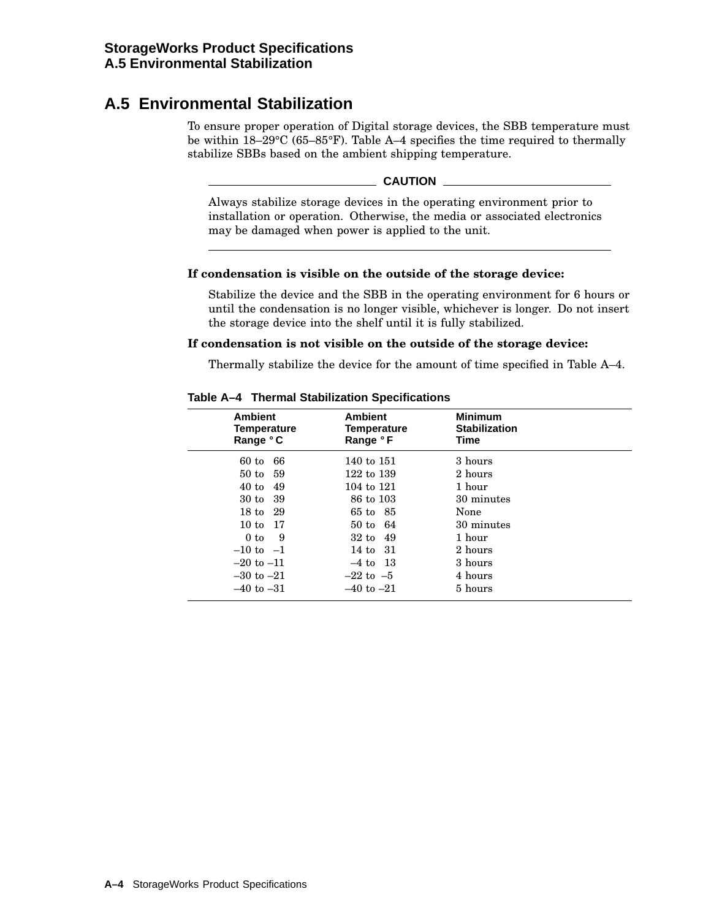# **A.5 Environmental Stabilization**

To ensure proper operation of Digital storage devices, the SBB temperature must be within 18–29°C (65–85°F). Table A–4 specifies the time required to thermally stabilize SBBs based on the ambient shipping temperature.

#### **CAUTION**

Always stabilize storage devices in the operating environment prior to installation or operation. Otherwise, the media or associated electronics may be damaged when power is applied to the unit.

#### **If condensation is visible on the outside of the storage device:**

Stabilize the device and the SBB in the operating environment for 6 hours or until the condensation is no longer visible, whichever is longer. Do not insert the storage device into the shelf until it is fully stabilized.

#### **If condensation is not visible on the outside of the storage device:**

Thermally stabilize the device for the amount of time specified in Table A–4.

| <b>Ambient</b>                                                                                     | <b>Ambient</b>                                                                                     | <b>Minimum</b>                                                             |  |
|----------------------------------------------------------------------------------------------------|----------------------------------------------------------------------------------------------------|----------------------------------------------------------------------------|--|
| <b>Temperature</b>                                                                                 | Temperature                                                                                        | <b>Stabilization</b>                                                       |  |
| Range °C                                                                                           | Range °F                                                                                           | Time                                                                       |  |
| 66<br>$60$ to<br>50 to 59<br>40t<br>49<br>30 to 39<br>18 to 29<br>10 to 17<br>9<br>0 <sub>to</sub> | 140 to 151<br>122 to 139<br>104 to 121<br>86 to 103<br>65 to 85<br>50 to 64<br>$32 \text{ to } 49$ | 3 hours<br>2 hours<br>1 hour<br>30 minutes<br>None<br>30 minutes<br>1 hour |  |
| $-10$ to $-1$                                                                                      | 14 to 31                                                                                           | 2 hours                                                                    |  |
| $-20$ to $-11$                                                                                     | $-4$ to 13                                                                                         | 3 hours                                                                    |  |
| $-30$ to $-21$                                                                                     | $-22$ to $-5$                                                                                      | 4 hours                                                                    |  |
| $-40$ to $-31$                                                                                     | $-40$ to $-21$                                                                                     | 5 hours                                                                    |  |

#### **Table A–4 Thermal Stabilization Specifications**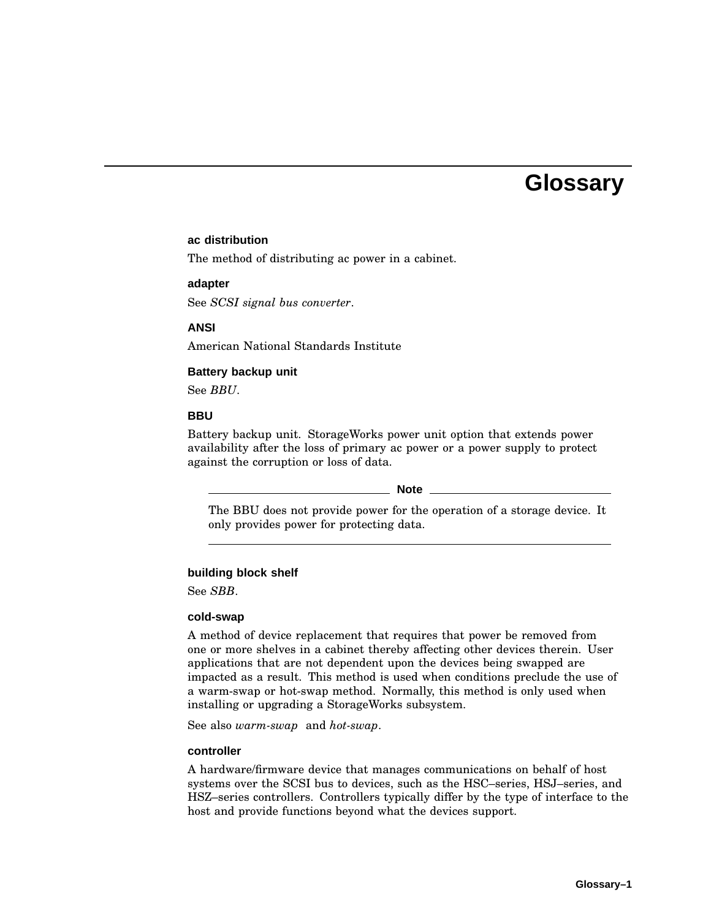# **Glossary**

#### **ac distribution**

The method of distributing ac power in a cabinet.

#### **adapter**

See *SCSI signal bus converter*.

#### **ANSI**

American National Standards Institute

#### **Battery backup unit**

See *BBU*.

#### **BBU**

Battery backup unit. StorageWorks power unit option that extends power availability after the loss of primary ac power or a power supply to protect against the corruption or loss of data.

#### **Note**

The BBU does not provide power for the operation of a storage device. It only provides power for protecting data.

#### **building block shelf**

See *SBB*.

#### **cold-swap**

A method of device replacement that requires that power be removed from one or more shelves in a cabinet thereby affecting other devices therein. User applications that are not dependent upon the devices being swapped are impacted as a result. This method is used when conditions preclude the use of a warm-swap or hot-swap method. Normally, this method is only used when installing or upgrading a StorageWorks subsystem.

See also *warm-swap* and *hot-swap*.

#### **controller**

A hardware/firmware device that manages communications on behalf of host systems over the SCSI bus to devices, such as the HSC–series, HSJ–series, and HSZ–series controllers. Controllers typically differ by the type of interface to the host and provide functions beyond what the devices support.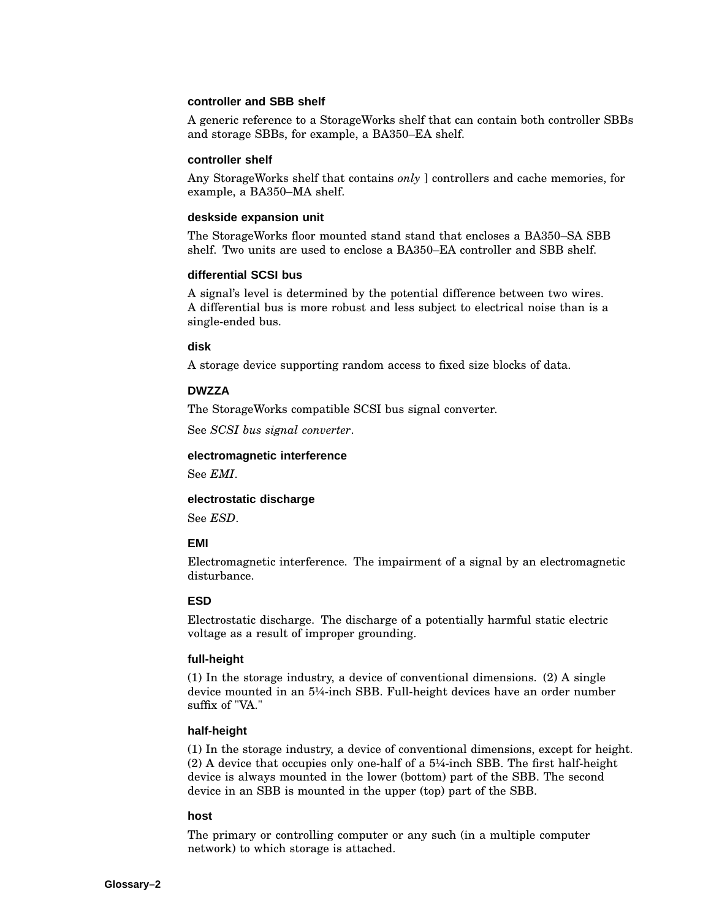#### **controller and SBB shelf**

A generic reference to a StorageWorks shelf that can contain both controller SBBs and storage SBBs, for example, a BA350–EA shelf.

#### **controller shelf**

Any StorageWorks shelf that contains *only* ] controllers and cache memories, for example, a BA350–MA shelf.

#### **deskside expansion unit**

The StorageWorks floor mounted stand stand that encloses a BA350–SA SBB shelf. Two units are used to enclose a BA350–EA controller and SBB shelf.

#### **differential SCSI bus**

A signal's level is determined by the potential difference between two wires. A differential bus is more robust and less subject to electrical noise than is a single-ended bus.

#### **disk**

A storage device supporting random access to fixed size blocks of data.

#### **DWZZA**

The StorageWorks compatible SCSI bus signal converter.

See *SCSI bus signal converter*.

#### **electromagnetic interference**

See *EMI*.

#### **electrostatic discharge**

See *ESD*.

#### **EMI**

Electromagnetic interference. The impairment of a signal by an electromagnetic disturbance.

#### **ESD**

Electrostatic discharge. The discharge of a potentially harmful static electric voltage as a result of improper grounding.

#### **full-height**

(1) In the storage industry, a device of conventional dimensions. (2) A single device mounted in an 5¼-inch SBB. Full-height devices have an order number suffix of "VA."

#### **half-height**

(1) In the storage industry, a device of conventional dimensions, except for height. (2) A device that occupies only one-half of a 5¼-inch SBB. The first half-height device is always mounted in the lower (bottom) part of the SBB. The second device in an SBB is mounted in the upper (top) part of the SBB.

#### **host**

The primary or controlling computer or any such (in a multiple computer network) to which storage is attached.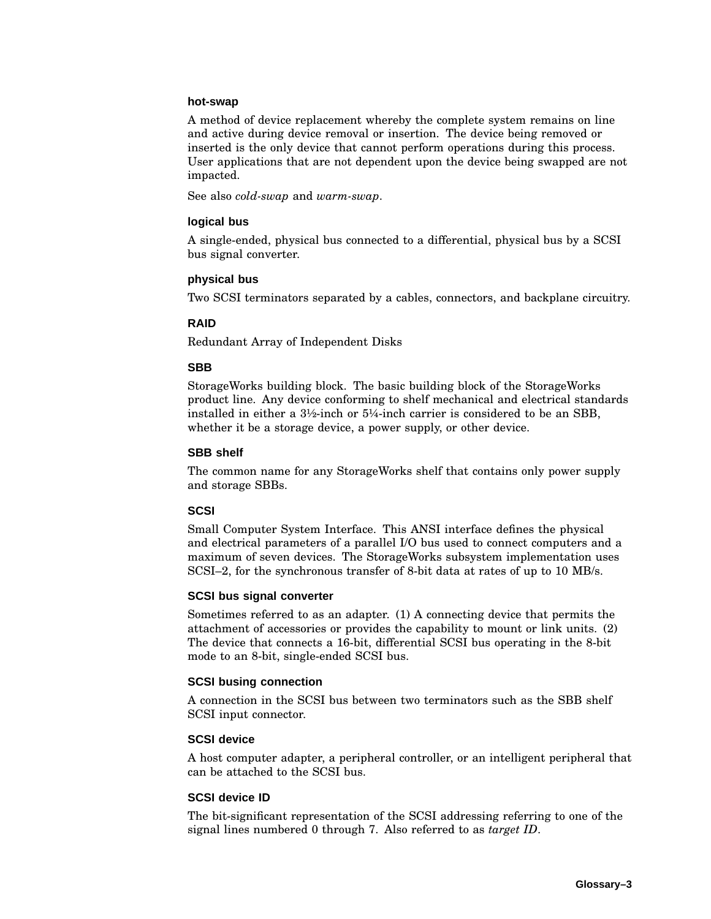#### **hot-swap**

A method of device replacement whereby the complete system remains on line and active during device removal or insertion. The device being removed or inserted is the only device that cannot perform operations during this process. User applications that are not dependent upon the device being swapped are not impacted.

See also *cold-swap* and *warm-swap*.

#### **logical bus**

A single-ended, physical bus connected to a differential, physical bus by a SCSI bus signal converter.

#### **physical bus**

Two SCSI terminators separated by a cables, connectors, and backplane circuitry.

#### **RAID**

Redundant Array of Independent Disks

#### **SBB**

StorageWorks building block. The basic building block of the StorageWorks product line. Any device conforming to shelf mechanical and electrical standards installed in either a 3½-inch or 5¼-inch carrier is considered to be an SBB, whether it be a storage device, a power supply, or other device.

#### **SBB shelf**

The common name for any StorageWorks shelf that contains only power supply and storage SBBs.

#### **SCSI**

Small Computer System Interface. This ANSI interface defines the physical and electrical parameters of a parallel I/O bus used to connect computers and a maximum of seven devices. The StorageWorks subsystem implementation uses SCSI–2, for the synchronous transfer of 8-bit data at rates of up to 10 MB/s.

#### **SCSI bus signal converter**

Sometimes referred to as an adapter. (1) A connecting device that permits the attachment of accessories or provides the capability to mount or link units. (2) The device that connects a 16-bit, differential SCSI bus operating in the 8-bit mode to an 8-bit, single-ended SCSI bus.

#### **SCSI busing connection**

A connection in the SCSI bus between two terminators such as the SBB shelf SCSI input connector.

#### **SCSI device**

A host computer adapter, a peripheral controller, or an intelligent peripheral that can be attached to the SCSI bus.

#### **SCSI device ID**

The bit-significant representation of the SCSI addressing referring to one of the signal lines numbered 0 through 7. Also referred to as *target ID*.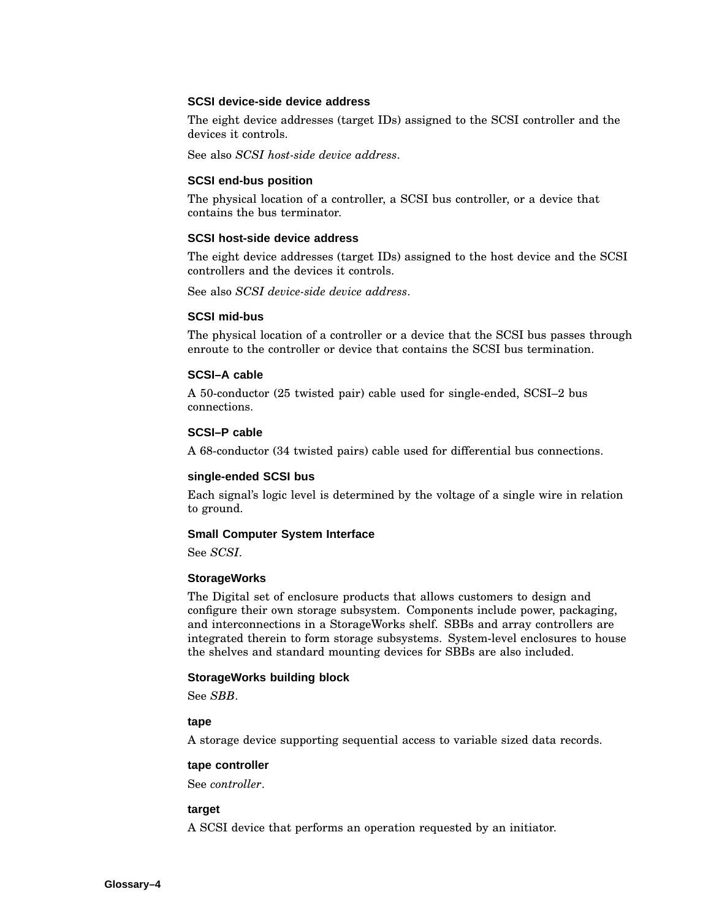#### **SCSI device-side device address**

The eight device addresses (target IDs) assigned to the SCSI controller and the devices it controls.

See also *SCSI host-side device address*.

#### **SCSI end-bus position**

The physical location of a controller, a SCSI bus controller, or a device that contains the bus terminator.

#### **SCSI host-side device address**

The eight device addresses (target IDs) assigned to the host device and the SCSI controllers and the devices it controls.

See also *SCSI device-side device address*.

#### **SCSI mid-bus**

The physical location of a controller or a device that the SCSI bus passes through enroute to the controller or device that contains the SCSI bus termination.

#### **SCSI–A cable**

A 50-conductor (25 twisted pair) cable used for single-ended, SCSI–2 bus connections.

#### **SCSI–P cable**

A 68-conductor (34 twisted pairs) cable used for differential bus connections.

#### **single-ended SCSI bus**

Each signal's logic level is determined by the voltage of a single wire in relation to ground.

#### **Small Computer System Interface**

See *SCSI*.

#### **StorageWorks**

The Digital set of enclosure products that allows customers to design and configure their own storage subsystem. Components include power, packaging, and interconnections in a StorageWorks shelf. SBBs and array controllers are integrated therein to form storage subsystems. System-level enclosures to house the shelves and standard mounting devices for SBBs are also included.

#### **StorageWorks building block**

See *SBB*.

#### **tape**

A storage device supporting sequential access to variable sized data records.

#### **tape controller**

See *controller*.

#### **target**

A SCSI device that performs an operation requested by an initiator.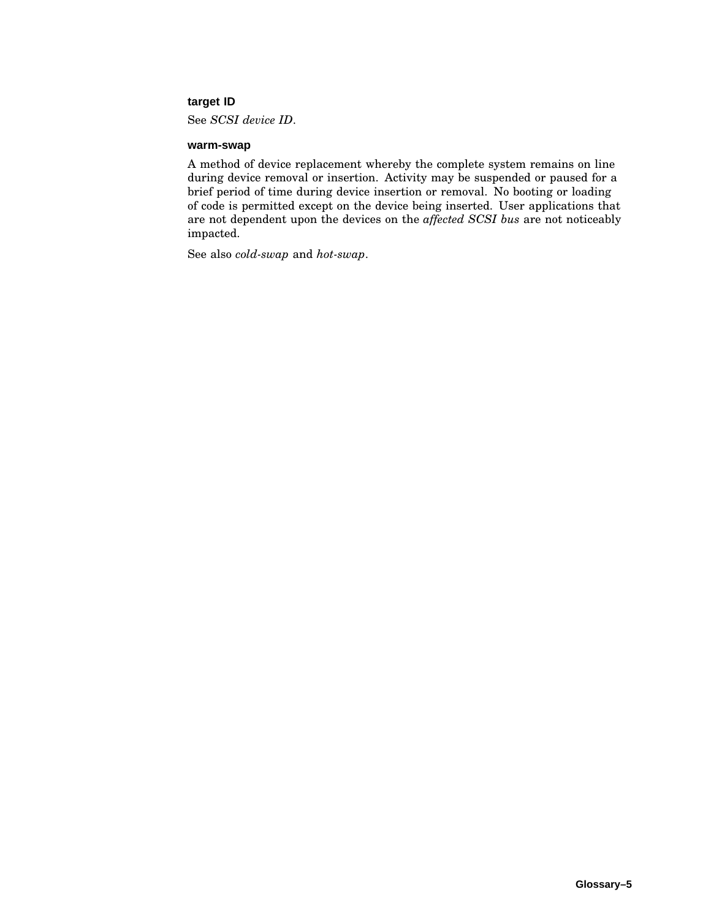#### **target ID**

See *SCSI device ID*.

#### **warm-swap**

A method of device replacement whereby the complete system remains on line during device removal or insertion. Activity may be suspended or paused for a brief period of time during device insertion or removal. No booting or loading of code is permitted except on the device being inserted. User applications that are not dependent upon the devices on the *affected SCSI bus* are not noticeably impacted.

See also *cold-swap* and *hot-swap*.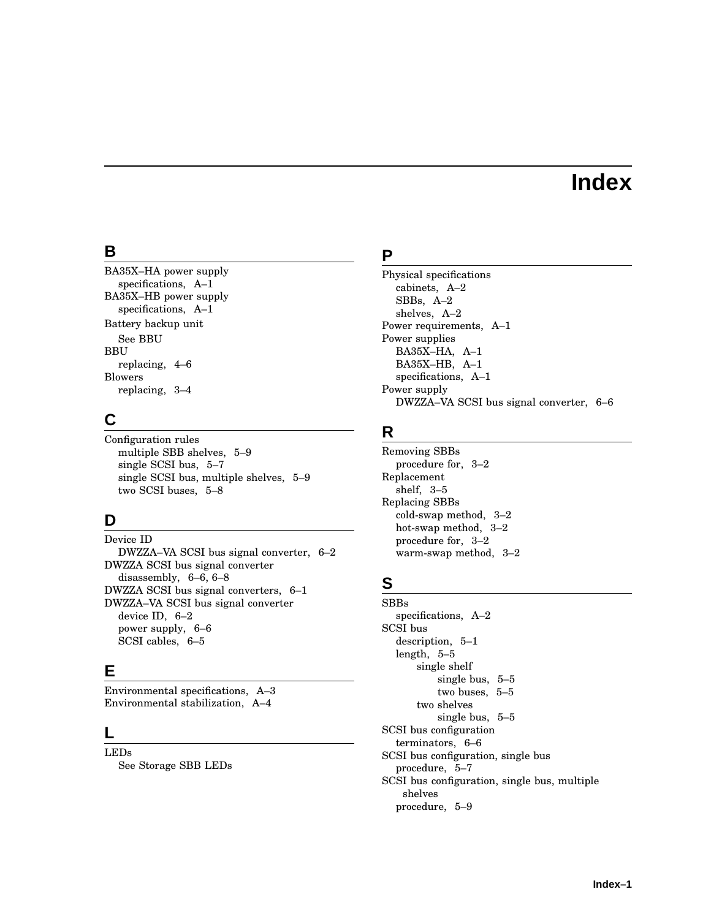# **Index**

#### **B**

BA35X–HA power supply specifications, A–1 BA35X–HB power supply specifications, A–1 Battery backup unit See BBU BBU replacing, 4–6 Blowers replacing, 3–4

## **C**

Configuration rules multiple SBB shelves, 5–9 single SCSI bus, 5–7 single SCSI bus, multiple shelves, 5–9 two SCSI buses, 5–8

## **D**

Device ID DWZZA–VA SCSI bus signal converter, 6–2 DWZZA SCSI bus signal converter disassembly, 6–6, 6–8 DWZZA SCSI bus signal converters, 6–1 DWZZA–VA SCSI bus signal converter device ID, 6–2 power supply, 6–6 SCSI cables, 6–5

## **E**

Environmental specifications, A–3 Environmental stabilization, A–4

#### **L**

LEDs See Storage SBB LEDs

#### **P**

Physical specifications cabinets, A–2 SBBs, A–2 shelves, A–2 Power requirements, A–1 Power supplies BA35X–HA, A–1 BA35X–HB, A–1 specifications, A–1 Power supply DWZZA–VA SCSI bus signal converter, 6–6

## **R**

Removing SBBs procedure for, 3–2 Replacement shelf, 3–5 Replacing SBBs cold-swap method, 3–2 hot-swap method, 3–2 procedure for, 3–2 warm-swap method, 3–2

## **S**

SBBs specifications, A–2 SCSI bus description, 5–1 length, 5–5 single shelf single bus, 5–5 two buses, 5–5 two shelves single bus, 5–5 SCSI bus configuration terminators, 6–6 SCSI bus configuration, single bus procedure, 5–7 SCSI bus configuration, single bus, multiple shelves procedure, 5–9